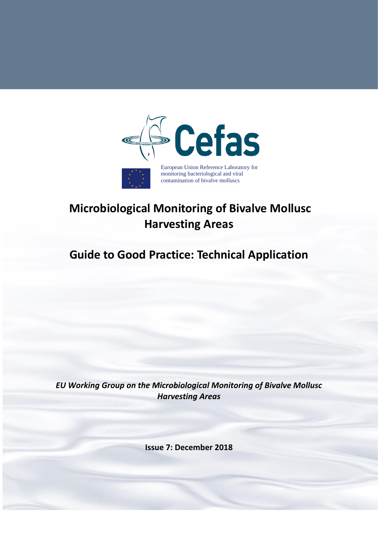

# **Microbiological Monitoring of Bivalve Mollusc Harvesting Areas**

# **Guide to Good Practice: Technical Application**

*EU Working Group on the Microbiological Monitoring of Bivalve Mollusc Harvesting Areas*

**Issue 7: December 2018**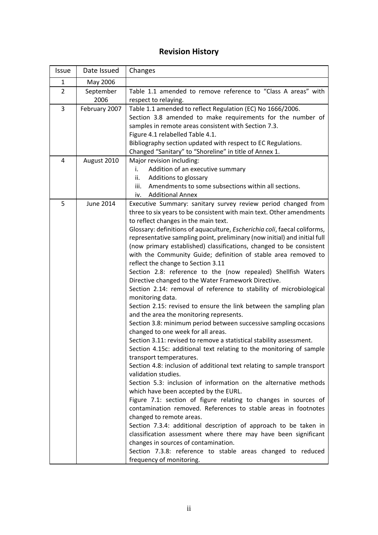# **Revision History**

<span id="page-1-0"></span>

| Issue          | Date Issued   | Changes                                                                                                      |  |
|----------------|---------------|--------------------------------------------------------------------------------------------------------------|--|
| $\mathbf{1}$   | May 2006      |                                                                                                              |  |
| $\overline{2}$ | September     | Table 1.1 amended to remove reference to "Class A areas" with                                                |  |
|                | 2006          | respect to relaying.                                                                                         |  |
| 3              | February 2007 | Table 1.1 amended to reflect Regulation (EC) No 1666/2006.                                                   |  |
|                |               | Section 3.8 amended to make requirements for the number of                                                   |  |
|                |               | samples in remote areas consistent with Section 7.3.<br>Figure 4.1 relabelled Table 4.1.                     |  |
|                |               |                                                                                                              |  |
|                |               | Bibliography section updated with respect to EC Regulations.                                                 |  |
|                |               | Changed "Sanitary" to "Shoreline" in title of Annex 1.                                                       |  |
| 4              | August 2010   | Major revision including:                                                                                    |  |
|                |               | Addition of an executive summary<br>i.<br>ii.                                                                |  |
|                |               | Additions to glossary<br>Amendments to some subsections within all sections.<br>iii.                         |  |
|                |               | <b>Additional Annex</b><br>iv.                                                                               |  |
| 5              | June 2014     | Executive Summary: sanitary survey review period changed from                                                |  |
|                |               | three to six years to be consistent with main text. Other amendments                                         |  |
|                |               | to reflect changes in the main text.                                                                         |  |
|                |               | Glossary: definitions of aquaculture, Escherichia coli, faecal coliforms,                                    |  |
|                |               | representative sampling point, preliminary (now initial) and initial full                                    |  |
|                |               | (now primary established) classifications, changed to be consistent                                          |  |
|                |               | with the Community Guide; definition of stable area removed to                                               |  |
|                |               | reflect the change to Section 3.11                                                                           |  |
|                |               | Section 2.8: reference to the (now repealed) Shellfish Waters                                                |  |
|                |               | Directive changed to the Water Framework Directive.                                                          |  |
|                |               | Section 2.14: removal of reference to stability of microbiological                                           |  |
|                |               | monitoring data.                                                                                             |  |
|                |               | Section 2.15: revised to ensure the link between the sampling plan                                           |  |
|                |               | and the area the monitoring represents.<br>Section 3.8: minimum period between successive sampling occasions |  |
|                |               | changed to one week for all areas.                                                                           |  |
|                |               | Section 3.11: revised to remove a statistical stability assessment.                                          |  |
|                |               | Section 4.15c: additional text relating to the monitoring of sample                                          |  |
|                |               | transport temperatures.                                                                                      |  |
|                |               | Section 4.8: inclusion of additional text relating to sample transport                                       |  |
|                |               | validation studies.                                                                                          |  |
|                |               | Section 5.3: inclusion of information on the alternative methods                                             |  |
|                |               | which have been accepted by the EURL.                                                                        |  |
|                |               | Figure 7.1: section of figure relating to changes in sources of                                              |  |
|                |               | contamination removed. References to stable areas in footnotes                                               |  |
|                |               | changed to remote areas.                                                                                     |  |
|                |               | Section 7.3.4: additional description of approach to be taken in                                             |  |
|                |               | classification assessment where there may have been significant                                              |  |
|                |               | changes in sources of contamination.                                                                         |  |
|                |               | Section 7.3.8: reference to stable areas changed to reduced                                                  |  |
|                |               | frequency of monitoring.                                                                                     |  |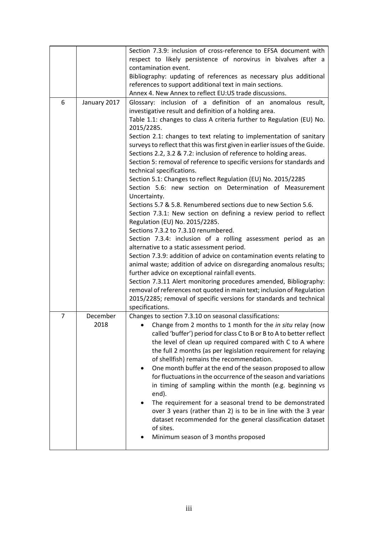|                |              | Section 7.3.9: inclusion of cross-reference to EFSA document with            |  |  |  |
|----------------|--------------|------------------------------------------------------------------------------|--|--|--|
|                |              | respect to likely persistence of norovirus in bivalves after a               |  |  |  |
|                |              | contamination event.                                                         |  |  |  |
|                |              | Bibliography: updating of references as necessary plus additional            |  |  |  |
|                |              | references to support additional text in main sections.                      |  |  |  |
|                |              | Annex 4. New Annex to reflect EU:US trade discussions.                       |  |  |  |
| 6              | January 2017 | Glossary: inclusion of a definition of an anomalous result,                  |  |  |  |
|                |              | investigative result and definition of a holding area.                       |  |  |  |
|                |              | Table 1.1: changes to class A criteria further to Regulation (EU) No.        |  |  |  |
|                |              | 2015/2285.                                                                   |  |  |  |
|                |              | Section 2.1: changes to text relating to implementation of sanitary          |  |  |  |
|                |              | surveys to reflect that this was first given in earlier issues of the Guide. |  |  |  |
|                |              | Sections 2.2, 3.2 & 7.2: inclusion of reference to holding areas.            |  |  |  |
|                |              | Section 5: removal of reference to specific versions for standards and       |  |  |  |
|                |              | technical specifications.                                                    |  |  |  |
|                |              | Section 5.1: Changes to reflect Regulation (EU) No. 2015/2285                |  |  |  |
|                |              | Section 5.6: new section on Determination of Measurement                     |  |  |  |
|                |              | Uncertainty.                                                                 |  |  |  |
|                |              | Sections 5.7 & 5.8. Renumbered sections due to new Section 5.6.              |  |  |  |
|                |              | Section 7.3.1: New section on defining a review period to reflect            |  |  |  |
|                |              | Regulation (EU) No. 2015/2285.                                               |  |  |  |
|                |              | Sections 7.3.2 to 7.3.10 renumbered.                                         |  |  |  |
|                |              | Section 7.3.4: inclusion of a rolling assessment period as an                |  |  |  |
|                |              | alternative to a static assessment period.                                   |  |  |  |
|                |              | Section 7.3.9: addition of advice on contamination events relating to        |  |  |  |
|                |              | animal waste; addition of advice on disregarding anomalous results;          |  |  |  |
|                |              | further advice on exceptional rainfall events.                               |  |  |  |
|                |              | Section 7.3.11 Alert monitoring procedures amended, Bibliography:            |  |  |  |
|                |              | removal of references not quoted in main text; inclusion of Regulation       |  |  |  |
|                |              | 2015/2285; removal of specific versions for standards and technical          |  |  |  |
|                |              | specifications.                                                              |  |  |  |
| $\overline{7}$ | December     | Changes to section 7.3.10 on seasonal classifications:                       |  |  |  |
|                | 2018         | Change from 2 months to 1 month for the in situ relay (now                   |  |  |  |
|                |              | called 'buffer') period for class C to B or B to A to better reflect         |  |  |  |
|                |              | the level of clean up required compared with C to A where                    |  |  |  |
|                |              | the full 2 months (as per legislation requirement for relaying               |  |  |  |
|                |              | of shellfish) remains the recommendation.                                    |  |  |  |
|                |              | One month buffer at the end of the season proposed to allow<br>٠             |  |  |  |
|                |              | for fluctuations in the occurrence of the season and variations              |  |  |  |
|                |              | in timing of sampling within the month (e.g. beginning vs                    |  |  |  |
|                |              | end).                                                                        |  |  |  |
|                |              | The requirement for a seasonal trend to be demonstrated<br>٠                 |  |  |  |
|                |              | over 3 years (rather than 2) is to be in line with the 3 year                |  |  |  |
|                |              | dataset recommended for the general classification dataset                   |  |  |  |
|                |              | of sites.                                                                    |  |  |  |
|                |              | Minimum season of 3 months proposed                                          |  |  |  |
|                |              |                                                                              |  |  |  |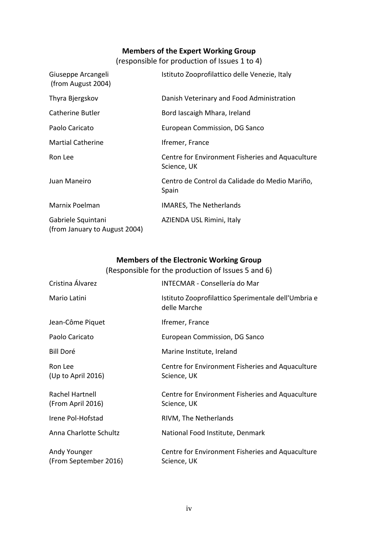# **Members of the Expert Working Group**

(responsible for production of Issues 1 to 4)

<span id="page-3-0"></span>

| Giuseppe Arcangeli<br>(from August 2004)            | Istituto Zooprofilattico delle Venezie, Italy                   |
|-----------------------------------------------------|-----------------------------------------------------------------|
| Thyra Bjergskov                                     | Danish Veterinary and Food Administration                       |
| Catherine Butler                                    | Bord lascaigh Mhara, Ireland                                    |
| Paolo Caricato                                      | European Commission, DG Sanco                                   |
| <b>Martial Catherine</b>                            | Ifremer, France                                                 |
| Ron Lee                                             | Centre for Environment Fisheries and Aquaculture<br>Science, UK |
| Juan Maneiro                                        | Centro de Control da Calidade do Medio Mariño,<br>Spain         |
| Marnix Poelman                                      | <b>IMARES, The Netherlands</b>                                  |
| Gabriele Squintani<br>(from January to August 2004) | AZIENDA USL Rimini, Italy                                       |

# **Members of the Electronic Working Group**

<span id="page-3-1"></span>

|                                       | (Responsible for the production of Issues 5 and 6)                  |
|---------------------------------------|---------------------------------------------------------------------|
| Cristina Álvarez                      | <b>INTECMAR - Consellería do Mar</b>                                |
| Mario Latini                          | Istituto Zooprofilattico Sperimentale dell'Umbria e<br>delle Marche |
| Jean-Côme Piquet                      | Ifremer, France                                                     |
| Paolo Caricato                        | European Commission, DG Sanco                                       |
| <b>Bill Doré</b>                      | Marine Institute, Ireland                                           |
| Ron Lee<br>(Up to April 2016)         | Centre for Environment Fisheries and Aquaculture<br>Science, UK     |
| Rachel Hartnell<br>(From April 2016)  | Centre for Environment Fisheries and Aquaculture<br>Science, UK     |
| Irene Pol-Hofstad                     | RIVM, The Netherlands                                               |
| Anna Charlotte Schultz                | National Food Institute, Denmark                                    |
| Andy Younger<br>(From September 2016) | Centre for Environment Fisheries and Aquaculture<br>Science, UK     |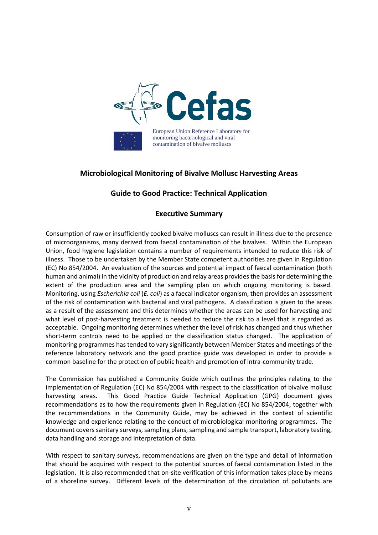

# **Microbiological Monitoring of Bivalve Mollusc Harvesting Areas**

# **Guide to Good Practice: Technical Application**

# **Executive Summary**

<span id="page-4-0"></span>Consumption of raw or insufficiently cooked bivalve molluscs can result in illness due to the presence of microorganisms, many derived from faecal contamination of the bivalves. Within the European Union, food hygiene legislation contains a number of requirements intended to reduce this risk of illness. Those to be undertaken by the Member State competent authorities are given in Regulation (EC) No 854/2004. An evaluation of the sources and potential impact of faecal contamination (both human and animal) in the vicinity of production and relay areas provides the basis for determining the extent of the production area and the sampling plan on which ongoing monitoring is based. Monitoring, using *Escherichia coli* (*E. coli*) as a faecal indicator organism, then provides an assessment of the risk of contamination with bacterial and viral pathogens. A classification is given to the areas as a result of the assessment and this determines whether the areas can be used for harvesting and what level of post-harvesting treatment is needed to reduce the risk to a level that is regarded as acceptable. Ongoing monitoring determines whether the level of risk has changed and thus whether short-term controls need to be applied or the classification status changed. The application of monitoring programmes has tended to vary significantly between Member States and meetings of the reference laboratory network and the good practice guide was developed in order to provide a common baseline for the protection of public health and promotion of intra-community trade.

The Commission has published a Community Guide which outlines the principles relating to the implementation of Regulation (EC) No 854/2004 with respect to the classification of bivalve mollusc harvesting areas. This Good Practice Guide Technical Application (GPG) document gives recommendations as to how the requirements given in Regulation (EC) No 854/2004, together with the recommendations in the Community Guide, may be achieved in the context of scientific knowledge and experience relating to the conduct of microbiological monitoring programmes. The document covers sanitary surveys, sampling plans, sampling and sample transport, laboratory testing, data handling and storage and interpretation of data.

With respect to sanitary surveys, recommendations are given on the type and detail of information that should be acquired with respect to the potential sources of faecal contamination listed in the legislation. It is also recommended that on-site verification of this information takes place by means of a shoreline survey. Different levels of the determination of the circulation of pollutants are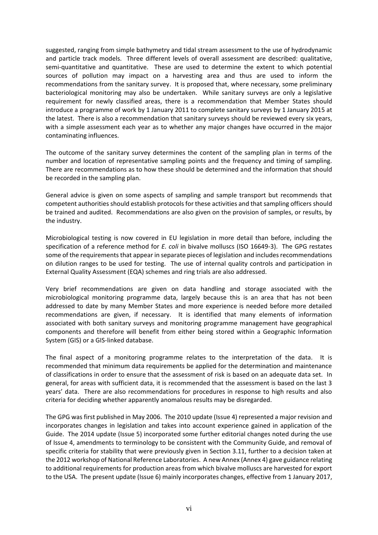suggested, ranging from simple bathymetry and tidal stream assessment to the use of hydrodynamic and particle track models. Three different levels of overall assessment are described: qualitative, semi-quantitative and quantitative. These are used to determine the extent to which potential sources of pollution may impact on a harvesting area and thus are used to inform the recommendations from the sanitary survey. It is proposed that, where necessary, some preliminary bacteriological monitoring may also be undertaken. While sanitary surveys are only a legislative requirement for newly classified areas, there is a recommendation that Member States should introduce a programme of work by 1 January 2011 to complete sanitary surveys by 1 January 2015 at the latest. There is also a recommendation that sanitary surveys should be reviewed every six years, with a simple assessment each year as to whether any major changes have occurred in the major contaminating influences.

The outcome of the sanitary survey determines the content of the sampling plan in terms of the number and location of representative sampling points and the frequency and timing of sampling. There are recommendations as to how these should be determined and the information that should be recorded in the sampling plan.

General advice is given on some aspects of sampling and sample transport but recommends that competent authorities should establish protocols for these activities and that sampling officers should be trained and audited. Recommendations are also given on the provision of samples, or results, by the industry.

Microbiological testing is now covered in EU legislation in more detail than before, including the specification of a reference method for *E. coli* in bivalve molluscs (ISO 16649-3). The GPG restates some of the requirements that appear in separate pieces of legislation and includes recommendations on dilution ranges to be used for testing. The use of internal quality controls and participation in External Quality Assessment (EQA) schemes and ring trials are also addressed.

Very brief recommendations are given on data handling and storage associated with the microbiological monitoring programme data, largely because this is an area that has not been addressed to date by many Member States and more experience is needed before more detailed recommendations are given, if necessary. It is identified that many elements of information associated with both sanitary surveys and monitoring programme management have geographical components and therefore will benefit from either being stored within a Geographic Information System (GIS) or a GIS-linked database.

The final aspect of a monitoring programme relates to the interpretation of the data. It is recommended that minimum data requirements be applied for the determination and maintenance of classifications in order to ensure that the assessment of risk is based on an adequate data set. In general, for areas with sufficient data, it is recommended that the assessment is based on the last 3 years' data. There are also recommendations for procedures in response to high results and also criteria for deciding whether apparently anomalous results may be disregarded.

The GPG was first published in May 2006. The 2010 update (Issue 4) represented a major revision and incorporates changes in legislation and takes into account experience gained in application of the Guide. The 2014 update (Issue 5) incorporated some further editorial changes noted during the use of Issue 4, amendments to terminology to be consistent with the Community Guide, and removal of specific criteria for stability that were previously given in Section 3.11, further to a decision taken at the 2012 workshop of National Reference Laboratories. A new Annex (Annex 4) gave guidance relating to additional requirements for production areas from which bivalve molluscs are harvested for export to the USA. The present update (Issue 6) mainly incorporates changes, effective from 1 January 2017,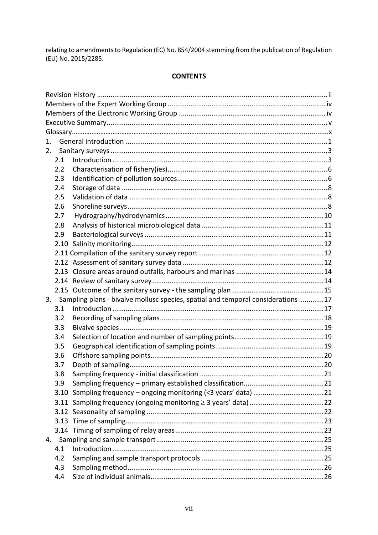relating to amendments to Regulation (EC) No. 854/2004 stemming from the publication of Regulation (EU) No. 2015/2285.

#### **CONTENTS**

| 1. |     |                                                                                  |  |
|----|-----|----------------------------------------------------------------------------------|--|
| 2. |     |                                                                                  |  |
|    | 2.1 |                                                                                  |  |
|    | 2.2 |                                                                                  |  |
|    | 2.3 |                                                                                  |  |
|    | 2.4 |                                                                                  |  |
|    | 2.5 |                                                                                  |  |
|    | 2.6 |                                                                                  |  |
|    | 2.7 |                                                                                  |  |
|    | 2.8 |                                                                                  |  |
|    | 2.9 |                                                                                  |  |
|    |     |                                                                                  |  |
|    |     |                                                                                  |  |
|    |     |                                                                                  |  |
|    |     |                                                                                  |  |
|    |     |                                                                                  |  |
|    |     |                                                                                  |  |
| 3. |     | Sampling plans - bivalve mollusc species, spatial and temporal considerations 17 |  |
|    | 3.1 |                                                                                  |  |
|    | 3.2 |                                                                                  |  |
|    | 3.3 |                                                                                  |  |
|    | 3.4 |                                                                                  |  |
|    | 3.5 |                                                                                  |  |
|    | 3.6 |                                                                                  |  |
|    | 3.7 |                                                                                  |  |
|    | 3.8 |                                                                                  |  |
|    | 3.9 |                                                                                  |  |
|    |     |                                                                                  |  |
|    |     |                                                                                  |  |
|    |     |                                                                                  |  |
|    |     |                                                                                  |  |
|    |     |                                                                                  |  |
|    |     |                                                                                  |  |
|    | 4.1 |                                                                                  |  |
|    | 4.2 |                                                                                  |  |
|    | 4.3 |                                                                                  |  |
|    | 4.4 |                                                                                  |  |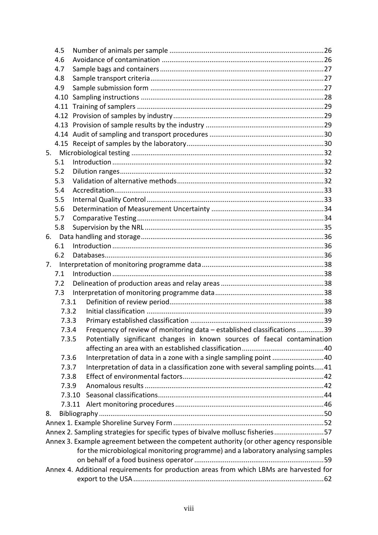|    | 4.5    |                                                                                                                                                                             |  |
|----|--------|-----------------------------------------------------------------------------------------------------------------------------------------------------------------------------|--|
|    | 4.6    |                                                                                                                                                                             |  |
|    | 4.7    |                                                                                                                                                                             |  |
|    | 4.8    |                                                                                                                                                                             |  |
|    | 4.9    |                                                                                                                                                                             |  |
|    | 4.10   |                                                                                                                                                                             |  |
|    |        |                                                                                                                                                                             |  |
|    |        |                                                                                                                                                                             |  |
|    |        |                                                                                                                                                                             |  |
|    |        |                                                                                                                                                                             |  |
|    |        |                                                                                                                                                                             |  |
|    |        |                                                                                                                                                                             |  |
|    | 5.1    |                                                                                                                                                                             |  |
|    | 5.2    |                                                                                                                                                                             |  |
|    | 5.3    |                                                                                                                                                                             |  |
|    | 5.4    |                                                                                                                                                                             |  |
|    | 5.5    |                                                                                                                                                                             |  |
|    | 5.6    |                                                                                                                                                                             |  |
|    | 5.7    |                                                                                                                                                                             |  |
|    | 5.8    |                                                                                                                                                                             |  |
|    |        |                                                                                                                                                                             |  |
|    | 6.1    |                                                                                                                                                                             |  |
|    | 6.2    |                                                                                                                                                                             |  |
| 7. |        |                                                                                                                                                                             |  |
|    | 7.1    |                                                                                                                                                                             |  |
|    | 7.2    |                                                                                                                                                                             |  |
|    | 7.3    |                                                                                                                                                                             |  |
|    | 7.3.1  |                                                                                                                                                                             |  |
|    | 7.3.2  |                                                                                                                                                                             |  |
|    | 7.3.3  |                                                                                                                                                                             |  |
|    | 7.3.4  | Frequency of review of monitoring data - established classifications 39                                                                                                     |  |
|    | 7.3.5  | Potentially significant changes in known sources of faecal contamination                                                                                                    |  |
|    |        |                                                                                                                                                                             |  |
|    | 7.3.6  | Interpretation of data in a zone with a single sampling point 40                                                                                                            |  |
|    | 7.3.7  | Interpretation of data in a classification zone with several sampling points41                                                                                              |  |
|    | 7.3.8  |                                                                                                                                                                             |  |
|    | 7.3.9  |                                                                                                                                                                             |  |
|    | 7.3.10 |                                                                                                                                                                             |  |
|    |        |                                                                                                                                                                             |  |
| 8. |        |                                                                                                                                                                             |  |
|    |        |                                                                                                                                                                             |  |
|    |        | Annex 2. Sampling strategies for specific types of bivalve mollusc fisheries57                                                                                              |  |
|    |        | Annex 3. Example agreement between the competent authority (or other agency responsible<br>for the microbiological monitoring programme) and a laboratory analysing samples |  |
|    |        |                                                                                                                                                                             |  |
|    |        | Annex 4. Additional requirements for production areas from which LBMs are harvested for                                                                                     |  |
|    |        |                                                                                                                                                                             |  |
|    |        |                                                                                                                                                                             |  |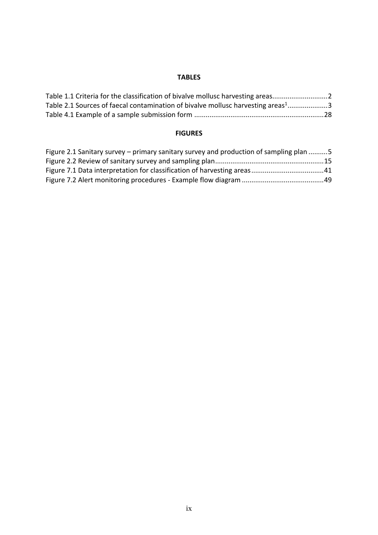#### **TABLES**

| Table 1.1 Criteria for the classification of bivalve mollusc harvesting areas                |  |
|----------------------------------------------------------------------------------------------|--|
| Table 2.1 Sources of faecal contamination of bivalve mollusc harvesting areas <sup>1</sup> 3 |  |
|                                                                                              |  |

# **FIGURES**

| Figure 2.1 Sanitary survey – primary sanitary survey and production of sampling plan 5 |  |
|----------------------------------------------------------------------------------------|--|
|                                                                                        |  |
|                                                                                        |  |
|                                                                                        |  |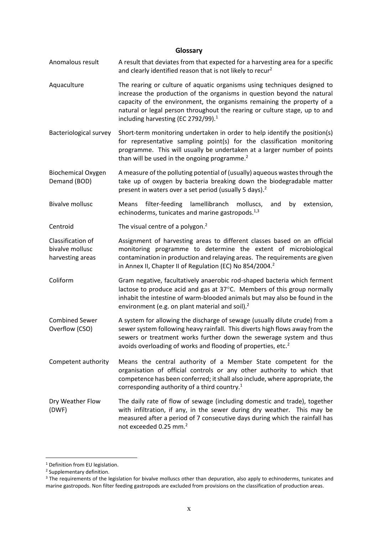#### **Glossary**

- <span id="page-9-0"></span>Anomalous result A result that deviates from that expected for a harvesting area for a specific and clearly identified reason that is not likely to recur<sup>2</sup>
- Aquaculture The rearing or culture of aquatic organisms using techniques designed to increase the production of the organisms in question beyond the natural capacity of the environment, the organisms remaining the property of a natural or legal person throughout the rearing or culture stage, up to and including harvesting (EC 2792/99). $<sup>1</sup>$ </sup>
- Bacteriological survey Short-term monitoring undertaken in order to help identify the position(s) for representative sampling point(s) for the classification monitoring programme. This will usually be undertaken at a larger number of points than will be used in the ongoing programme. $2$

Biochemical Oxygen Demand (BOD) A measure of the polluting potential of (usually) aqueous wastes through the take up of oxygen by bacteria breaking down the biodegradable matter present in waters over a set period (usually 5 days).<sup>2</sup>

Bivalve mollusc Means filter-feeding lamellibranch molluscs, and by extension, echinoderms, tunicates and marine gastropods. $^{1,3}$ 

Centroid  $\blacksquare$  The visual centre of a polygon.<sup>2</sup>

Classification of bivalve mollusc harvesting areas Assignment of harvesting areas to different classes based on an official monitoring programme to determine the extent of microbiological contamination in production and relaying areas. The requirements are given in Annex II, Chapter II of Regulation (EC) No 854/2004.<sup>2</sup>

- Coliform Gram negative, facultatively anaerobic rod-shaped bacteria which ferment lactose to produce acid and gas at  $37^{\circ}$ C. Members of this group normally inhabit the intestine of warm-blooded animals but may also be found in the environment (e.g. on plant material and soil).<sup>2</sup>
- Combined Sewer Overflow (CSO) A system for allowing the discharge of sewage (usually dilute crude) from a sewer system following heavy rainfall. This diverts high flows away from the sewers or treatment works further down the sewerage system and thus avoids overloading of works and flooding of properties, etc. $2$
- Competent authority Means the central authority of a Member State competent for the organisation of official controls or any other authority to which that competence has been conferred; it shall also include, where appropriate, the corresponding authority of a third country.<sup>1</sup>
- Dry Weather Flow (DWF) The daily rate of flow of sewage (including domestic and trade), together with infiltration, if any, in the sewer during dry weather. This may be measured after a period of 7 consecutive days during which the rainfall has not exceeded 0.25 mm.<sup>2</sup>

<u>.</u>

<sup>&</sup>lt;sup>1</sup> Definition from EU legislation.

<sup>2</sup> Supplementary definition.

<sup>&</sup>lt;sup>3</sup> The requirements of the legislation for bivalve molluscs other than depuration, also apply to echinoderms, tunicates and marine gastropods. Non filter feeding gastropods are excluded from provisions on the classification of production areas.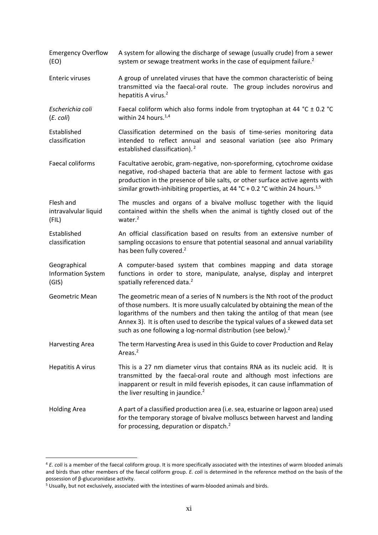Emergency Overflow (EO) A system for allowing the discharge of sewage (usually crude) from a sewer system or sewage treatment works in the case of equipment failure. $2$ Enteric viruses A group of unrelated viruses that have the common characteristic of being transmitted via the faecal-oral route. The group includes norovirus and hepatitis A virus.<sup>2</sup> *Escherichia coli* (*E. coli*) Faecal coliform which also forms indole from tryptophan at 44 °C  $\pm$  0.2 °C within 24 hours. $1,4$ Established classification Classification determined on the basis of time-series monitoring data intended to reflect annual and seasonal variation (see also Primary established classification).<sup>2</sup> Faecal coliforms Facultative aerobic, gram-negative, non-sporeforming, cytochrome oxidase negative, rod-shaped bacteria that are able to ferment lactose with gas production in the presence of bile salts, or other surface active agents with similar growth-inhibiting properties, at 44 °C + 0.2 °C within 24 hours.<sup>1,5</sup> Flesh and intravalvular liquid (FIL) The muscles and organs of a bivalve mollusc together with the liquid contained within the shells when the animal is tightly closed out of the water.<sup>2</sup> Established classification An official classification based on results from an extensive number of sampling occasions to ensure that potential seasonal and annual variability has been fully covered.<sup>2</sup> Geographical Information System (GIS) A computer-based system that combines mapping and data storage functions in order to store, manipulate, analyse, display and interpret spatially referenced data.<sup>2</sup> Geometric Mean The geometric mean of a series of N numbers is the Nth root of the product of those numbers. It is more usually calculated by obtaining the mean of the logarithms of the numbers and then taking the antilog of that mean (see Annex 3). It is often used to describe the typical values of a skewed data set such as one following a log-normal distribution (see below).<sup>2</sup> Harvesting Area The term Harvesting Area is used in this Guide to cover Production and Relay Areas.<sup>2</sup> Hepatitis A virus This is a 27 nm diameter virus that contains RNA as its nucleic acid. It is transmitted by the faecal-oral route and although most infections are inapparent or result in mild feverish episodes, it can cause inflammation of the liver resulting in jaundice. $2$ Holding Area A part of a classified production area (i.e. sea, estuarine or lagoon area) used for the temporary storage of bivalve molluscs between harvest and landing for processing, depuration or dispatch.<sup>2</sup>

<u>.</u>

<sup>4</sup> *E. coli* is a member of the faecal coliform group. It is more specifically associated with the intestines of warm blooded animals and birds than other members of the faecal coliform group. *E. coli* is determined in the reference method on the basis of the possession of β-glucuronidase activity.

<sup>5</sup> Usually, but not exclusively, associated with the intestines of warm-blooded animals and birds.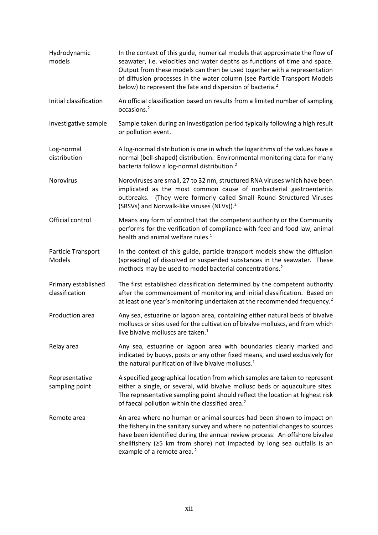| Hydrodynamic<br>models                | In the context of this guide, numerical models that approximate the flow of<br>seawater, i.e. velocities and water depths as functions of time and space.<br>Output from these models can then be used together with a representation<br>of diffusion processes in the water column (see Particle Transport Models<br>below) to represent the fate and dispersion of bacteria. <sup>2</sup> |
|---------------------------------------|---------------------------------------------------------------------------------------------------------------------------------------------------------------------------------------------------------------------------------------------------------------------------------------------------------------------------------------------------------------------------------------------|
| Initial classification                | An official classification based on results from a limited number of sampling<br>occasions. <sup>2</sup>                                                                                                                                                                                                                                                                                    |
| Investigative sample                  | Sample taken during an investigation period typically following a high result<br>or pollution event.                                                                                                                                                                                                                                                                                        |
| Log-normal<br>distribution            | A log-normal distribution is one in which the logarithms of the values have a<br>normal (bell-shaped) distribution. Environmental monitoring data for many<br>bacteria follow a log-normal distribution. <sup>2</sup>                                                                                                                                                                       |
| Norovirus                             | Noroviruses are small, 27 to 32 nm, structured RNA viruses which have been<br>implicated as the most common cause of nonbacterial gastroenteritis<br>outbreaks. (They were formerly called Small Round Structured Viruses<br>(SRSVs) and Norwalk-like viruses (NLVs)). <sup>2</sup>                                                                                                         |
| Official control                      | Means any form of control that the competent authority or the Community<br>performs for the verification of compliance with feed and food law, animal<br>health and animal welfare rules. <sup>1</sup>                                                                                                                                                                                      |
| Particle Transport<br>Models          | In the context of this guide, particle transport models show the diffusion<br>(spreading) of dissolved or suspended substances in the seawater. These<br>methods may be used to model bacterial concentrations. <sup>2</sup>                                                                                                                                                                |
| Primary established<br>classification | The first established classification determined by the competent authority<br>after the commencement of monitoring and initial classification. Based on<br>at least one year's monitoring undertaken at the recommended frequency. <sup>2</sup>                                                                                                                                             |
| Production area                       | Any sea, estuarine or lagoon area, containing either natural beds of bivalve<br>molluscs or sites used for the cultivation of bivalve molluscs, and from which<br>live bivalve molluscs are taken. <sup>1</sup>                                                                                                                                                                             |
| Relay area                            | Any sea, estuarine or lagoon area with boundaries clearly marked and<br>indicated by buoys, posts or any other fixed means, and used exclusively for<br>the natural purification of live bivalve molluscs. <sup>1</sup>                                                                                                                                                                     |
| Representative<br>sampling point      | A specified geographical location from which samples are taken to represent<br>either a single, or several, wild bivalve mollusc beds or aquaculture sites.<br>The representative sampling point should reflect the location at highest risk<br>of faecal pollution within the classified area. <sup>2</sup>                                                                                |
| Remote area                           | An area where no human or animal sources had been shown to impact on<br>the fishery in the sanitary survey and where no potential changes to sources<br>have been identified during the annual review process. An offshore bivalve<br>shellfishery ( $\geq$ 5 km from shore) not impacted by long sea outfalls is an<br>example of a remote area. <sup>2</sup>                              |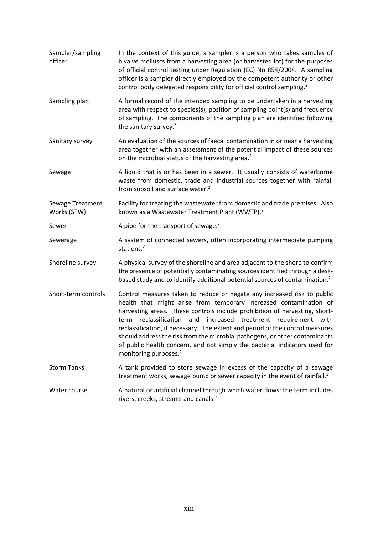Sampler/sampling officer In the context of this guide, a sampler is a person who takes samples of bivalve molluscs from a harvesting area (or harvested lot) for the purposes of official control testing under Regulation (EC) No 854/2004. A sampling officer is a sampler directly employed by the competent authority or other control body delegated responsibility for official control sampling.<sup>2</sup> Sampling plan A formal record of the intended sampling to be undertaken in a harvesting area with respect to species(s), position of sampling point(s) and frequency of sampling. The components of the sampling plan are identified following the sanitary survey. $2$ Sanitary survey An evaluation of the sources of faecal contamination in or near a harvesting area together with an assessment of the potential impact of these sources on the microbial status of the harvesting area.<sup>2</sup> Sewage A liquid that is or has been in a sewer. It usually consists of waterborne waste from domestic, trade and industrial sources together with rainfall from subsoil and surface water.<sup>2</sup> Sewage Treatment Works (STW) Facility for treating the wastewater from domestic and trade premises. Also known as a Wastewater Treatment Plant (WWTP).<sup>2</sup> Sewer A pipe for the transport of sewage.<sup>2</sup> Sewerage A system of connected sewers, often incorporating intermediate pumping stations<sup>2</sup> Shoreline survey A physical survey of the shoreline and area adjacent to the shore to confirm the presence of potentially contaminating sources identified through a deskbased study and to identify additional potential sources of contamination.<sup>2</sup> Short-term controls Control measures taken to reduce or negate any increased risk to public health that might arise from temporary increased contamination of harvesting areas. These controls include prohibition of harvesting, shortterm reclassification and increased treatment requirement with reclassification, if necessary. The extent and period of the control measures should address the risk from the microbial pathogens, or other contaminants of public health concern, and not simply the bacterial indicators used for monitoring purposes.<sup>2</sup> Storm Tanks A tank provided to store sewage in excess of the capacity of a sewage treatment works, sewage pump or sewer capacity in the event of rainfall. $2$ Water course **A** natural or artificial channel through which water flows: the term includes rivers, creeks, streams and canals.2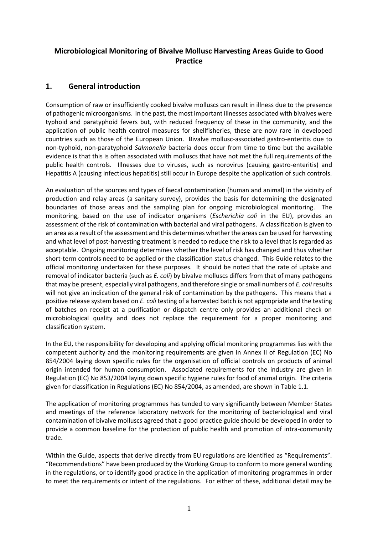# **Microbiological Monitoring of Bivalve Mollusc Harvesting Areas Guide to Good Practice**

# <span id="page-13-0"></span>**1. General introduction**

Consumption of raw or insufficiently cooked bivalve molluscs can result in illness due to the presence of pathogenic microorganisms. In the past, the most important illnesses associated with bivalves were typhoid and paratyphoid fevers but, with reduced frequency of these in the community, and the application of public health control measures for shellfisheries, these are now rare in developed countries such as those of the European Union. Bivalve mollusc-associated gastro-enteritis due to non-typhoid, non-paratyphoid *Salmonella* bacteria does occur from time to time but the available evidence is that this is often associated with molluscs that have not met the full requirements of the public health controls. Illnesses due to viruses, such as norovirus (causing gastro-enteritis) and Hepatitis A (causing infectious hepatitis) still occur in Europe despite the application of such controls.

An evaluation of the sources and types of faecal contamination (human and animal) in the vicinity of production and relay areas (a sanitary survey), provides the basis for determining the designated boundaries of those areas and the sampling plan for ongoing microbiological monitoring. The monitoring, based on the use of indicator organisms (*Escherichia coli* in the EU), provides an assessment of the risk of contamination with bacterial and viral pathogens. A classification is given to an area as a result of the assessment and this determines whether the areas can be used for harvesting and what level of post-harvesting treatment is needed to reduce the risk to a level that is regarded as acceptable. Ongoing monitoring determines whether the level of risk has changed and thus whether short-term controls need to be applied or the classification status changed. This Guide relates to the official monitoring undertaken for these purposes. It should be noted that the rate of uptake and removal of indicator bacteria (such as *E. coli*) by bivalve molluscs differs from that of many pathogens that may be present, especially viral pathogens, and therefore single or small numbers of *E. coli* results will not give an indication of the general risk of contamination by the pathogens. This means that a positive release system based on *E. coli* testing of a harvested batch is not appropriate and the testing of batches on receipt at a purification or dispatch centre only provides an additional check on microbiological quality and does not replace the requirement for a proper monitoring and classification system.

In the EU, the responsibility for developing and applying official monitoring programmes lies with the competent authority and the monitoring requirements are given in Annex II of Regulation (EC) No 854/2004 laying down specific rules for the organisation of official controls on products of animal origin intended for human consumption. Associated requirements for the industry are given in Regulation (EC) No 853/2004 laying down specific hygiene rules for food of animal origin. The criteria given for classification in Regulations (EC) No 854/2004, as amended, are shown in Table 1.1.

The application of monitoring programmes has tended to vary significantly between Member States and meetings of the reference laboratory network for the monitoring of bacteriological and viral contamination of bivalve molluscs agreed that a good practice guide should be developed in order to provide a common baseline for the protection of public health and promotion of intra-community trade.

Within the Guide, aspects that derive directly from EU regulations are identified as "Requirements". "Recommendations" have been produced by the Working Group to conform to more general wording in the regulations, or to identify good practice in the application of monitoring programmes in order to meet the requirements or intent of the regulations. For either of these, additional detail may be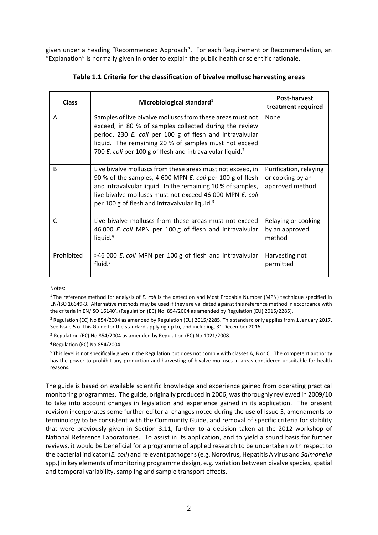given under a heading "Recommended Approach". For each Requirement or Recommendation, an "Explanation" is normally given in order to explain the public health or scientific rationale.

<span id="page-14-0"></span>

| <b>Class</b> | Microbiological standard <sup>1</sup>                                                                                                                                                                                                                                                                              | <b>Post-harvest</b><br>treatment required                     |
|--------------|--------------------------------------------------------------------------------------------------------------------------------------------------------------------------------------------------------------------------------------------------------------------------------------------------------------------|---------------------------------------------------------------|
| A            | Samples of live bivalve molluscs from these areas must not<br>exceed, in 80 % of samples collected during the review<br>period, 230 E. coli per 100 g of flesh and intravalvular<br>liquid. The remaining 20 % of samples must not exceed<br>700 E. coli per 100 g of flesh and intravalvular liquid. <sup>2</sup> | None                                                          |
| B            | Live bivalve molluscs from these areas must not exceed, in<br>90 % of the samples, 4 600 MPN E. coli per 100 g of flesh<br>and intravalvular liquid. In the remaining 10 % of samples,<br>live bivalve molluscs must not exceed 46 000 MPN E. coli<br>per 100 g of flesh and intravalvular liquid. <sup>3</sup>    | Purification, relaying<br>or cooking by an<br>approved method |
| $\mathsf{C}$ | Live bivalve molluscs from these areas must not exceed<br>46 000 E. coli MPN per 100 g of flesh and intravalvular<br>liquid. <sup>4</sup>                                                                                                                                                                          | Relaying or cooking<br>by an approved<br>method               |
| Prohibited   | >46 000 E. coli MPN per 100 g of flesh and intravalvular<br>fluid. <sup>5</sup>                                                                                                                                                                                                                                    | Harvesting not<br>permitted                                   |

**Table 1.1 Criteria for the classification of bivalve mollusc harvesting areas**

Notes:

<sup>1</sup> The reference method for analysis of *E. coli* is the detection and Most Probable Number (MPN) technique specified in EN/ISO 16649-3. Alternative methods may be used if they are validated against this reference method in accordance with the criteria in EN/ISO 16140'. (Regulation (EC) No. 854/2004 as amended by Regulation (EU) 2015/2285).

<sup>2</sup> Regulation (EC) No 854/2004 as amended by Regulation (EU) 2015/2285. This standard only applies from 1 January 2017. See Issue 5 of this Guide for the standard applying up to, and including, 31 December 2016.

<sup>3</sup> Regulation (EC) No 854/2004 as amended by Regulation (EC) No 1021/2008.

<sup>4</sup> Regulation (EC) No 854/2004.

<sup>5</sup> This level is not specifically given in the Regulation but does not comply with classes A, B or C. The competent authority has the power to prohibit any production and harvesting of bivalve molluscs in areas considered unsuitable for health reasons.

The guide is based on available scientific knowledge and experience gained from operating practical monitoring programmes. The guide, originally produced in 2006, was thoroughly reviewed in 2009/10 to take into account changes in legislation and experience gained in its application. The present revision incorporates some further editorial changes noted during the use of Issue 5, amendments to terminology to be consistent with the Community Guide, and removal of specific criteria for stability that were previously given in Section 3.11, further to a decision taken at the 2012 workshop of National Reference Laboratories. To assist in its application, and to yield a sound basis for further reviews, it would be beneficial for a programme of applied research to be undertaken with respect to the bacterial indicator (*E. coli*) and relevant pathogens (e.g. Norovirus, Hepatitis A virus and *Salmonella*  spp.) in key elements of monitoring programme design, e.g. variation between bivalve species, spatial and temporal variability, sampling and sample transport effects.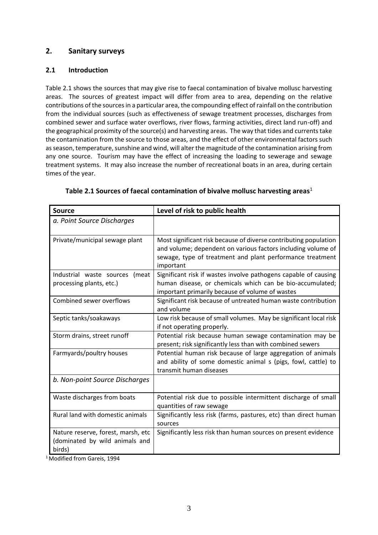# <span id="page-15-0"></span>**2. Sanitary surveys**

#### <span id="page-15-1"></span>**2.1 Introduction**

Table 2.1 shows the sources that may give rise to faecal contamination of bivalve mollusc harvesting areas. The sources of greatest impact will differ from area to area, depending on the relative contributions of the sources in a particular area, the compounding effect of rainfall on the contribution from the individual sources (such as effectiveness of sewage treatment processes, discharges from combined sewer and surface water overflows, river flows, farming activities, direct land run-off) and the geographical proximity of the source(s) and harvesting areas. The way that tides and currents take the contamination from the source to those areas, and the effect of other environmental factors such as season, temperature, sunshine and wind, will alter the magnitude of the contamination arising from any one source. Tourism may have the effect of increasing the loading to sewerage and sewage treatment systems. It may also increase the number of recreational boats in an area, during certain times of the year.

<span id="page-15-2"></span>

| <b>Source</b>                                                                  | Level of risk to public health                                                                                                                                                                             |  |
|--------------------------------------------------------------------------------|------------------------------------------------------------------------------------------------------------------------------------------------------------------------------------------------------------|--|
| a. Point Source Discharges                                                     |                                                                                                                                                                                                            |  |
| Private/municipal sewage plant                                                 | Most significant risk because of diverse contributing population<br>and volume; dependent on various factors including volume of<br>sewage, type of treatment and plant performance treatment<br>important |  |
| Industrial waste sources (meat<br>processing plants, etc.)                     | Significant risk if wastes involve pathogens capable of causing<br>human disease, or chemicals which can be bio-accumulated;<br>important primarily because of volume of wastes                            |  |
| Combined sewer overflows                                                       | Significant risk because of untreated human waste contribution<br>and volume                                                                                                                               |  |
| Septic tanks/soakaways                                                         | Low risk because of small volumes. May be significant local risk<br>if not operating properly.                                                                                                             |  |
| Storm drains, street runoff                                                    | Potential risk because human sewage contamination may be<br>present; risk significantly less than with combined sewers                                                                                     |  |
| Farmyards/poultry houses                                                       | Potential human risk because of large aggregation of animals<br>and ability of some domestic animal s (pigs, fowl, cattle) to<br>transmit human diseases                                                   |  |
| b. Non-point Source Discharges                                                 |                                                                                                                                                                                                            |  |
| Waste discharges from boats                                                    | Potential risk due to possible intermittent discharge of small<br>quantities of raw sewage                                                                                                                 |  |
| Rural land with domestic animals                                               | Significantly less risk (farms, pastures, etc) than direct human<br>sources                                                                                                                                |  |
| Nature reserve, forest, marsh, etc<br>(dominated by wild animals and<br>birds) | Significantly less risk than human sources on present evidence                                                                                                                                             |  |

|  | Table 2.1 Sources of faecal contamination of bivalve mollusc harvesting areas <sup>1</sup> |  |
|--|--------------------------------------------------------------------------------------------|--|
|--|--------------------------------------------------------------------------------------------|--|

<sup>1</sup> Modified from Gareis, 1994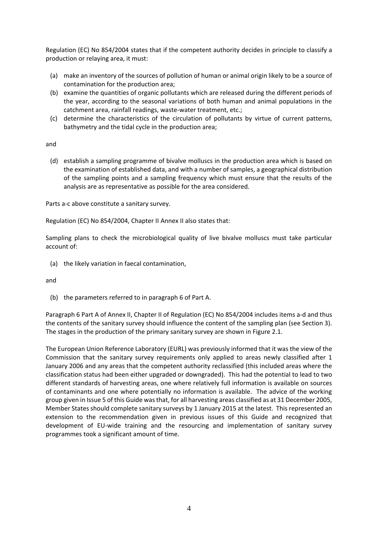Regulation (EC) No 854/2004 states that if the competent authority decides in principle to classify a production or relaying area, it must:

- (a) make an inventory of the sources of pollution of human or animal origin likely to be a source of contamination for the production area;
- (b) examine the quantities of organic pollutants which are released during the different periods of the year, according to the seasonal variations of both human and animal populations in the catchment area, rainfall readings, waste-water treatment, etc.;
- (c) determine the characteristics of the circulation of pollutants by virtue of current patterns, bathymetry and the tidal cycle in the production area;

and

(d) establish a sampling programme of bivalve molluscs in the production area which is based on the examination of established data, and with a number of samples, a geographical distribution of the sampling points and a sampling frequency which must ensure that the results of the analysis are as representative as possible for the area considered.

Parts a-c above constitute a sanitary survey.

Regulation (EC) No 854/2004, Chapter II Annex II also states that:

Sampling plans to check the microbiological quality of live bivalve molluscs must take particular account of:

(a) the likely variation in faecal contamination,

and

(b) the parameters referred to in paragraph 6 of Part A.

Paragraph 6 Part A of Annex II, Chapter II of Regulation (EC) No 854/2004 includes items a-d and thus the contents of the sanitary survey should influence the content of the sampling plan (see Section 3). The stages in the production of the primary sanitary survey are shown in Figure 2.1.

The European Union Reference Laboratory (EURL) was previously informed that it was the view of the Commission that the sanitary survey requirements only applied to areas newly classified after 1 January 2006 and any areas that the competent authority reclassified (this included areas where the classification status had been either upgraded or downgraded). This had the potential to lead to two different standards of harvesting areas, one where relatively full information is available on sources of contaminants and one where potentially no information is available. The advice of the working group given in Issue 5 of this Guide wasthat, for all harvesting areas classified as at 31 December 2005, Member States should complete sanitary surveys by 1 January 2015 at the latest. This represented an extension to the recommendation given in previous issues of this Guide and recognized that development of EU-wide training and the resourcing and implementation of sanitary survey programmes took a significant amount of time.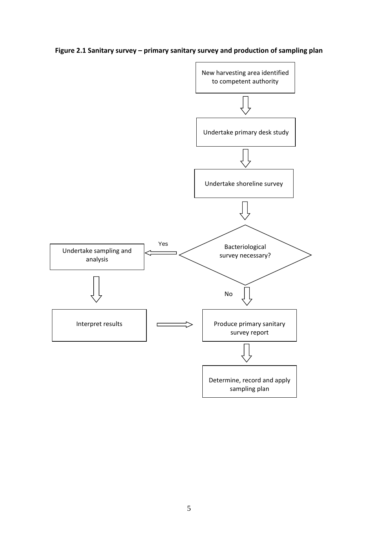**Figure 2.1 Sanitary survey – primary sanitary survey and production of sampling plan**

<span id="page-17-0"></span>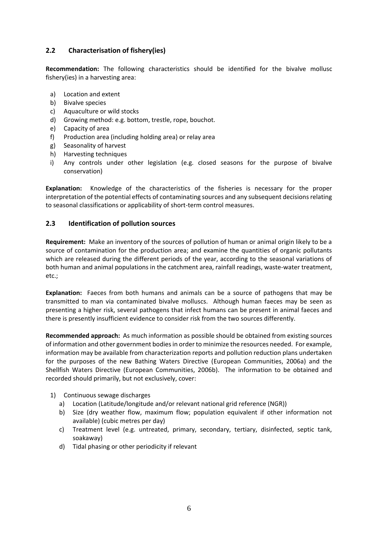# <span id="page-18-0"></span>**2.2 Characterisation of fishery(ies)**

**Recommendation:** The following characteristics should be identified for the bivalve mollusc fishery(ies) in a harvesting area:

- a) Location and extent
- b) Bivalve species
- c) Aquaculture or wild stocks
- d) Growing method: e.g. bottom, trestle, rope, bouchot.
- e) Capacity of area
- f) Production area (including holding area) or relay area
- g) Seasonality of harvest
- h) Harvesting techniques
- i) Any controls under other legislation (e.g. closed seasons for the purpose of bivalve conservation)

**Explanation:** Knowledge of the characteristics of the fisheries is necessary for the proper interpretation of the potential effects of contaminating sources and any subsequent decisions relating to seasonal classifications or applicability of short-term control measures.

#### <span id="page-18-1"></span>**2.3 Identification of pollution sources**

**Requirement:** Make an inventory of the sources of pollution of human or animal origin likely to be a source of contamination for the production area; and examine the quantities of organic pollutants which are released during the different periods of the year, according to the seasonal variations of both human and animal populations in the catchment area, rainfall readings, waste-water treatment, etc.;

**Explanation:** Faeces from both humans and animals can be a source of pathogens that may be transmitted to man via contaminated bivalve molluscs. Although human faeces may be seen as presenting a higher risk, several pathogens that infect humans can be present in animal faeces and there is presently insufficient evidence to consider risk from the two sources differently.

**Recommended approach:** As much information as possible should be obtained from existing sources of information and other government bodies in order to minimize the resources needed. For example, information may be available from characterization reports and pollution reduction plans undertaken for the purposes of the new Bathing Waters Directive (European Communities, 2006a) and the Shellfish Waters Directive (European Communities, 2006b). The information to be obtained and recorded should primarily, but not exclusively, cover:

- 1) Continuous sewage discharges
	- a) Location (Latitude/longitude and/or relevant national grid reference (NGR))
	- b) Size (dry weather flow, maximum flow; population equivalent if other information not available) (cubic metres per day)
	- c) Treatment level (e.g. untreated, primary, secondary, tertiary, disinfected, septic tank, soakaway)
	- d) Tidal phasing or other periodicity if relevant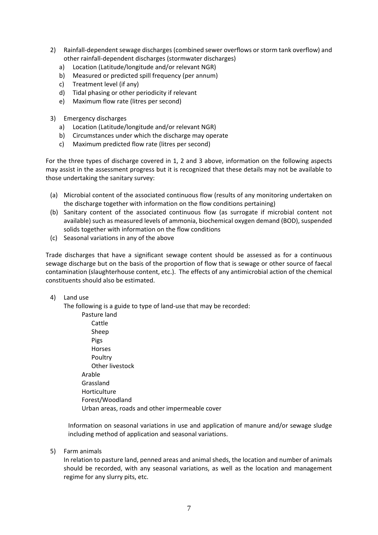- 2) Rainfall-dependent sewage discharges (combined sewer overflows or storm tank overflow) and other rainfall-dependent discharges (stormwater discharges)
	- a) Location (Latitude/longitude and/or relevant NGR)
	- b) Measured or predicted spill frequency (per annum)
	- c) Treatment level (if any)
	- d) Tidal phasing or other periodicity if relevant
	- e) Maximum flow rate (litres per second)
- 3) Emergency discharges
	- a) Location (Latitude/longitude and/or relevant NGR)
	- b) Circumstances under which the discharge may operate
	- c) Maximum predicted flow rate (litres per second)

For the three types of discharge covered in 1, 2 and 3 above, information on the following aspects may assist in the assessment progress but it is recognized that these details may not be available to those undertaking the sanitary survey:

- (a) Microbial content of the associated continuous flow (results of any monitoring undertaken on the discharge together with information on the flow conditions pertaining)
- (b) Sanitary content of the associated continuous flow (as surrogate if microbial content not available) such as measured levels of ammonia, biochemical oxygen demand (BOD), suspended solids together with information on the flow conditions
- (c) Seasonal variations in any of the above

Trade discharges that have a significant sewage content should be assessed as for a continuous sewage discharge but on the basis of the proportion of flow that is sewage or other source of faecal contamination (slaughterhouse content, etc.). The effects of any antimicrobial action of the chemical constituents should also be estimated.

#### 4) Land use

The following is a guide to type of land-use that may be recorded:

Pasture land Cattle Sheep Pigs Horses Poultry Other livestock Arable Grassland Horticulture Forest/Woodland Urban areas, roads and other impermeable cover

Information on seasonal variations in use and application of manure and/or sewage sludge including method of application and seasonal variations.

5) Farm animals

In relation to pasture land, penned areas and animal sheds, the location and number of animals should be recorded, with any seasonal variations, as well as the location and management regime for any slurry pits, etc.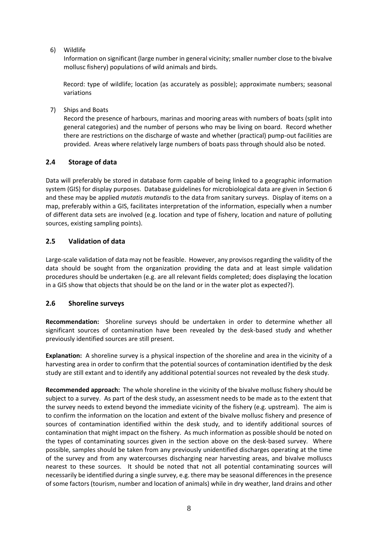6) Wildlife

Information on significant (large number in general vicinity; smaller number close to the bivalve mollusc fishery) populations of wild animals and birds.

Record: type of wildlife; location (as accurately as possible); approximate numbers; seasonal variations

7) Ships and Boats

Record the presence of harbours, marinas and mooring areas with numbers of boats (split into general categories) and the number of persons who may be living on board. Record whether there are restrictions on the discharge of waste and whether (practical) pump-out facilities are provided. Areas where relatively large numbers of boats pass through should also be noted.

# <span id="page-20-0"></span>**2.4 Storage of data**

Data will preferably be stored in database form capable of being linked to a geographic information system (GIS) for display purposes. Database guidelines for microbiological data are given in Section 6 and these may be applied *mutatis mutandis* to the data from sanitary surveys. Display of items on a map, preferably within a GIS, facilitates interpretation of the information, especially when a number of different data sets are involved (e.g. location and type of fishery, location and nature of polluting sources, existing sampling points).

#### <span id="page-20-1"></span>**2.5 Validation of data**

Large-scale validation of data may not be feasible. However, any provisos regarding the validity of the data should be sought from the organization providing the data and at least simple validation procedures should be undertaken (e.g. are all relevant fields completed; does displaying the location in a GIS show that objects that should be on the land or in the water plot as expected?).

#### <span id="page-20-2"></span>**2.6 Shoreline surveys**

**Recommendation:** Shoreline surveys should be undertaken in order to determine whether all significant sources of contamination have been revealed by the desk-based study and whether previously identified sources are still present.

**Explanation:** A shoreline survey is a physical inspection of the shoreline and area in the vicinity of a harvesting area in order to confirm that the potential sources of contamination identified by the desk study are still extant and to identify any additional potential sources not revealed by the desk study.

**Recommended approach:** The whole shoreline in the vicinity of the bivalve mollusc fishery should be subject to a survey. As part of the desk study, an assessment needs to be made as to the extent that the survey needs to extend beyond the immediate vicinity of the fishery (e.g. upstream). The aim is to confirm the information on the location and extent of the bivalve mollusc fishery and presence of sources of contamination identified within the desk study, and to identify additional sources of contamination that might impact on the fishery. As much information as possible should be noted on the types of contaminating sources given in the section above on the desk-based survey. Where possible, samples should be taken from any previously unidentified discharges operating at the time of the survey and from any watercourses discharging near harvesting areas, and bivalve molluscs nearest to these sources. It should be noted that not all potential contaminating sources will necessarily be identified during a single survey, e.g. there may be seasonal differences in the presence of some factors (tourism, number and location of animals) while in dry weather, land drains and other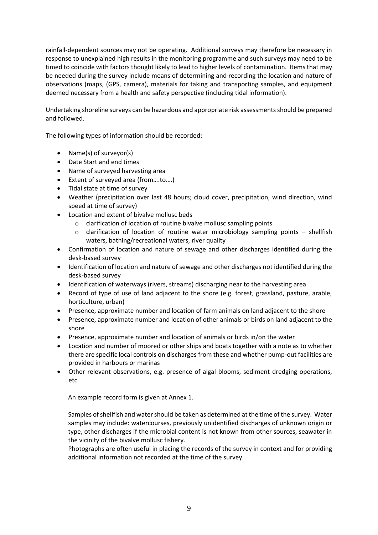rainfall-dependent sources may not be operating. Additional surveys may therefore be necessary in response to unexplained high results in the monitoring programme and such surveys may need to be timed to coincide with factors thought likely to lead to higher levels of contamination. Items that may be needed during the survey include means of determining and recording the location and nature of observations (maps, (GPS, camera), materials for taking and transporting samples, and equipment deemed necessary from a health and safety perspective (including tidal information).

Undertaking shoreline surveys can be hazardous and appropriate risk assessments should be prepared and followed.

The following types of information should be recorded:

- Name(s) of surveyor(s)
- Date Start and end times
- Name of surveyed harvesting area
- Extent of surveyed area (from….to….)
- Tidal state at time of survey
- Weather (precipitation over last 48 hours; cloud cover, precipitation, wind direction, wind speed at time of survey)
- Location and extent of bivalve mollusc beds
	- o clarification of location of routine bivalve mollusc sampling points
	- o clarification of location of routine water microbiology sampling points shellfish waters, bathing/recreational waters, river quality
- Confirmation of location and nature of sewage and other discharges identified during the desk-based survey
- Identification of location and nature of sewage and other discharges not identified during the desk-based survey
- Identification of waterways (rivers, streams) discharging near to the harvesting area
- Record of type of use of land adjacent to the shore (e.g. forest, grassland, pasture, arable, horticulture, urban)
- Presence, approximate number and location of farm animals on land adjacent to the shore
- Presence, approximate number and location of other animals or birds on land adjacent to the shore
- Presence, approximate number and location of animals or birds in/on the water
- Location and number of moored or other ships and boats together with a note as to whether there are specific local controls on discharges from these and whether pump-out facilities are provided in harbours or marinas
- Other relevant observations, e.g. presence of algal blooms, sediment dredging operations, etc.

An example record form is given at Annex 1.

Samples of shellfish and water should be taken as determined at the time of the survey. Water samples may include: watercourses, previously unidentified discharges of unknown origin or type, other discharges if the microbial content is not known from other sources, seawater in the vicinity of the bivalve mollusc fishery.

Photographs are often useful in placing the records of the survey in context and for providing additional information not recorded at the time of the survey.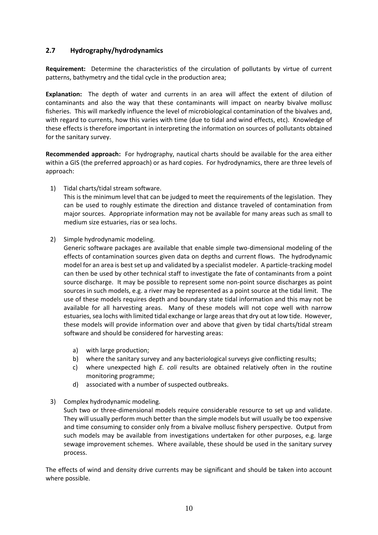#### <span id="page-22-0"></span>**2.7 Hydrography/hydrodynamics**

**Requirement:** Determine the characteristics of the circulation of pollutants by virtue of current patterns, bathymetry and the tidal cycle in the production area;

**Explanation:** The depth of water and currents in an area will affect the extent of dilution of contaminants and also the way that these contaminants will impact on nearby bivalve mollusc fisheries. This will markedly influence the level of microbiological contamination of the bivalves and, with regard to currents, how this varies with time (due to tidal and wind effects, etc). Knowledge of these effects is therefore important in interpreting the information on sources of pollutants obtained for the sanitary survey.

**Recommended approach:** For hydrography, nautical charts should be available for the area either within a GIS (the preferred approach) or as hard copies. For hydrodynamics, there are three levels of approach:

1) Tidal charts/tidal stream software.

This is the minimum level that can be judged to meet the requirements of the legislation. They can be used to roughly estimate the direction and distance traveled of contamination from major sources. Appropriate information may not be available for many areas such as small to medium size estuaries, rias or sea lochs.

2) Simple hydrodynamic modeling.

Generic software packages are available that enable simple two-dimensional modeling of the effects of contamination sources given data on depths and current flows. The hydrodynamic model for an area is best set up and validated by a specialist modeler. A particle-tracking model can then be used by other technical staff to investigate the fate of contaminants from a point source discharge. It may be possible to represent some non-point source discharges as point sources in such models, e.g. a river may be represented as a point source at the tidal limit. The use of these models requires depth and boundary state tidal information and this may not be available for all harvesting areas. Many of these models will not cope well with narrow estuaries, sea lochs with limited tidal exchange or large areas that dry out at low tide. However, these models will provide information over and above that given by tidal charts/tidal stream software and should be considered for harvesting areas:

- a) with large production;
- b) where the sanitary survey and any bacteriological surveys give conflicting results;
- c) where unexpected high *E. coli* results are obtained relatively often in the routine monitoring programme;
- d) associated with a number of suspected outbreaks.
- 3) Complex hydrodynamic modeling.

Such two or three-dimensional models require considerable resource to set up and validate. They will usually perform much better than the simple models but will usually be too expensive and time consuming to consider only from a bivalve mollusc fishery perspective. Output from such models may be available from investigations undertaken for other purposes, e.g. large sewage improvement schemes. Where available, these should be used in the sanitary survey process.

The effects of wind and density drive currents may be significant and should be taken into account where possible.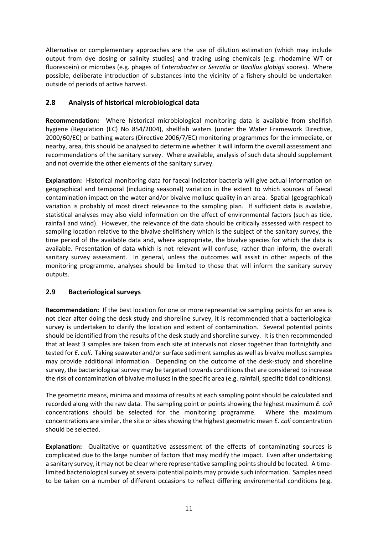Alternative or complementary approaches are the use of dilution estimation (which may include output from dye dosing or salinity studies) and tracing using chemicals (e.g. rhodamine WT or fluorescein) or microbes (e.g. phages of *Enterobacter* or *Serratia* or *Bacillus globigii* spores). Where possible, deliberate introduction of substances into the vicinity of a fishery should be undertaken outside of periods of active harvest.

# <span id="page-23-0"></span>**2.8 Analysis of historical microbiological data**

**Recommendation:** Where historical microbiological monitoring data is available from shellfish hygiene (Regulation (EC) No 854/2004), shellfish waters (under the Water Framework Directive, 2000/60/EC) or bathing waters (Directive 2006/7/EC) monitoring programmes for the immediate, or nearby, area, this should be analysed to determine whether it will inform the overall assessment and recommendations of the sanitary survey. Where available, analysis of such data should supplement and not override the other elements of the sanitary survey.

**Explanation:** Historical monitoring data for faecal indicator bacteria will give actual information on geographical and temporal (including seasonal) variation in the extent to which sources of faecal contamination impact on the water and/or bivalve mollusc quality in an area. Spatial (geographical) variation is probably of most direct relevance to the sampling plan. If sufficient data is available, statistical analyses may also yield information on the effect of environmental factors (such as tide, rainfall and wind). However, the relevance of the data should be critically assessed with respect to sampling location relative to the bivalve shellfishery which is the subject of the sanitary survey, the time period of the available data and, where appropriate, the bivalve species for which the data is available. Presentation of data which is not relevant will confuse, rather than inform, the overall sanitary survey assessment. In general, unless the outcomes will assist in other aspects of the monitoring programme, analyses should be limited to those that will inform the sanitary survey outputs.

# <span id="page-23-1"></span>**2.9 Bacteriological surveys**

**Recommendation:** If the best location for one or more representative sampling points for an area is not clear after doing the desk study and shoreline survey, it is recommended that a bacteriological survey is undertaken to clarify the location and extent of contamination. Several potential points should be identified from the results of the desk study and shoreline survey. It is then recommended that at least 3 samples are taken from each site at intervals not closer together than fortnightly and tested for *E. coli*. Taking seawater and/or surface sediment samples as well as bivalve mollusc samples may provide additional information. Depending on the outcome of the desk-study and shoreline survey, the bacteriological survey may be targeted towards conditions that are considered to increase the risk of contamination of bivalve molluscs in the specific area (e.g. rainfall, specific tidal conditions).

The geometric means, minima and maxima of results at each sampling point should be calculated and recorded along with the raw data. The sampling point or points showing the highest maximum *E. coli* concentrations should be selected for the monitoring programme. Where the maximum concentrations are similar, the site or sites showing the highest geometric mean *E. coli* concentration should be selected.

**Explanation:** Qualitative or quantitative assessment of the effects of contaminating sources is complicated due to the large number of factors that may modify the impact. Even after undertaking a sanitary survey, it may not be clear where representative sampling points should be located. A timelimited bacteriological survey at several potential points may provide such information. Samples need to be taken on a number of different occasions to reflect differing environmental conditions (e.g.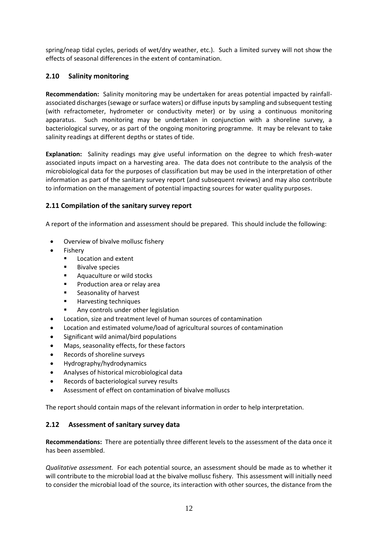spring/neap tidal cycles, periods of wet/dry weather, etc.). Such a limited survey will not show the effects of seasonal differences in the extent of contamination.

# <span id="page-24-0"></span>**2.10 Salinity monitoring**

**Recommendation:** Salinity monitoring may be undertaken for areas potential impacted by rainfallassociated discharges (sewage or surface waters) or diffuse inputs by sampling and subsequent testing (with refractometer, hydrometer or conductivity meter) or by using a continuous monitoring apparatus. Such monitoring may be undertaken in conjunction with a shoreline survey, a bacteriological survey, or as part of the ongoing monitoring programme. It may be relevant to take salinity readings at different depths or states of tide.

**Explanation:** Salinity readings may give useful information on the degree to which fresh-water associated inputs impact on a harvesting area. The data does not contribute to the analysis of the microbiological data for the purposes of classification but may be used in the interpretation of other information as part of the sanitary survey report (and subsequent reviews) and may also contribute to information on the management of potential impacting sources for water quality purposes.

# <span id="page-24-1"></span>**2.11 Compilation of the sanitary survey report**

A report of the information and assessment should be prepared. This should include the following:

- Overview of bivalve mollusc fishery
- **Fishery** 
	- Location and extent
	- **Bivalve species**
	- Aquaculture or wild stocks
	- Production area or relay area
	- Seasonality of harvest
	- Harvesting techniques
	- Any controls under other legislation
- Location, size and treatment level of human sources of contamination
- Location and estimated volume/load of agricultural sources of contamination
- Significant wild animal/bird populations
- Maps, seasonality effects, for these factors
- Records of shoreline surveys
- Hydrography/hydrodynamics
- Analyses of historical microbiological data
- Records of bacteriological survey results
- Assessment of effect on contamination of bivalve molluscs

The report should contain maps of the relevant information in order to help interpretation.

#### <span id="page-24-2"></span>**2.12 Assessment of sanitary survey data**

**Recommendations:** There are potentially three different levels to the assessment of the data once it has been assembled.

*Qualitative assessment.* For each potential source, an assessment should be made as to whether it will contribute to the microbial load at the bivalve mollusc fishery. This assessment will initially need to consider the microbial load of the source, its interaction with other sources, the distance from the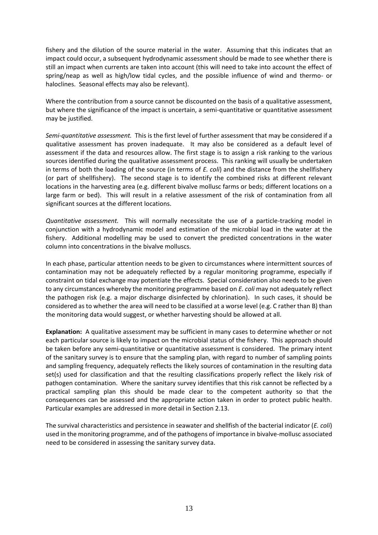fishery and the dilution of the source material in the water. Assuming that this indicates that an impact could occur, a subsequent hydrodynamic assessment should be made to see whether there is still an impact when currents are taken into account (this will need to take into account the effect of spring/neap as well as high/low tidal cycles, and the possible influence of wind and thermo- or haloclines. Seasonal effects may also be relevant).

Where the contribution from a source cannot be discounted on the basis of a qualitative assessment, but where the significance of the impact is uncertain, a semi-quantitative or quantitative assessment may be justified.

*Semi-quantitative assessment.* This is the first level of further assessment that may be considered if a qualitative assessment has proven inadequate. It may also be considered as a default level of assessment if the data and resources allow. The first stage is to assign a risk ranking to the various sources identified during the qualitative assessment process. This ranking will usually be undertaken in terms of both the loading of the source (in terms of *E. coli*) and the distance from the shellfishery (or part of shellfishery). The second stage is to identify the combined risks at different relevant locations in the harvesting area (e.g. different bivalve mollusc farms or beds; different locations on a large farm or bed). This will result in a relative assessment of the risk of contamination from all significant sources at the different locations.

*Quantitative assessment.* This will normally necessitate the use of a particle-tracking model in conjunction with a hydrodynamic model and estimation of the microbial load in the water at the fishery. Additional modelling may be used to convert the predicted concentrations in the water column into concentrations in the bivalve molluscs.

In each phase, particular attention needs to be given to circumstances where intermittent sources of contamination may not be adequately reflected by a regular monitoring programme, especially if constraint on tidal exchange may potentiate the effects. Special consideration also needs to be given to any circumstances whereby the monitoring programme based on *E. coli* may not adequately reflect the pathogen risk (e.g. a major discharge disinfected by chlorination). In such cases, it should be considered as to whether the area will need to be classified at a worse level (e.g. C rather than B) than the monitoring data would suggest, or whether harvesting should be allowed at all.

**Explanation:** A qualitative assessment may be sufficient in many cases to determine whether or not each particular source is likely to impact on the microbial status of the fishery. This approach should be taken before any semi-quantitative or quantitative assessment is considered. The primary intent of the sanitary survey is to ensure that the sampling plan, with regard to number of sampling points and sampling frequency, adequately reflects the likely sources of contamination in the resulting data set(s) used for classification and that the resulting classifications properly reflect the likely risk of pathogen contamination. Where the sanitary survey identifies that this risk cannot be reflected by a practical sampling plan this should be made clear to the competent authority so that the consequences can be assessed and the appropriate action taken in order to protect public health. Particular examples are addressed in more detail in Section 2.13.

The survival characteristics and persistence in seawater and shellfish of the bacterial indicator (*E. coli*) used in the monitoring programme, and of the pathogens of importance in bivalve-mollusc associated need to be considered in assessing the sanitary survey data.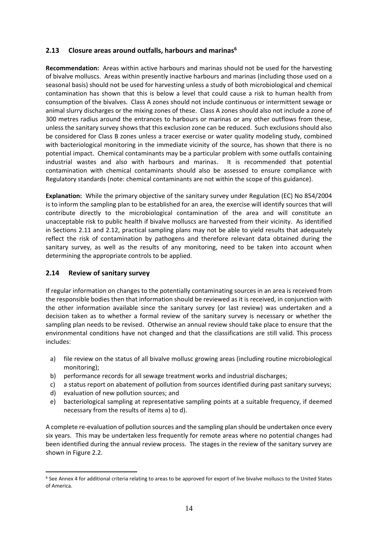#### <span id="page-26-0"></span>**2.13 Closure areas around outfalls, harbours and marinas<sup>6</sup>**

**Recommendation:** Areas within active harbours and marinas should not be used for the harvesting of bivalve molluscs. Areas within presently inactive harbours and marinas (including those used on a seasonal basis) should not be used for harvesting unless a study of both microbiological and chemical contamination has shown that this is below a level that could cause a risk to human health from consumption of the bivalves. Class A zones should not include continuous or intermittent sewage or animal slurry discharges or the mixing zones of these. Class A zones should also not include a zone of 300 metres radius around the entrances to harbours or marinas or any other outflows from these, unless the sanitary survey shows that this exclusion zone can be reduced. Such exclusions should also be considered for Class B zones unless a tracer exercise or water quality modeling study, combined with bacteriological monitoring in the immediate vicinity of the source, has shown that there is no potential impact. Chemical contaminants may be a particular problem with some outfalls containing industrial wastes and also with harbours and marinas. It is recommended that potential contamination with chemical contaminants should also be assessed to ensure compliance with Regulatory standards (note: chemical contaminants are not within the scope of this guidance).

**Explanation:** While the primary objective of the sanitary survey under Regulation (EC) No 854/2004 is to inform the sampling plan to be established for an area, the exercise will identify sources that will contribute directly to the microbiological contamination of the area and will constitute an unacceptable risk to public health if bivalve molluscs are harvested from their vicinity. As identified in Sections 2.11 and 2.12, practical sampling plans may not be able to yield results that adequately reflect the risk of contamination by pathogens and therefore relevant data obtained during the sanitary survey, as well as the results of any monitoring, need to be taken into account when determining the appropriate controls to be applied.

#### <span id="page-26-1"></span>**2.14 Review of sanitary survey**

If regular information on changes to the potentially contaminating sources in an area is received from the responsible bodies then that information should be reviewed as it is received, in conjunction with the other information available since the sanitary survey (or last review) was undertaken and a decision taken as to whether a formal review of the sanitary survey is necessary or whether the sampling plan needs to be revised. Otherwise an annual review should take place to ensure that the environmental conditions have not changed and that the classifications are still valid. This process includes:

- a) file review on the status of all bivalve mollusc growing areas (including routine microbiological monitoring);
- b) performance records for all sewage treatment works and industrial discharges;
- c) a status report on abatement of pollution from sources identified during past sanitary surveys;
- d) evaluation of new pollution sources; and

1

e) bacteriological sampling at representative sampling points at a suitable frequency, if deemed necessary from the results of items a) to d).

A complete re-evaluation of pollution sources and the sampling plan should be undertaken once every six years. This may be undertaken less frequently for remote areas where no potential changes had been identified during the annual review process. The stages in the review of the sanitary survey are shown in Figure 2.2.

<sup>&</sup>lt;sup>6</sup> See Annex 4 for additional criteria relating to areas to be approved for export of live bivalve molluscs to the United States of America.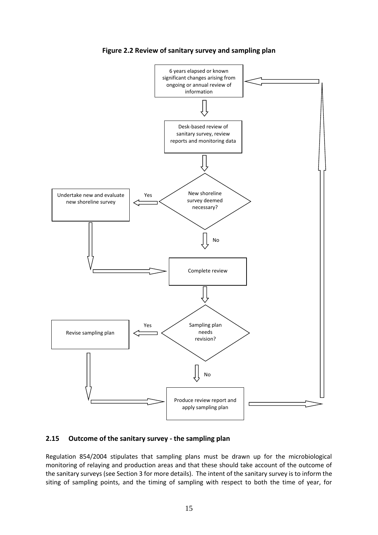<span id="page-27-1"></span>

**Figure 2.2 Review of sanitary survey and sampling plan** 

#### <span id="page-27-0"></span>**2.15 Outcome of the sanitary survey - the sampling plan**

Regulation 854/2004 stipulates that sampling plans must be drawn up for the microbiological monitoring of relaying and production areas and that these should take account of the outcome of the sanitary surveys (see Section 3 for more details). The intent of the sanitary survey is to inform the siting of sampling points, and the timing of sampling with respect to both the time of year, for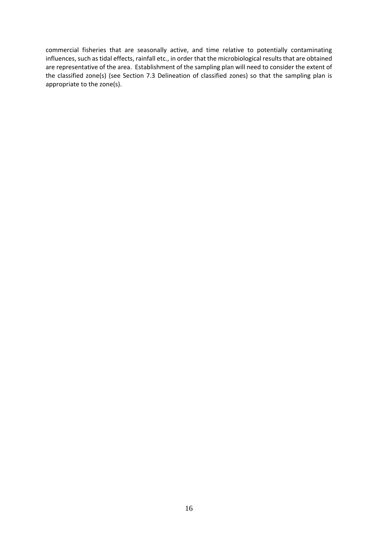commercial fisheries that are seasonally active, and time relative to potentially contaminating influences, such as tidal effects, rainfall etc., in order that the microbiological results that are obtained are representative of the area. Establishment of the sampling plan will need to consider the extent of the classified zone(s) (see Section 7.3 Delineation of classified zones) so that the sampling plan is appropriate to the zone(s).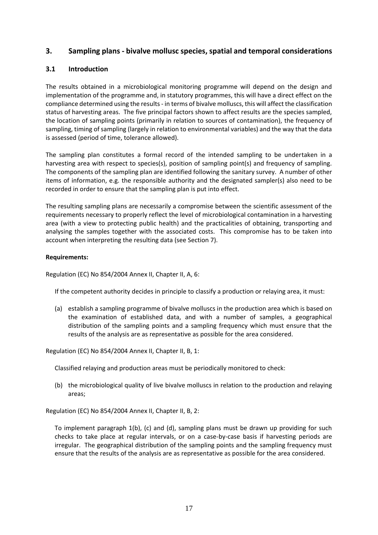# <span id="page-29-0"></span>**3. Sampling plans - bivalve mollusc species, spatial and temporal considerations**

#### <span id="page-29-1"></span>**3.1 Introduction**

The results obtained in a microbiological monitoring programme will depend on the design and implementation of the programme and, in statutory programmes, this will have a direct effect on the compliance determined using the results - in terms of bivalve molluscs, this will affect the classification status of harvesting areas. The five principal factors shown to affect results are the species sampled, the location of sampling points (primarily in relation to sources of contamination), the frequency of sampling, timing of sampling (largely in relation to environmental variables) and the way that the data is assessed (period of time, tolerance allowed).

The sampling plan constitutes a formal record of the intended sampling to be undertaken in a harvesting area with respect to species(s), position of sampling point(s) and frequency of sampling. The components of the sampling plan are identified following the sanitary survey. A number of other items of information, e.g. the responsible authority and the designated sampler(s) also need to be recorded in order to ensure that the sampling plan is put into effect.

The resulting sampling plans are necessarily a compromise between the scientific assessment of the requirements necessary to properly reflect the level of microbiological contamination in a harvesting area (with a view to protecting public health) and the practicalities of obtaining, transporting and analysing the samples together with the associated costs. This compromise has to be taken into account when interpreting the resulting data (see Section 7).

#### **Requirements:**

Regulation (EC) No 854/2004 Annex II, Chapter II, A, 6:

If the competent authority decides in principle to classify a production or relaying area, it must:

(a) establish a sampling programme of bivalve molluscs in the production area which is based on the examination of established data, and with a number of samples, a geographical distribution of the sampling points and a sampling frequency which must ensure that the results of the analysis are as representative as possible for the area considered.

Regulation (EC) No 854/2004 Annex II, Chapter II, B, 1:

Classified relaying and production areas must be periodically monitored to check:

(b) the microbiological quality of live bivalve molluscs in relation to the production and relaying areas;

Regulation (EC) No 854/2004 Annex II, Chapter II, B, 2:

To implement paragraph 1(b), (c) and (d), sampling plans must be drawn up providing for such checks to take place at regular intervals, or on a case-by-case basis if harvesting periods are irregular. The geographical distribution of the sampling points and the sampling frequency must ensure that the results of the analysis are as representative as possible for the area considered.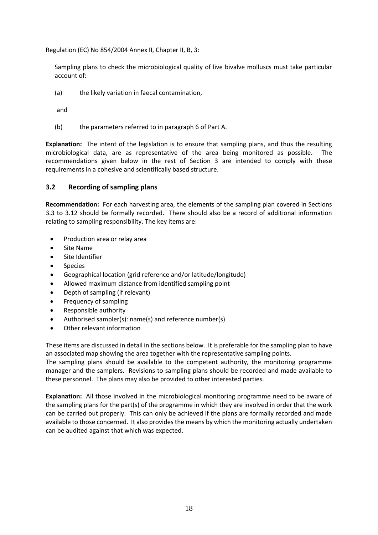Regulation (EC) No 854/2004 Annex II, Chapter II, B, 3:

Sampling plans to check the microbiological quality of live bivalve molluscs must take particular account of:

(a) the likely variation in faecal contamination,

and

(b) the parameters referred to in paragraph 6 of Part A.

**Explanation:** The intent of the legislation is to ensure that sampling plans, and thus the resulting microbiological data, are as representative of the area being monitored as possible. The recommendations given below in the rest of Section 3 are intended to comply with these requirements in a cohesive and scientifically based structure.

#### <span id="page-30-0"></span>**3.2 Recording of sampling plans**

**Recommendation:** For each harvesting area, the elements of the sampling plan covered in Sections 3.3 to 3.12 should be formally recorded. There should also be a record of additional information relating to sampling responsibility. The key items are:

- Production area or relay area
- Site Name
- Site Identifier
- Species
- Geographical location (grid reference and/or latitude/longitude)
- Allowed maximum distance from identified sampling point
- Depth of sampling (if relevant)
- Frequency of sampling
- Responsible authority
- Authorised sampler(s): name(s) and reference number(s)
- Other relevant information

These items are discussed in detail in the sections below. It is preferable for the sampling plan to have an associated map showing the area together with the representative sampling points.

The sampling plans should be available to the competent authority, the monitoring programme manager and the samplers. Revisions to sampling plans should be recorded and made available to these personnel. The plans may also be provided to other interested parties.

**Explanation:** All those involved in the microbiological monitoring programme need to be aware of the sampling plans for the part(s) of the programme in which they are involved in order that the work can be carried out properly. This can only be achieved if the plans are formally recorded and made available to those concerned. It also provides the means by which the monitoring actually undertaken can be audited against that which was expected.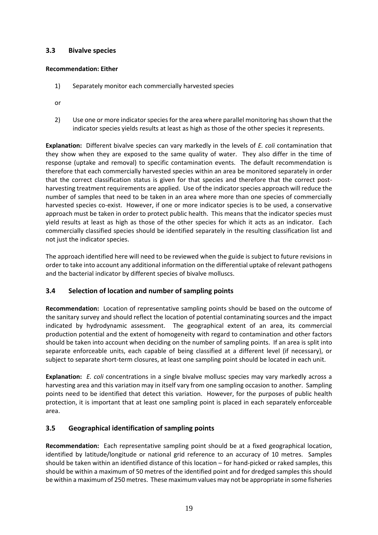#### <span id="page-31-0"></span>**3.3 Bivalve species**

#### **Recommendation: Either**

- 1) Separately monitor each commercially harvested species
- or
- 2) Use one or more indicator species for the area where parallel monitoring has shown that the indicator species yields results at least as high as those of the other species it represents.

**Explanation:** Different bivalve species can vary markedly in the levels of *E. coli* contamination that they show when they are exposed to the same quality of water. They also differ in the time of response (uptake and removal) to specific contamination events. The default recommendation is therefore that each commercially harvested species within an area be monitored separately in order that the correct classification status is given for that species and therefore that the correct postharvesting treatment requirements are applied. Use of the indicator species approach will reduce the number of samples that need to be taken in an area where more than one species of commercially harvested species co-exist. However, if one or more indicator species is to be used, a conservative approach must be taken in order to protect public health. This means that the indicator species must yield results at least as high as those of the other species for which it acts as an indicator. Each commercially classified species should be identified separately in the resulting classification list and not just the indicator species.

The approach identified here will need to be reviewed when the guide is subject to future revisions in order to take into account any additional information on the differential uptake of relevant pathogens and the bacterial indicator by different species of bivalve molluscs.

# <span id="page-31-1"></span>**3.4 Selection of location and number of sampling points**

**Recommendation:** Location of representative sampling points should be based on the outcome of the sanitary survey and should reflect the location of potential contaminating sources and the impact indicated by hydrodynamic assessment. The geographical extent of an area, its commercial production potential and the extent of homogeneity with regard to contamination and other factors should be taken into account when deciding on the number of sampling points. If an area is split into separate enforceable units, each capable of being classified at a different level (if necessary), or subject to separate short-term closures, at least one sampling point should be located in each unit.

**Explanation:** *E. coli* concentrations in a single bivalve mollusc species may vary markedly across a harvesting area and this variation may in itself vary from one sampling occasion to another. Sampling points need to be identified that detect this variation. However, for the purposes of public health protection, it is important that at least one sampling point is placed in each separately enforceable area.

# <span id="page-31-2"></span>**3.5 Geographical identification of sampling points**

**Recommendation:** Each representative sampling point should be at a fixed geographical location, identified by latitude/longitude or national grid reference to an accuracy of 10 metres. Samples should be taken within an identified distance of this location – for hand-picked or raked samples, this should be within a maximum of 50 metres of the identified point and for dredged samples this should be within a maximum of 250 metres. These maximum values may not be appropriate in some fisheries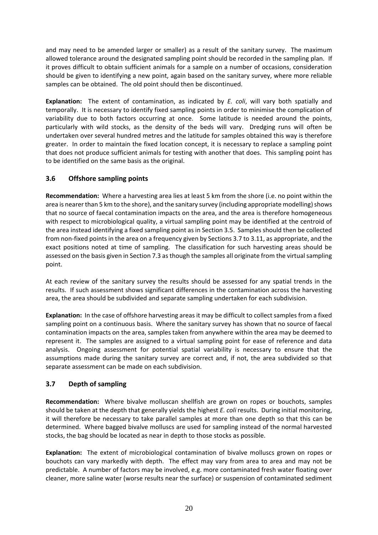and may need to be amended larger or smaller) as a result of the sanitary survey. The maximum allowed tolerance around the designated sampling point should be recorded in the sampling plan. If it proves difficult to obtain sufficient animals for a sample on a number of occasions, consideration should be given to identifying a new point, again based on the sanitary survey, where more reliable samples can be obtained. The old point should then be discontinued.

**Explanation:** The extent of contamination, as indicated by *E. coli*, will vary both spatially and temporally. It is necessary to identify fixed sampling points in order to minimise the complication of variability due to both factors occurring at once. Some latitude is needed around the points, particularly with wild stocks, as the density of the beds will vary. Dredging runs will often be undertaken over several hundred metres and the latitude for samples obtained this way is therefore greater. In order to maintain the fixed location concept, it is necessary to replace a sampling point that does not produce sufficient animals for testing with another that does. This sampling point has to be identified on the same basis as the original.

# <span id="page-32-0"></span>**3.6 Offshore sampling points**

**Recommendation:** Where a harvesting area lies at least 5 km from the shore (i.e. no point within the area is nearer than 5 km to the shore), and the sanitary survey (including appropriate modelling) shows that no source of faecal contamination impacts on the area, and the area is therefore homogeneous with respect to microbiological quality, a virtual sampling point may be identified at the centroid of the area instead identifying a fixed sampling point as in Section 3.5. Samples should then be collected from non-fixed points in the area on a frequency given by Sections 3.7 to 3.11, as appropriate, and the exact positions noted at time of sampling. The classification for such harvesting areas should be assessed on the basis given in Section 7.3 as though the samples all originate from the virtual sampling point.

At each review of the sanitary survey the results should be assessed for any spatial trends in the results. If such assessment shows significant differences in the contamination across the harvesting area, the area should be subdivided and separate sampling undertaken for each subdivision.

**Explanation:** In the case of offshore harvesting areas it may be difficult to collect samples from a fixed sampling point on a continuous basis. Where the sanitary survey has shown that no source of faecal contamination impacts on the area, samples taken from anywhere within the area may be deemed to represent it. The samples are assigned to a virtual sampling point for ease of reference and data analysis. Ongoing assessment for potential spatial variability is necessary to ensure that the assumptions made during the sanitary survey are correct and, if not, the area subdivided so that separate assessment can be made on each subdivision.

# <span id="page-32-1"></span>**3.7 Depth of sampling**

**Recommendation:** Where bivalve molluscan shellfish are grown on ropes or bouchots, samples should be taken at the depth that generally yields the highest *E. coli* results. During initial monitoring, it will therefore be necessary to take parallel samples at more than one depth so that this can be determined. Where bagged bivalve molluscs are used for sampling instead of the normal harvested stocks, the bag should be located as near in depth to those stocks as possible.

**Explanation:** The extent of microbiological contamination of bivalve molluscs grown on ropes or bouchots can vary markedly with depth. The effect may vary from area to area and may not be predictable. A number of factors may be involved, e.g. more contaminated fresh water floating over cleaner, more saline water (worse results near the surface) or suspension of contaminated sediment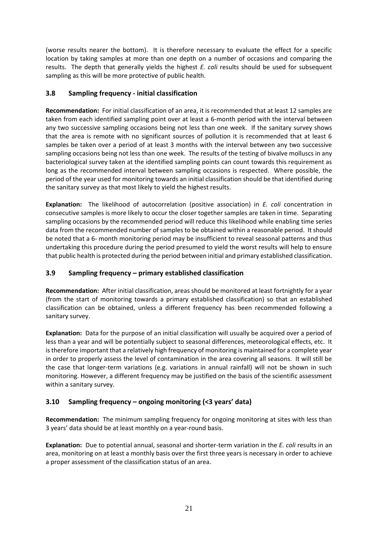(worse results nearer the bottom). It is therefore necessary to evaluate the effect for a specific location by taking samples at more than one depth on a number of occasions and comparing the results. The depth that generally yields the highest *E. coli* results should be used for subsequent sampling as this will be more protective of public health.

# <span id="page-33-0"></span>**3.8 Sampling frequency - initial classification**

**Recommendation:** For initial classification of an area, it is recommended that at least 12 samples are taken from each identified sampling point over at least a 6-month period with the interval between any two successive sampling occasions being not less than one week. If the sanitary survey shows that the area is remote with no significant sources of pollution it is recommended that at least 6 samples be taken over a period of at least 3 months with the interval between any two successive sampling occasions being not less than one week. The results of the testing of bivalve molluscs in any bacteriological survey taken at the identified sampling points can count towards this requirement as long as the recommended interval between sampling occasions is respected. Where possible, the period of the year used for monitoring towards an initial classification should be that identified during the sanitary survey as that most likely to yield the highest results.

**Explanation:** The likelihood of autocorrelation (positive association) in *E. coli* concentration in consecutive samples is more likely to occur the closer together samples are taken in time. Separating sampling occasions by the recommended period will reduce this likelihood while enabling time series data from the recommended number of samples to be obtained within a reasonable period. It should be noted that a 6- month monitoring period may be insufficient to reveal seasonal patterns and thus undertaking this procedure during the period presumed to yield the worst results will help to ensure that public health is protected during the period between initial and primary established classification.

# <span id="page-33-1"></span>**3.9 Sampling frequency – primary established classification**

**Recommendation:** After initial classification, areas should be monitored at least fortnightly for a year (from the start of monitoring towards a primary established classification) so that an established classification can be obtained, unless a different frequency has been recommended following a sanitary survey.

**Explanation:** Data for the purpose of an initial classification will usually be acquired over a period of less than a year and will be potentially subject to seasonal differences, meteorological effects, etc. It is therefore important that a relatively high frequency of monitoring is maintained for a complete year in order to properly assess the level of contamination in the area covering all seasons. It will still be the case that longer-term variations (e.g. variations in annual rainfall) will not be shown in such monitoring. However, a different frequency may be justified on the basis of the scientific assessment within a sanitary survey.

# <span id="page-33-2"></span>**3.10 Sampling frequency – ongoing monitoring (<3 years' data)**

**Recommendation:** The minimum sampling frequency for ongoing monitoring at sites with less than 3 years' data should be at least monthly on a year-round basis.

**Explanation:** Due to potential annual, seasonal and shorter-term variation in the *E. coli* results in an area, monitoring on at least a monthly basis over the first three years is necessary in order to achieve a proper assessment of the classification status of an area.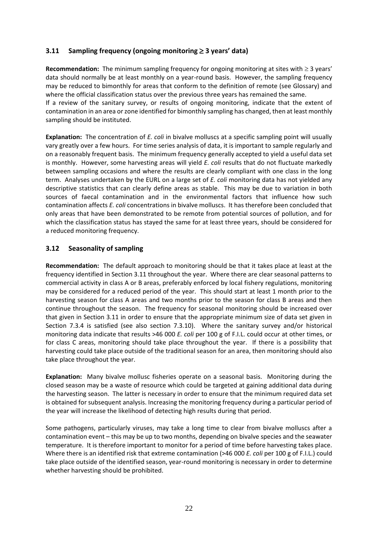# <span id="page-34-0"></span>**3.11** Sampling frequency (ongoing monitoring  $\geq$  3 years' data)

**Recommendation:** The minimum sampling frequency for ongoing monitoring at sites with  $\geq 3$  years' data should normally be at least monthly on a year-round basis. However, the sampling frequency may be reduced to bimonthly for areas that conform to the definition of remote (see Glossary) and where the official classification status over the previous three years has remained the same.

If a review of the sanitary survey, or results of ongoing monitoring, indicate that the extent of contamination in an area or zone identified for bimonthly sampling has changed, then at least monthly sampling should be instituted.

**Explanation:** The concentration of *E. coli* in bivalve molluscs at a specific sampling point will usually vary greatly over a few hours. For time series analysis of data, it is important to sample regularly and on a reasonably frequent basis. The minimum frequency generally accepted to yield a useful data set is monthly. However, some harvesting areas will yield *E. coli* results that do not fluctuate markedly between sampling occasions and where the results are clearly compliant with one class in the long term. Analyses undertaken by the EURL on a large set of *E. coli* monitoring data has not yielded any descriptive statistics that can clearly define areas as stable. This may be due to variation in both sources of faecal contamination and in the environmental factors that influence how such contamination affects *E. coli* concentrations in bivalve molluscs. It has therefore been concluded that only areas that have been demonstrated to be remote from potential sources of pollution, and for which the classification status has stayed the same for at least three years, should be considered for a reduced monitoring frequency.

#### <span id="page-34-1"></span>**3.12 Seasonality of sampling**

**Recommendation:** The default approach to monitoring should be that it takes place at least at the frequency identified in Section 3.11 throughout the year. Where there are clear seasonal patterns to commercial activity in class A or B areas, preferably enforced by local fishery regulations, monitoring may be considered for a reduced period of the year. This should start at least 1 month prior to the harvesting season for class A areas and two months prior to the season for class B areas and then continue throughout the season. The frequency for seasonal monitoring should be increased over that given in Section 3.11 in order to ensure that the appropriate minimum size of data set given in Section 7.3.4 is satisfied (see also section 7.3.10). Where the sanitary survey and/or historical monitoring data indicate that results >46 000 *E. coli* per 100 g of F.I.L. could occur at other times, or for class C areas, monitoring should take place throughout the year. If there is a possibility that harvesting could take place outside of the traditional season for an area, then monitoring should also take place throughout the year.

**Explanation:** Many bivalve mollusc fisheries operate on a seasonal basis. Monitoring during the closed season may be a waste of resource which could be targeted at gaining additional data during the harvesting season. The latter is necessary in order to ensure that the minimum required data set is obtained for subsequent analysis. Increasing the monitoring frequency during a particular period of the year will increase the likelihood of detecting high results during that period.

Some pathogens, particularly viruses, may take a long time to clear from bivalve molluscs after a contamination event – this may be up to two months, depending on bivalve species and the seawater temperature. It is therefore important to monitor for a period of time before harvesting takes place. Where there is an identified risk that extreme contamination (>46 000 *E. coli* per 100 g of F.I.L.) could take place outside of the identified season, year-round monitoring is necessary in order to determine whether harvesting should be prohibited.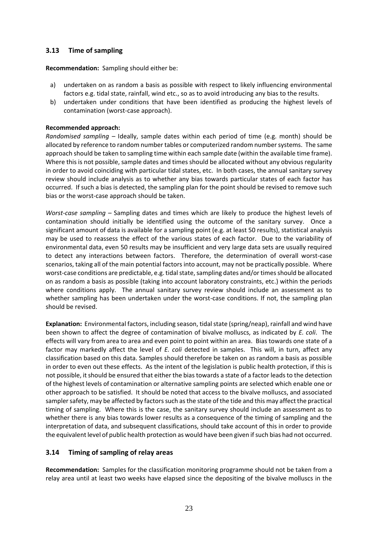# <span id="page-35-0"></span>**3.13 Time of sampling**

**Recommendation:** Sampling should either be:

- a) undertaken on as random a basis as possible with respect to likely influencing environmental factors e.g. tidal state, rainfall, wind etc., so as to avoid introducing any bias to the results.
- b) undertaken under conditions that have been identified as producing the highest levels of contamination (worst-case approach).

#### **Recommended approach:**

*Randomised sampling –* Ideally, sample dates within each period of time (e.g. month) should be allocated by reference to random number tables or computerized random number systems. The same approach should be taken to sampling time within each sample date (within the available time frame). Where this is not possible, sample dates and times should be allocated without any obvious regularity in order to avoid coinciding with particular tidal states, etc. In both cases, the annual sanitary survey review should include analysis as to whether any bias towards particular states of each factor has occurred. If such a bias is detected, the sampling plan for the point should be revised to remove such bias or the worst-case approach should be taken.

*Worst-case sampling –* Sampling dates and times which are likely to produce the highest levels of contamination should initially be identified using the outcome of the sanitary survey. Once a significant amount of data is available for a sampling point (e.g. at least 50 results), statistical analysis may be used to reassess the effect of the various states of each factor. Due to the variability of environmental data, even 50 results may be insufficient and very large data sets are usually required to detect any interactions between factors. Therefore, the determination of overall worst-case scenarios, taking all of the main potential factors into account, may not be practically possible. Where worst-case conditions are predictable, e.g. tidal state, sampling dates and/or times should be allocated on as random a basis as possible (taking into account laboratory constraints, etc.) within the periods where conditions apply. The annual sanitary survey review should include an assessment as to whether sampling has been undertaken under the worst-case conditions. If not, the sampling plan should be revised.

**Explanation:** Environmental factors, including season, tidal state (spring/neap), rainfall and wind have been shown to affect the degree of contamination of bivalve molluscs, as indicated by *E. coli*. The effects will vary from area to area and even point to point within an area. Bias towards one state of a factor may markedly affect the level of *E. coli* detected in samples. This will, in turn, affect any classification based on this data. Samples should therefore be taken on as random a basis as possible in order to even out these effects. As the intent of the legislation is public health protection, if this is not possible, it should be ensured that either the bias towards a state of a factor leads to the detection of the highest levels of contamination or alternative sampling points are selected which enable one or other approach to be satisfied. It should be noted that access to the bivalve molluscs, and associated sampler safety, may be affected by factors such as the state of the tide and this may affect the practical timing of sampling. Where this is the case, the sanitary survey should include an assessment as to whether there is any bias towards lower results as a consequence of the timing of sampling and the interpretation of data, and subsequent classifications, should take account of this in order to provide the equivalent level of public health protection as would have been given if such bias had not occurred.

#### <span id="page-35-1"></span>**3.14 Timing of sampling of relay areas**

**Recommendation:** Samples for the classification monitoring programme should not be taken from a relay area until at least two weeks have elapsed since the depositing of the bivalve molluscs in the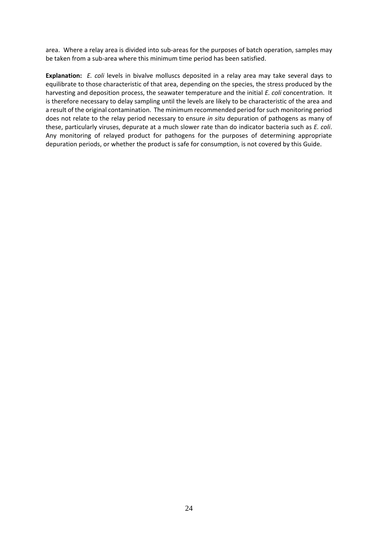area. Where a relay area is divided into sub-areas for the purposes of batch operation, samples may be taken from a sub-area where this minimum time period has been satisfied.

**Explanation:** *E. coli* levels in bivalve molluscs deposited in a relay area may take several days to equilibrate to those characteristic of that area, depending on the species, the stress produced by the harvesting and deposition process, the seawater temperature and the initial *E. coli* concentration. It is therefore necessary to delay sampling until the levels are likely to be characteristic of the area and a result of the original contamination. The minimum recommended period for such monitoring period does not relate to the relay period necessary to ensure *in situ* depuration of pathogens as many of these, particularly viruses, depurate at a much slower rate than do indicator bacteria such as *E. coli*. Any monitoring of relayed product for pathogens for the purposes of determining appropriate depuration periods, or whether the product is safe for consumption, is not covered by this Guide.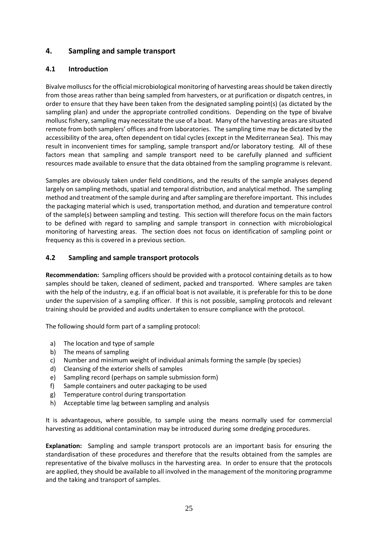# **4. Sampling and sample transport**

## **4.1 Introduction**

Bivalve molluscs for the official microbiological monitoring of harvesting areas should be taken directly from those areas rather than being sampled from harvesters, or at purification or dispatch centres, in order to ensure that they have been taken from the designated sampling point(s) (as dictated by the sampling plan) and under the appropriate controlled conditions. Depending on the type of bivalve mollusc fishery, sampling may necessitate the use of a boat. Many of the harvesting areas are situated remote from both samplers' offices and from laboratories. The sampling time may be dictated by the accessibility of the area, often dependent on tidal cycles (except in the Mediterranean Sea). This may result in inconvenient times for sampling, sample transport and/or laboratory testing. All of these factors mean that sampling and sample transport need to be carefully planned and sufficient resources made available to ensure that the data obtained from the sampling programme is relevant.

Samples are obviously taken under field conditions, and the results of the sample analyses depend largely on sampling methods, spatial and temporal distribution, and analytical method. The sampling method and treatment of the sample during and after sampling are therefore important. This includes the packaging material which is used, transportation method, and duration and temperature control of the sample(s) between sampling and testing. This section will therefore focus on the main factors to be defined with regard to sampling and sample transport in connection with microbiological monitoring of harvesting areas. The section does not focus on identification of sampling point or frequency as this is covered in a previous section.

## **4.2 Sampling and sample transport protocols**

**Recommendation:** Sampling officers should be provided with a protocol containing details as to how samples should be taken, cleaned of sediment, packed and transported. Where samples are taken with the help of the industry, e.g. if an official boat is not available, it is preferable for this to be done under the supervision of a sampling officer. If this is not possible, sampling protocols and relevant training should be provided and audits undertaken to ensure compliance with the protocol.

The following should form part of a sampling protocol:

- a) The location and type of sample
- b) The means of sampling
- c) Number and minimum weight of individual animals forming the sample (by species)
- d) Cleansing of the exterior shells of samples
- e) Sampling record (perhaps on sample submission form)
- f) Sample containers and outer packaging to be used
- g) Temperature control during transportation
- h) Acceptable time lag between sampling and analysis

It is advantageous, where possible, to sample using the means normally used for commercial harvesting as additional contamination may be introduced during some dredging procedures.

**Explanation:** Sampling and sample transport protocols are an important basis for ensuring the standardisation of these procedures and therefore that the results obtained from the samples are representative of the bivalve molluscs in the harvesting area. In order to ensure that the protocols are applied, they should be available to all involved in the management of the monitoring programme and the taking and transport of samples.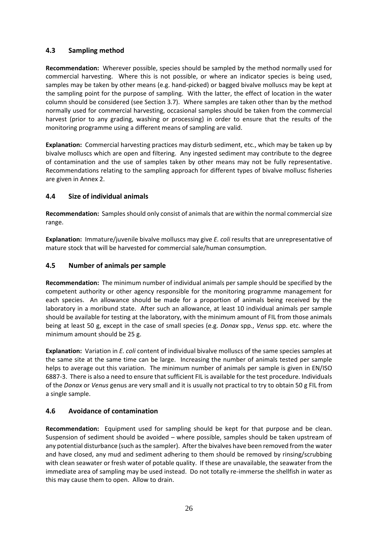## **4.3 Sampling method**

**Recommendation:** Wherever possible, species should be sampled by the method normally used for commercial harvesting. Where this is not possible, or where an indicator species is being used, samples may be taken by other means (e.g. hand-picked) or bagged bivalve molluscs may be kept at the sampling point for the purpose of sampling. With the latter, the effect of location in the water column should be considered (see Section 3.7). Where samples are taken other than by the method normally used for commercial harvesting, occasional samples should be taken from the commercial harvest (prior to any grading, washing or processing) in order to ensure that the results of the monitoring programme using a different means of sampling are valid.

**Explanation:** Commercial harvesting practices may disturb sediment, etc., which may be taken up by bivalve molluscs which are open and filtering. Any ingested sediment may contribute to the degree of contamination and the use of samples taken by other means may not be fully representative. Recommendations relating to the sampling approach for different types of bivalve mollusc fisheries are given in Annex 2.

## **4.4 Size of individual animals**

**Recommendation:** Samples should only consist of animals that are within the normal commercial size range.

**Explanation:** Immature/juvenile bivalve molluscs may give *E. coli* results that are unrepresentative of mature stock that will be harvested for commercial sale/human consumption.

# **4.5 Number of animals per sample**

**Recommendation:** The minimum number of individual animals per sample should be specified by the competent authority or other agency responsible for the monitoring programme management for each species. An allowance should be made for a proportion of animals being received by the laboratory in a moribund state. After such an allowance, at least 10 individual animals per sample should be available for testing at the laboratory, with the minimum amount of FIL from those animals being at least 50 g, except in the case of small species (e.g. *Donax* spp., *Venus* spp. etc. where the minimum amount should be 25 g.

**Explanation:** Variation in *E. coli* content of individual bivalve molluscs of the same species samples at the same site at the same time can be large. Increasing the number of animals tested per sample helps to average out this variation. The minimum number of animals per sample is given in EN/ISO 6887-3. There is also a need to ensure that sufficient FIL is available for the test procedure. Individuals of the *Donax* or *Venus* genus are very small and it is usually not practical to try to obtain 50 g FIL from a single sample.

## **4.6 Avoidance of contamination**

**Recommendation:** Equipment used for sampling should be kept for that purpose and be clean. Suspension of sediment should be avoided – where possible, samples should be taken upstream of any potential disturbance (such as the sampler). After the bivalves have been removed from the water and have closed, any mud and sediment adhering to them should be removed by rinsing/scrubbing with clean seawater or fresh water of potable quality. If these are unavailable, the seawater from the immediate area of sampling may be used instead. Do not totally re-immerse the shellfish in water as this may cause them to open. Allow to drain.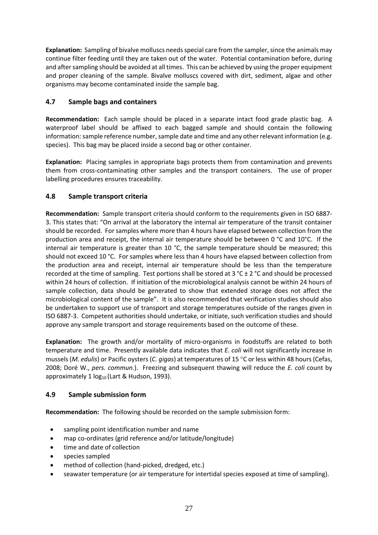**Explanation:** Sampling of bivalve molluscs needs special care from the sampler, since the animals may continue filter feeding until they are taken out of the water. Potential contamination before, during and after sampling should be avoided at all times. This can be achieved by using the proper equipment and proper cleaning of the sample. Bivalve molluscs covered with dirt, sediment, algae and other organisms may become contaminated inside the sample bag.

# **4.7 Sample bags and containers**

**Recommendation:** Each sample should be placed in a separate intact food grade plastic bag. A waterproof label should be affixed to each bagged sample and should contain the following information: sample reference number, sample date and time and any other relevant information (e.g. species). This bag may be placed inside a second bag or other container.

**Explanation:** Placing samples in appropriate bags protects them from contamination and prevents them from cross-contaminating other samples and the transport containers. The use of proper labelling procedures ensures traceability.

## **4.8 Sample transport criteria**

**Recommendation:** Sample transport criteria should conform to the requirements given in ISO 6887- 3. This states that: "On arrival at the laboratory the internal air temperature of the transit container should be recorded. For samples where more than 4 hours have elapsed between collection from the production area and receipt, the internal air temperature should be between 0 °C and 10°C. If the internal air temperature is greater than 10 °C, the sample temperature should be measured; this should not exceed 10 °C. For samples where less than 4 hours have elapsed between collection from the production area and receipt, internal air temperature should be less than the temperature recorded at the time of sampling. Test portions shall be stored at 3 °C  $\pm$  2 °C and should be processed within 24 hours of collection. If initiation of the microbiological analysis cannot be within 24 hours of sample collection, data should be generated to show that extended storage does not affect the microbiological content of the sample". It is also recommended that verification studies should also be undertaken to support use of transport and storage temperatures outside of the ranges given in ISO 6887-3. Competent authorities should undertake, or initiate, such verification studies and should approve any sample transport and storage requirements based on the outcome of these.

**Explanation:** The growth and/or mortality of micro-organisms in foodstuffs are related to both temperature and time. Presently available data indicates that *E. coli* will not significantly increase in mussels (*M. edulis*) or Pacific oysters (*C. gigas*) at temperatures of 15 °C or less within 48 hours (Cefas, 2008; Doré W., *pers. commun.*). Freezing and subsequent thawing will reduce the *E. coli* count by approximately  $1 \log_{10}$  (Lart & Hudson, 1993).

## **4.9 Sample submission form**

**Recommendation:** The following should be recorded on the sample submission form:

- sampling point identification number and name
- map co-ordinates (grid reference and/or latitude/longitude)
- time and date of collection
- species sampled
- method of collection (hand-picked, dredged, etc.)
- seawater temperature (or air temperature for intertidal species exposed at time of sampling).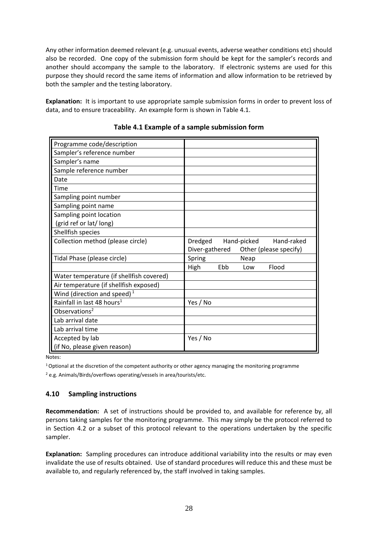Any other information deemed relevant (e.g. unusual events, adverse weather conditions etc) should also be recorded. One copy of the submission form should be kept for the sampler's records and another should accompany the sample to the laboratory. If electronic systems are used for this purpose they should record the same items of information and allow information to be retrieved by both the sampler and the testing laboratory.

**Explanation:** It is important to use appropriate sample submission forms in order to prevent loss of data, and to ensure traceability. An example form is shown in Table 4.1.

| Programme code/description               |                                          |
|------------------------------------------|------------------------------------------|
| Sampler's reference number               |                                          |
| Sampler's name                           |                                          |
| Sample reference number                  |                                          |
| Date                                     |                                          |
| Time                                     |                                          |
| Sampling point number                    |                                          |
| Sampling point name                      |                                          |
| Sampling point location                  |                                          |
| (grid ref or lat/long)                   |                                          |
| Shellfish species                        |                                          |
| Collection method (please circle)        | Dredged<br>Hand-picked<br>Hand-raked     |
|                                          | Diver-gathered<br>Other (please specify) |
| Tidal Phase (please circle)              | Spring<br>Neap                           |
|                                          | Ebb<br>Flood<br>High<br>Low              |
| Water temperature (if shellfish covered) |                                          |
| Air temperature (if shellfish exposed)   |                                          |
| Wind (direction and speed) $1$           |                                          |
| Rainfall in last 48 hours <sup>1</sup>   | Yes / No                                 |
| Observations <sup>2</sup>                |                                          |
| Lab arrival date                         |                                          |
| Lab arrival time                         |                                          |
| Accepted by lab                          | Yes / No                                 |
| (if No, please given reason)             |                                          |

Notes:

 $1$  Optional at the discretion of the competent authority or other agency managing the monitoring programme

<sup>2</sup> e.g. Animals/Birds/overflows operating/vessels in area/tourists/etc.

## **4.10 Sampling instructions**

**Recommendation:** A set of instructions should be provided to, and available for reference by, all persons taking samples for the monitoring programme. This may simply be the protocol referred to in Section 4.2 or a subset of this protocol relevant to the operations undertaken by the specific sampler.

**Explanation:** Sampling procedures can introduce additional variability into the results or may even invalidate the use of results obtained. Use of standard procedures will reduce this and these must be available to, and regularly referenced by, the staff involved in taking samples.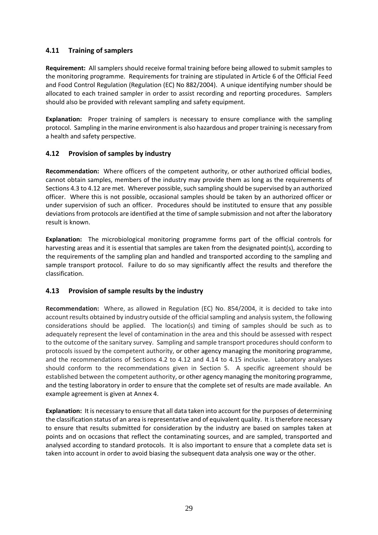## **4.11 Training of samplers**

**Requirement:** All samplers should receive formal training before being allowed to submit samples to the monitoring programme. Requirements for training are stipulated in Article 6 of the Official Feed and Food Control Regulation (Regulation (EC) No 882/2004). A unique identifying number should be allocated to each trained sampler in order to assist recording and reporting procedures. Samplers should also be provided with relevant sampling and safety equipment.

**Explanation:** Proper training of samplers is necessary to ensure compliance with the sampling protocol. Sampling in the marine environment is also hazardous and proper training is necessary from a health and safety perspective.

## **4.12 Provision of samples by industry**

**Recommendation:** Where officers of the competent authority, or other authorized official bodies, cannot obtain samples, members of the industry may provide them as long as the requirements of Sections 4.3 to 4.12 are met. Wherever possible, such sampling should be supervised by an authorized officer. Where this is not possible, occasional samples should be taken by an authorized officer or under supervision of such an officer. Procedures should be instituted to ensure that any possible deviations from protocols are identified at the time of sample submission and not after the laboratory result is known.

**Explanation:** The microbiological monitoring programme forms part of the official controls for harvesting areas and it is essential that samples are taken from the designated point(s), according to the requirements of the sampling plan and handled and transported according to the sampling and sample transport protocol. Failure to do so may significantly affect the results and therefore the classification.

#### **4.13 Provision of sample results by the industry**

**Recommendation:** Where, as allowed in Regulation (EC) No. 854/2004, it is decided to take into account results obtained by industry outside of the official sampling and analysis system, the following considerations should be applied. The location(s) and timing of samples should be such as to adequately represent the level of contamination in the area and this should be assessed with respect to the outcome of the sanitary survey. Sampling and sample transport procedures should conform to protocols issued by the competent authority, or other agency managing the monitoring programme, and the recommendations of Sections 4.2 to 4.12 and 4.14 to 4.15 inclusive. Laboratory analyses should conform to the recommendations given in Section 5. A specific agreement should be established between the competent authority, or other agency managing the monitoring programme, and the testing laboratory in order to ensure that the complete set of results are made available. An example agreement is given at Annex 4.

**Explanation:** It is necessary to ensure that all data taken into account for the purposes of determining the classification status of an area is representative and of equivalent quality. It is therefore necessary to ensure that results submitted for consideration by the industry are based on samples taken at points and on occasions that reflect the contaminating sources, and are sampled, transported and analysed according to standard protocols. It is also important to ensure that a complete data set is taken into account in order to avoid biasing the subsequent data analysis one way or the other.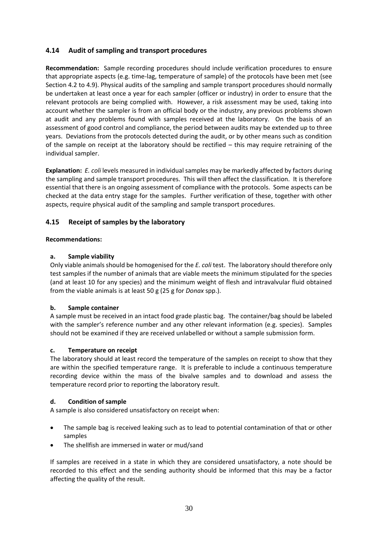## **4.14 Audit of sampling and transport procedures**

**Recommendation:** Sample recording procedures should include verification procedures to ensure that appropriate aspects (e.g. time-lag, temperature of sample) of the protocols have been met (see Section 4.2 to 4.9). Physical audits of the sampling and sample transport procedures should normally be undertaken at least once a year for each sampler (officer or industry) in order to ensure that the relevant protocols are being complied with. However, a risk assessment may be used, taking into account whether the sampler is from an official body or the industry, any previous problems shown at audit and any problems found with samples received at the laboratory. On the basis of an assessment of good control and compliance, the period between audits may be extended up to three years. Deviations from the protocols detected during the audit, or by other means such as condition of the sample on receipt at the laboratory should be rectified – this may require retraining of the individual sampler.

**Explanation:** *E. coli* levels measured in individual samples may be markedly affected by factors during the sampling and sample transport procedures. This will then affect the classification. It is therefore essential that there is an ongoing assessment of compliance with the protocols. Some aspects can be checked at the data entry stage for the samples. Further verification of these, together with other aspects, require physical audit of the sampling and sample transport procedures.

## **4.15 Receipt of samples by the laboratory**

#### **Recommendations:**

#### **a. Sample viability**

Only viable animals should be homogenised for the *E. coli* test. The laboratory should therefore only test samples if the number of animals that are viable meets the minimum stipulated for the species (and at least 10 for any species) and the minimum weight of flesh and intravalvular fluid obtained from the viable animals is at least 50 g (25 g for *Donax* spp.).

#### **b. Sample container**

A sample must be received in an intact food grade plastic bag. The container/bag should be labeled with the sampler's reference number and any other relevant information (e.g. species). Samples should not be examined if they are received unlabelled or without a sample submission form.

#### **c. Temperature on receipt**

The laboratory should at least record the temperature of the samples on receipt to show that they are within the specified temperature range. It is preferable to include a continuous temperature recording device within the mass of the bivalve samples and to download and assess the temperature record prior to reporting the laboratory result.

#### **d. Condition of sample**

A sample is also considered unsatisfactory on receipt when:

- The sample bag is received leaking such as to lead to potential contamination of that or other samples
- The shellfish are immersed in water or mud/sand

If samples are received in a state in which they are considered unsatisfactory, a note should be recorded to this effect and the sending authority should be informed that this may be a factor affecting the quality of the result.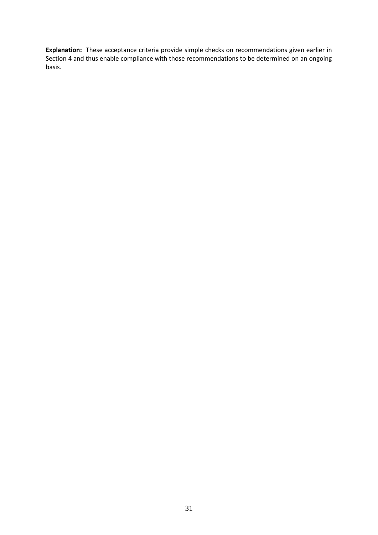**Explanation:** These acceptance criteria provide simple checks on recommendations given earlier in Section 4 and thus enable compliance with those recommendations to be determined on an ongoing basis.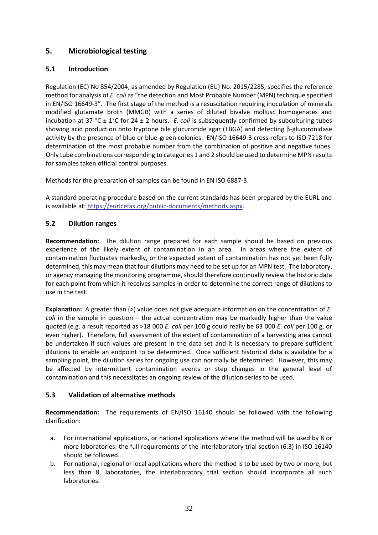# **5. Microbiological testing**

## **5.1 Introduction**

Regulation (EC) No 854/2004, as amended by Regulation (EU) No. 2015/2285, specifies the reference method for analysis of *E. coli* as "the detection and Most Probable Number (MPN) technique specified in EN/ISO 16649-3". The first stage of the method is a resuscitation requiring inoculation of minerals modified glutamate broth (MMGB) with a series of diluted bivalve mollusc homogenates and incubation at 37 °C ± 1°C for 24 ± 2 hours. *E. coli* is subsequently confirmed by subculturing tubes showing acid production onto tryptone bile glucuronide agar (TBGA) and detecting β-glucuronidase activity by the presence of blue or blue-green colonies. EN/ISO 16649-3 cross-refers to ISO 7218 for determination of the most probable number from the combination of positive and negative tubes. Only tube combinations corresponding to categories 1 and 2 should be used to determine MPN results for samples taken official control purposes.

Methods for the preparation of samples can be found in EN ISO 6887-3.

A standard operating procedure based on the current standards has been prepared by the EURL and is available at: [https://eurlcefas.org/public-documents/methods.aspx.](https://eurlcefas.org/public-documents/methods.aspx)

## **5.2 Dilution ranges**

**Recommendation:** The dilution range prepared for each sample should be based on previous experience of the likely extent of contamination in an area. In areas where the extent of contamination fluctuates markedly, or the expected extent of contamination has not yet been fully determined, this may mean that four dilutions may need to be set up for an MPN test. The laboratory, or agency managing the monitoring programme, should therefore continually review the historic data for each point from which it receives samples in order to determine the correct range of dilutions to use in the test.

**Explanation:** A greater than (>) value does not give adequate information on the concentration of *E. coli* in the sample in question – the actual concentration may be markedly higher than the value quoted (e.g. a result reported as >18 000 *E. coli* per 100 g could really be 63 000 *E. coli* per 100 g, or even higher). Therefore, full assessment of the extent of contamination of a harvesting area cannot be undertaken if such values are present in the data set and it is necessary to prepare sufficient dilutions to enable an endpoint to be determined. Once sufficient historical data is available for a sampling point, the dilution series for ongoing use can normally be determined. However, this may be affected by intermittent contamination events or step changes in the general level of contamination and this necessitates an ongoing review of the dilution series to be used.

## **5.3 Validation of alternative methods**

**Recommendation:** The requirements of EN/ISO 16140 should be followed with the following clarification:

- a. For international applications, or national applications where the method will be used by 8 or more laboratories: the full requirements of the interlaboratory trial section (6.3) in ISO 16140 should be followed.
- b. For national, regional or local applications where the method is to be used by two or more, but less than 8, laboratories, the interlaboratory trial section should incorporate all such laboratories.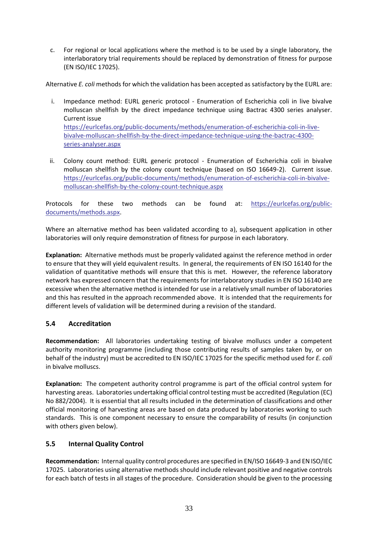c. For regional or local applications where the method is to be used by a single laboratory, the interlaboratory trial requirements should be replaced by demonstration of fitness for purpose (EN ISO/IEC 17025).

Alternative *E. coli* methods for which the validation has been accepted as satisfactory by the EURL are:

- i. Impedance method: EURL generic protocol Enumeration of Escherichia coli in live bivalve molluscan shellfish by the direct impedance technique using Bactrac 4300 series analyser. Current issue [https://eurlcefas.org/public-documents/methods/enumeration-of-escherichia-coli-in-live](https://eurlcefas.org/public-documents/methods/enumeration-of-escherichia-coli-in-live-bivalve-molluscan-shellfish-by-the-direct-impedance-technique-using-the-bactrac-4300-series-analyser.aspx)[bivalve-molluscan-shellfish-by-the-direct-impedance-technique-using-the-bactrac-4300](https://eurlcefas.org/public-documents/methods/enumeration-of-escherichia-coli-in-live-bivalve-molluscan-shellfish-by-the-direct-impedance-technique-using-the-bactrac-4300-series-analyser.aspx) [series-analyser.aspx](https://eurlcefas.org/public-documents/methods/enumeration-of-escherichia-coli-in-live-bivalve-molluscan-shellfish-by-the-direct-impedance-technique-using-the-bactrac-4300-series-analyser.aspx)
- ii. Colony count method: EURL generic protocol Enumeration of Escherichia coli in bivalve molluscan shellfish by the colony count technique (based on ISO 16649-2). Current issue. [https://eurlcefas.org/public-documents/methods/enumeration-of-escherichia-coli-in-bivalve](https://eurlcefas.org/public-documents/methods/enumeration-of-escherichia-coli-in-bivalve-molluscan-shellfish-by-the-colony-count-technique.aspx)[molluscan-shellfish-by-the-colony-count-technique.aspx](https://eurlcefas.org/public-documents/methods/enumeration-of-escherichia-coli-in-bivalve-molluscan-shellfish-by-the-colony-count-technique.aspx)

Protocols for these two methods can be found at: [https://eurlcefas.org/public](https://eurlcefas.org/public-documents/methods.aspx)[documents/methods.aspx.](https://eurlcefas.org/public-documents/methods.aspx)

Where an alternative method has been validated according to a), subsequent application in other laboratories will only require demonstration of fitness for purpose in each laboratory.

**Explanation:** Alternative methods must be properly validated against the reference method in order to ensure that they will yield equivalent results. In general, the requirements of EN ISO 16140 for the validation of quantitative methods will ensure that this is met. However, the reference laboratory network has expressed concern that the requirements for interlaboratory studies in EN ISO 16140 are excessive when the alternative method is intended for use in a relatively small number of laboratories and this has resulted in the approach recommended above. It is intended that the requirements for different levels of validation will be determined during a revision of the standard.

## **5.4 Accreditation**

**Recommendation:** All laboratories undertaking testing of bivalve molluscs under a competent authority monitoring programme (including those contributing results of samples taken by, or on behalf of the industry) must be accredited to EN ISO/IEC 17025 for the specific method used for *E. coli* in bivalve molluscs.

**Explanation:** The competent authority control programme is part of the official control system for harvesting areas. Laboratories undertaking official control testing must be accredited (Regulation (EC) No 882/2004). It is essential that all results included in the determination of classifications and other official monitoring of harvesting areas are based on data produced by laboratories working to such standards. This is one component necessary to ensure the comparability of results (in conjunction with others given below).

## **5.5 Internal Quality Control**

**Recommendation:** Internal quality control procedures are specified in EN/ISO 16649-3 and EN ISO/IEC 17025. Laboratories using alternative methods should include relevant positive and negative controls for each batch of tests in all stages of the procedure. Consideration should be given to the processing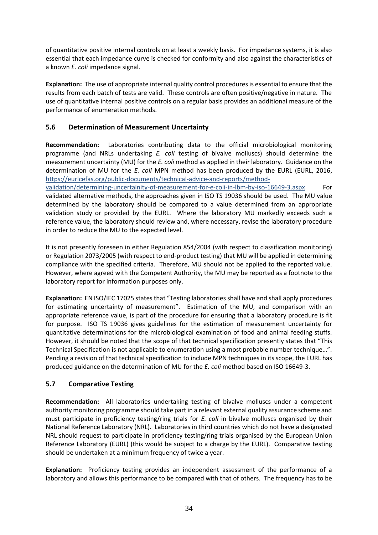of quantitative positive internal controls on at least a weekly basis. For impedance systems, it is also essential that each impedance curve is checked for conformity and also against the characteristics of a known *E. coli* impedance signal.

**Explanation:** The use of appropriate internal quality control procedures is essential to ensure that the results from each batch of tests are valid. These controls are often positive/negative in nature. The use of quantitative internal positive controls on a regular basis provides an additional measure of the performance of enumeration methods.

# **5.6 Determination of Measurement Uncertainty**

**Recommendation:** Laboratories contributing data to the official microbiological monitoring programme (and NRLs undertaking *E. coli* testing of bivalve molluscs) should determine the measurement uncertainty (MU) for the *E. coli* method as applied in their laboratory. Guidance on the determination of MU for the *E. coli* MPN method has been produced by the EURL (EURL, 2016, https://eurlcefas.org[/public-documents/technical-advice-and-reports/method-](https://eurlcefas.org/public-documents/technical-advice-and-reports/method-validation/determining-uncertainity-of-measurement-for-e-coli-in-lbm-by-iso-16649-3.aspx)

[validation/determining-uncertainity-of-measurement-for-e-coli-in-lbm-by-iso-16649-3.aspx](https://eurlcefas.org/public-documents/technical-advice-and-reports/method-validation/determining-uncertainity-of-measurement-for-e-coli-in-lbm-by-iso-16649-3.aspx) For validated alternative methods, the approaches given in ISO TS 19036 should be used. The MU value determined by the laboratory should be compared to a value determined from an appropriate validation study or provided by the EURL. Where the laboratory MU markedly exceeds such a reference value, the laboratory should review and, where necessary, revise the laboratory procedure in order to reduce the MU to the expected level.

It is not presently foreseen in either Regulation 854/2004 (with respect to classification monitoring) or Regulation 2073/2005 (with respect to end-product testing) that MU will be applied in determining compliance with the specified criteria. Therefore, MU should not be applied to the reported value. However, where agreed with the Competent Authority, the MU may be reported as a footnote to the laboratory report for information purposes only.

**Explanation:** EN ISO/IEC 17025 states that "Testing laboratories shall have and shall apply procedures for estimating uncertainty of measurement". Estimation of the MU, and comparison with an appropriate reference value, is part of the procedure for ensuring that a laboratory procedure is fit for purpose. ISO TS 19036 gives guidelines for the estimation of measurement uncertainty for quantitative determinations for the microbiological examination of food and animal feeding stuffs. However, it should be noted that the scope of that technical specification presently states that "This Technical Specification is not applicable to enumeration using a most probable number technique…". Pending a revision of that technical specification to include MPN techniques in its scope, the EURL has produced guidance on the determination of MU for the *E. coli* method based on ISO 16649-3.

# **5.7 Comparative Testing**

**Recommendation:** All laboratories undertaking testing of bivalve molluscs under a competent authority monitoring programme should take part in a relevant external quality assurance scheme and must participate in proficiency testing/ring trials for *E. coli* in bivalve molluscs organised by their National Reference Laboratory (NRL). Laboratories in third countries which do not have a designated NRL should request to participate in proficiency testing/ring trials organised by the European Union Reference Laboratory (EURL) (this would be subject to a charge by the EURL). Comparative testing should be undertaken at a minimum frequency of twice a year.

**Explanation:** Proficiency testing provides an independent assessment of the performance of a laboratory and allows this performance to be compared with that of others. The frequency has to be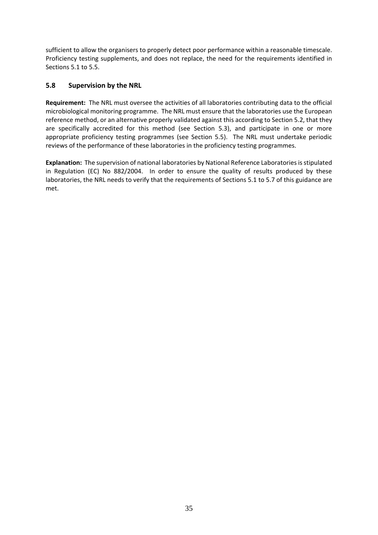sufficient to allow the organisers to properly detect poor performance within a reasonable timescale. Proficiency testing supplements, and does not replace, the need for the requirements identified in Sections 5.1 to 5.5.

## **5.8 Supervision by the NRL**

**Requirement:** The NRL must oversee the activities of all laboratories contributing data to the official microbiological monitoring programme. The NRL must ensure that the laboratories use the European reference method, or an alternative properly validated against this according to Section 5.2, that they are specifically accredited for this method (see Section 5.3), and participate in one or more appropriate proficiency testing programmes (see Section 5.5). The NRL must undertake periodic reviews of the performance of these laboratories in the proficiency testing programmes.

**Explanation:** The supervision of national laboratories by National Reference Laboratories is stipulated in Regulation (EC) No 882/2004. In order to ensure the quality of results produced by these laboratories, the NRL needs to verify that the requirements of Sections 5.1 to 5.7 of this guidance are met.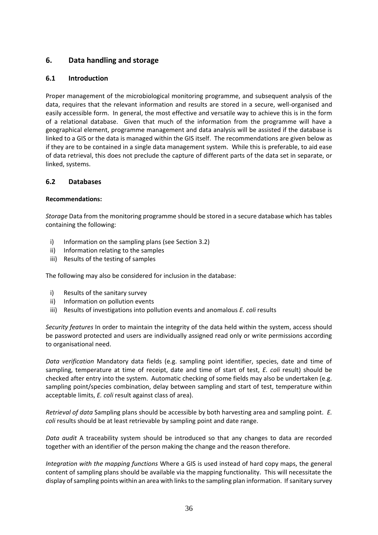# **6. Data handling and storage**

## **6.1 Introduction**

Proper management of the microbiological monitoring programme, and subsequent analysis of the data, requires that the relevant information and results are stored in a secure, well-organised and easily accessible form. In general, the most effective and versatile way to achieve this is in the form of a relational database. Given that much of the information from the programme will have a geographical element, programme management and data analysis will be assisted if the database is linked to a GIS or the data is managed within the GIS itself. The recommendations are given below as if they are to be contained in a single data management system. While this is preferable, to aid ease of data retrieval, this does not preclude the capture of different parts of the data set in separate, or linked, systems.

#### **6.2 Databases**

#### **Recommendations:**

*Storage* Data from the monitoring programme should be stored in a secure database which has tables containing the following:

- i) Information on the sampling plans (see Section 3.2)
- ii) Information relating to the samples
- iii) Results of the testing of samples

The following may also be considered for inclusion in the database:

- i) Results of the sanitary survey
- ii) Information on pollution events
- iii) Results of investigations into pollution events and anomalous *E. coli* results

*Security features* In order to maintain the integrity of the data held within the system, access should be password protected and users are individually assigned read only or write permissions according to organisational need.

*Data verification* Mandatory data fields (e.g. sampling point identifier, species, date and time of sampling, temperature at time of receipt, date and time of start of test, *E. coli* result) should be checked after entry into the system. Automatic checking of some fields may also be undertaken (e.g. sampling point/species combination, delay between sampling and start of test, temperature within acceptable limits, *E. coli* result against class of area).

*Retrieval of data* Sampling plans should be accessible by both harvesting area and sampling point. *E. coli* results should be at least retrievable by sampling point and date range.

*Data audit* A traceability system should be introduced so that any changes to data are recorded together with an identifier of the person making the change and the reason therefore.

*Integration with the mapping functions* Where a GIS is used instead of hard copy maps, the general content of sampling plans should be available via the mapping functionality. This will necessitate the display of sampling points within an area with links to the sampling plan information. If sanitary survey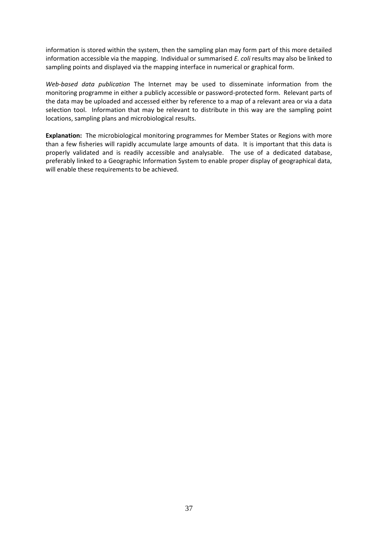information is stored within the system, then the sampling plan may form part of this more detailed information accessible via the mapping. Individual or summarised *E. coli* results may also be linked to sampling points and displayed via the mapping interface in numerical or graphical form.

*Web-based data publication* The Internet may be used to disseminate information from the monitoring programme in either a publicly accessible or password-protected form. Relevant parts of the data may be uploaded and accessed either by reference to a map of a relevant area or via a data selection tool. Information that may be relevant to distribute in this way are the sampling point locations, sampling plans and microbiological results.

**Explanation:** The microbiological monitoring programmes for Member States or Regions with more than a few fisheries will rapidly accumulate large amounts of data. It is important that this data is properly validated and is readily accessible and analysable. The use of a dedicated database, preferably linked to a Geographic Information System to enable proper display of geographical data, will enable these requirements to be achieved.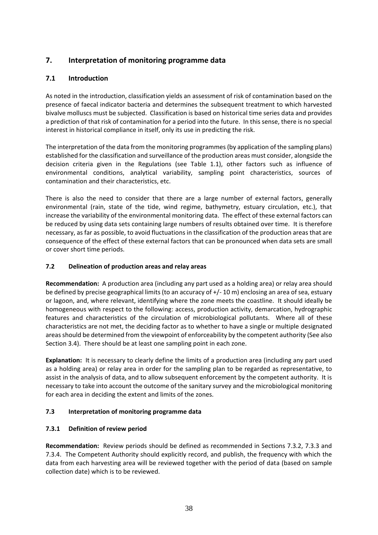# **7. Interpretation of monitoring programme data**

# **7.1 Introduction**

As noted in the introduction, classification yields an assessment of risk of contamination based on the presence of faecal indicator bacteria and determines the subsequent treatment to which harvested bivalve molluscs must be subjected. Classification is based on historical time series data and provides a prediction of that risk of contamination for a period into the future. In this sense, there is no special interest in historical compliance in itself, only its use in predicting the risk.

The interpretation of the data from the monitoring programmes (by application of the sampling plans) established for the classification and surveillance of the production areas must consider, alongside the decision criteria given in the Regulations (see Table 1.1), other factors such as influence of environmental conditions, analytical variability, sampling point characteristics, sources of contamination and their characteristics, etc.

There is also the need to consider that there are a large number of external factors, generally environmental (rain, state of the tide, wind regime, bathymetry, estuary circulation, etc.), that increase the variability of the environmental monitoring data. The effect of these external factors can be reduced by using data sets containing large numbers of results obtained over time. It is therefore necessary, as far as possible, to avoid fluctuations in the classification of the production areas that are consequence of the effect of these external factors that can be pronounced when data sets are small or cover short time periods.

## **7.2 Delineation of production areas and relay areas**

**Recommendation:** A production area (including any part used as a holding area) or relay area should be defined by precise geographical limits (to an accuracy of +/- 10 m) enclosing an area of sea, estuary or lagoon, and, where relevant, identifying where the zone meets the coastline. It should ideally be homogeneous with respect to the following: access, production activity, demarcation, hydrographic features and characteristics of the circulation of microbiological pollutants. Where all of these characteristics are not met, the deciding factor as to whether to have a single or multiple designated areas should be determined from the viewpoint of enforceability by the competent authority (See also Section 3.4). There should be at least one sampling point in each zone.

**Explanation:** It is necessary to clearly define the limits of a production area (including any part used as a holding area) or relay area in order for the sampling plan to be regarded as representative, to assist in the analysis of data, and to allow subsequent enforcement by the competent authority. It is necessary to take into account the outcome of the sanitary survey and the microbiological monitoring for each area in deciding the extent and limits of the zones.

## **7.3 Interpretation of monitoring programme data**

#### **7.3.1 Definition of review period**

**Recommendation:** Review periods should be defined as recommended in Sections 7.3.2, 7.3.3 and 7.3.4. The Competent Authority should explicitly record, and publish, the frequency with which the data from each harvesting area will be reviewed together with the period of data (based on sample collection date) which is to be reviewed.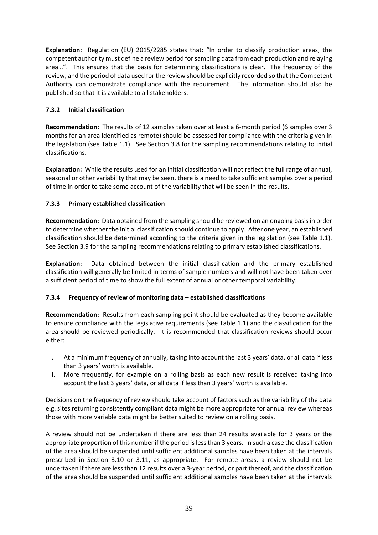**Explanation:** Regulation (EU) 2015/2285 states that: "In order to classify production areas, the competent authority must define a review period for sampling data from each production and relaying area…". This ensures that the basis for determining classifications is clear. The frequency of the review, and the period of data used for the review should be explicitly recorded so that the Competent Authority can demonstrate compliance with the requirement. The information should also be published so that it is available to all stakeholders.

## **7.3.2 Initial classification**

**Recommendation:** The results of 12 samples taken over at least a 6-month period (6 samples over 3 months for an area identified as remote) should be assessed for compliance with the criteria given in the legislation (see Table 1.1). See Section 3.8 for the sampling recommendations relating to initial classifications.

**Explanation:** While the results used for an initial classification will not reflect the full range of annual, seasonal or other variability that may be seen, there is a need to take sufficient samples over a period of time in order to take some account of the variability that will be seen in the results.

## **7.3.3 Primary established classification**

**Recommendation:** Data obtained from the sampling should be reviewed on an ongoing basis in order to determine whether the initial classification should continue to apply. After one year, an established classification should be determined according to the criteria given in the legislation (see Table 1.1). See Section 3.9 for the sampling recommendations relating to primary established classifications.

**Explanation:** Data obtained between the initial classification and the primary established classification will generally be limited in terms of sample numbers and will not have been taken over a sufficient period of time to show the full extent of annual or other temporal variability.

#### **7.3.4 Frequency of review of monitoring data – established classifications**

**Recommendation:** Results from each sampling point should be evaluated as they become available to ensure compliance with the legislative requirements (see Table 1.1) and the classification for the area should be reviewed periodically. It is recommended that classification reviews should occur either:

- i. At a minimum frequency of annually, taking into account the last 3 years' data, or all data if less than 3 years' worth is available.
- ii. More frequently, for example on a rolling basis as each new result is received taking into account the last 3 years' data, or all data if less than 3 years' worth is available.

Decisions on the frequency of review should take account of factors such as the variability of the data e.g. sites returning consistently compliant data might be more appropriate for annual review whereas those with more variable data might be better suited to review on a rolling basis.

A review should not be undertaken if there are less than 24 results available for 3 years or the appropriate proportion of this number if the period is less than 3 years. In such a case the classification of the area should be suspended until sufficient additional samples have been taken at the intervals prescribed in Section 3.10 or 3.11, as appropriate. For remote areas, a review should not be undertaken if there are less than 12 results over a 3-year period, or part thereof, and the classification of the area should be suspended until sufficient additional samples have been taken at the intervals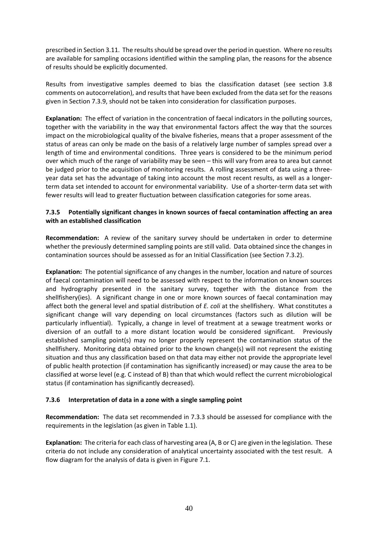prescribed in Section 3.11. The results should be spread over the period in question. Where no results are available for sampling occasions identified within the sampling plan, the reasons for the absence of results should be explicitly documented.

Results from investigative samples deemed to bias the classification dataset (see section 3.8 comments on autocorrelation), and results that have been excluded from the data set for the reasons given in Section 7.3.9, should not be taken into consideration for classification purposes.

**Explanation:** The effect of variation in the concentration of faecal indicators in the polluting sources, together with the variability in the way that environmental factors affect the way that the sources impact on the microbiological quality of the bivalve fisheries, means that a proper assessment of the status of areas can only be made on the basis of a relatively large number of samples spread over a length of time and environmental conditions. Three years is considered to be the minimum period over which much of the range of variability may be seen – this will vary from area to area but cannot be judged prior to the acquisition of monitoring results. A rolling assessment of data using a threeyear data set has the advantage of taking into account the most recent results, as well as a longerterm data set intended to account for environmental variability. Use of a shorter-term data set with fewer results will lead to greater fluctuation between classification categories for some areas.

#### **7.3.5 Potentially significant changes in known sources of faecal contamination affecting an area with an established classification**

**Recommendation:** A review of the sanitary survey should be undertaken in order to determine whether the previously determined sampling points are still valid. Data obtained since the changes in contamination sources should be assessed as for an Initial Classification (see Section 7.3.2).

**Explanation:** The potential significance of any changes in the number, location and nature of sources of faecal contamination will need to be assessed with respect to the information on known sources and hydrography presented in the sanitary survey, together with the distance from the shellfishery(ies). A significant change in one or more known sources of faecal contamination may affect both the general level and spatial distribution of *E. coli* at the shellfishery. What constitutes a significant change will vary depending on local circumstances (factors such as dilution will be particularly influential). Typically, a change in level of treatment at a sewage treatment works or diversion of an outfall to a more distant location would be considered significant. Previously established sampling point(s) may no longer properly represent the contamination status of the shellfishery. Monitoring data obtained prior to the known change(s) will not represent the existing situation and thus any classification based on that data may either not provide the appropriate level of public health protection (if contamination has significantly increased) or may cause the area to be classified at worse level (e.g. C instead of B) than that which would reflect the current microbiological status (if contamination has significantly decreased).

#### **7.3.6 Interpretation of data in a zone with a single sampling point**

**Recommendation:** The data set recommended in 7.3.3 should be assessed for compliance with the requirements in the legislation (as given in Table 1.1).

**Explanation:** The criteria for each class of harvesting area (A, B or C) are given in the legislation. These criteria do not include any consideration of analytical uncertainty associated with the test result. A flow diagram for the analysis of data is given in Figure 7.1.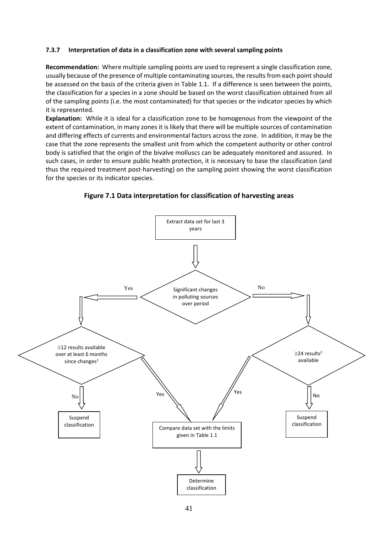#### **7.3.7 Interpretation of data in a classification zone with several sampling points**

**Recommendation:** Where multiple sampling points are used to represent a single classification zone, usually because of the presence of multiple contaminating sources, the results from each point should be assessed on the basis of the criteria given in Table 1.1. If a difference is seen between the points, the classification for a species in a zone should be based on the worst classification obtained from all of the sampling points (i.e. the most contaminated) for that species or the indicator species by which it is represented.

**Explanation:** While it is ideal for a classification zone to be homogenous from the viewpoint of the extent of contamination, in many zones it is likely that there will be multiple sources of contamination and differing effects of currents and environmental factors across the zone. In addition, it may be the case that the zone represents the smallest unit from which the competent authority or other control body is satisfied that the origin of the bivalve molluscs can be adequately monitored and assured. In such cases, in order to ensure public health protection, it is necessary to base the classification (and thus the required treatment post-harvesting) on the sampling point showing the worst classification for the species or its indicator species.



**Figure 7.1 Data interpretation for classification of harvesting areas**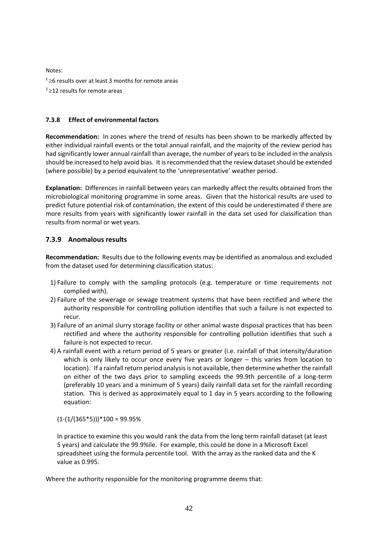Notes:  $126$  results over at least 3 months for remote areas  $2212$  results for remote areas

#### **7.3.8 Effect of environmental factors**

**Recommendation:** In zones where the trend of results has been shown to be markedly affected by either individual rainfall events or the total annual rainfall, and the majority of the review period has had significantly lower annual rainfall than average, the number of years to be included in the analysis should be increased to help avoid bias. It is recommended that the review dataset should be extended (where possible) by a period equivalent to the 'unrepresentative' weather period.

**Explanation:** Differences in rainfall between years can markedly affect the results obtained from the microbiological monitoring programme in some areas. Given that the historical results are used to predict future potential risk of contamination, the extent of this could be underestimated if there are more results from years with significantly lower rainfall in the data set used for classification than results from normal or wet years.

#### **7.3.9 Anomalous results**

**Recommendation:** Results due to the following events may be identified as anomalous and excluded from the dataset used for determining classification status:

- 1) Failure to comply with the sampling protocols (e.g. temperature or time requirements not complied with).
- 2) Failure of the sewerage or sewage treatment systems that have been rectified and where the authority responsible for controlling pollution identifies that such a failure is not expected to recur.
- 3) Failure of an animal slurry storage facility or other animal waste disposal practices that has been rectified and where the authority responsible for controlling pollution identifies that such a failure is not expected to recur.
- 4) A rainfall event with a return period of 5 years or greater (i.e. rainfall of that intensity/duration which is only likely to occur once every five years or longer – this varies from location to location). If a rainfall return period analysis is not available, then determine whether the rainfall on either of the two days prior to sampling exceeds the 99.9th percentile of a long-term (preferably 10 years and a minimum of 5 years) daily rainfall data set for the rainfall recording station. This is derived as approximately equal to 1 day in 5 years according to the following equation:

 $(1-(1/(365*5)))*100 = 99.95%$ 

In practice to examine this you would rank the data from the long term rainfall dataset (at least 5 years) and calculate the 99.9%ile. For example, this could be done in a Microsoft Excel spreadsheet using the formula percentile tool. With the array as the ranked data and the K value as 0.995.

Where the authority responsible for the monitoring programme deems that: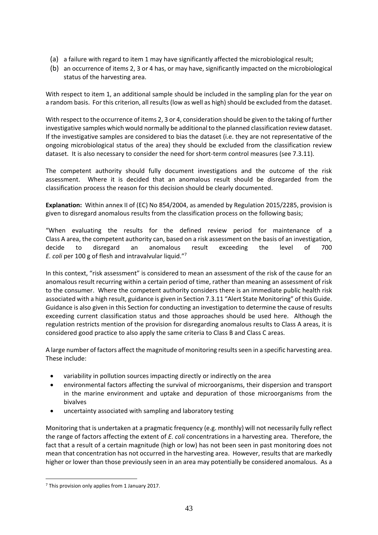- (a) a failure with regard to item 1 may have significantly affected the microbiological result;
- (b) an occurrence of items 2, 3 or 4 has, or may have, significantly impacted on the microbiological status of the harvesting area.

With respect to item 1, an additional sample should be included in the sampling plan for the year on a random basis. For this criterion, all results (low as well as high) should be excluded from the dataset.

With respect to the occurrence of items 2, 3 or 4, consideration should be given to the taking of further investigative samples which would normally be additional to the planned classification review dataset. If the investigative samples are considered to bias the dataset (i.e. they are not representative of the ongoing microbiological status of the area) they should be excluded from the classification review dataset. It is also necessary to consider the need for short-term control measures (see 7.3.11).

The competent authority should fully document investigations and the outcome of the risk assessment. Where it is decided that an anomalous result should be disregarded from the classification process the reason for this decision should be clearly documented.

**Explanation:** Within annex II of (EC) No 854/2004, as amended by Regulation 2015/2285, provision is given to disregard anomalous results from the classification process on the following basis;

"When evaluating the results for the defined review period for maintenance of a Class A area, the competent authority can, based on a risk assessment on the basis of an investigation, decide to disregard an anomalous result exceeding the level of 700 *E. coli* per 100 g of flesh and intravalvular liquid."<sup>7</sup>

In this context, "risk assessment" is considered to mean an assessment of the risk of the cause for an anomalous result recurring within a certain period of time, rather than meaning an assessment of risk to the consumer. Where the competent authority considers there is an immediate public health risk associated with a high result, guidance is given in Section 7.3.11 "Alert State Monitoring" of this Guide. Guidance is also given in this Section for conducting an investigation to determine the cause of results exceeding current classification status and those approaches should be used here. Although the regulation restricts mention of the provision for disregarding anomalous results to Class A areas, it is considered good practice to also apply the same criteria to Class B and Class C areas.

A large number of factors affect the magnitude of monitoring results seen in a specific harvesting area. These include:

- variability in pollution sources impacting directly or indirectly on the area
- environmental factors affecting the survival of microorganisms, their dispersion and transport in the marine environment and uptake and depuration of those microorganisms from the bivalves
- uncertainty associated with sampling and laboratory testing

Monitoring that is undertaken at a pragmatic frequency (e.g. monthly) will not necessarily fully reflect the range of factors affecting the extent of *E. coli* concentrations in a harvesting area. Therefore, the fact that a result of a certain magnitude (high or low) has not been seen in past monitoring does not mean that concentration has not occurred in the harvesting area. However, results that are markedly higher or lower than those previously seen in an area may potentially be considered anomalous. As a

<u>.</u>

<sup>&</sup>lt;sup>7</sup> This provision only applies from 1 January 2017.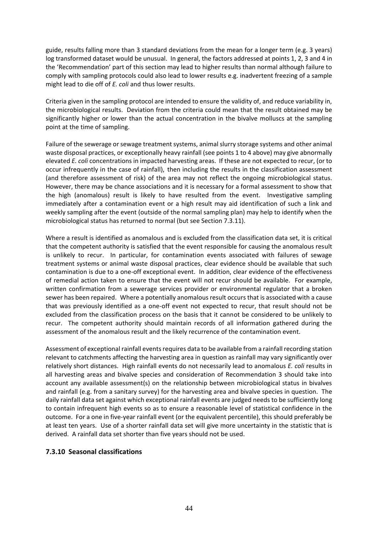guide, results falling more than 3 standard deviations from the mean for a longer term (e.g. 3 years) log transformed dataset would be unusual. In general, the factors addressed at points 1, 2, 3 and 4 in the 'Recommendation' part of this section may lead to higher results than normal although failure to comply with sampling protocols could also lead to lower results e.g. inadvertent freezing of a sample might lead to die off of *E. coli* and thus lower results.

Criteria given in the sampling protocol are intended to ensure the validity of, and reduce variability in, the microbiological results. Deviation from the criteria could mean that the result obtained may be significantly higher or lower than the actual concentration in the bivalve molluscs at the sampling point at the time of sampling.

Failure of the sewerage or sewage treatment systems, animal slurry storage systems and other animal waste disposal practices, or exceptionally heavy rainfall (see points 1 to 4 above) may give abnormally elevated *E. coli* concentrations in impacted harvesting areas. If these are not expected to recur, (or to occur infrequently in the case of rainfall), then including the results in the classification assessment (and therefore assessment of risk) of the area may not reflect the ongoing microbiological status. However, there may be chance associations and it is necessary for a formal assessment to show that the high (anomalous) result is likely to have resulted from the event. Investigative sampling immediately after a contamination event or a high result may aid identification of such a link and weekly sampling after the event (outside of the normal sampling plan) may help to identify when the microbiological status has returned to normal (but see Section 7.3.11).

Where a result is identified as anomalous and is excluded from the classification data set, it is critical that the competent authority is satisfied that the event responsible for causing the anomalous result is unlikely to recur. In particular, for contamination events associated with failures of sewage treatment systems or animal waste disposal practices, clear evidence should be available that such contamination is due to a one-off exceptional event. In addition, clear evidence of the effectiveness of remedial action taken to ensure that the event will not recur should be available. For example, written confirmation from a sewerage services provider or environmental regulator that a broken sewer has been repaired. Where a potentially anomalous result occurs that is associated with a cause that was previously identified as a one-off event not expected to recur, that result should not be excluded from the classification process on the basis that it cannot be considered to be unlikely to recur. The competent authority should maintain records of all information gathered during the assessment of the anomalous result and the likely recurrence of the contamination event.

Assessment of exceptional rainfall events requires data to be available from a rainfall recording station relevant to catchments affecting the harvesting area in question as rainfall may vary significantly over relatively short distances. High rainfall events do not necessarily lead to anomalous *E. coli* results in all harvesting areas and bivalve species and consideration of Recommendation 3 should take into account any available assessment(s) on the relationship between microbiological status in bivalves and rainfall (e.g. from a sanitary survey) for the harvesting area and bivalve species in question. The daily rainfall data set against which exceptional rainfall events are judged needs to be sufficiently long to contain infrequent high events so as to ensure a reasonable level of statistical confidence in the outcome. For a one in five-year rainfall event (or the equivalent percentile), this should preferably be at least ten years. Use of a shorter rainfall data set will give more uncertainty in the statistic that is derived. A rainfall data set shorter than five years should not be used.

## **7.3.10 Seasonal classifications**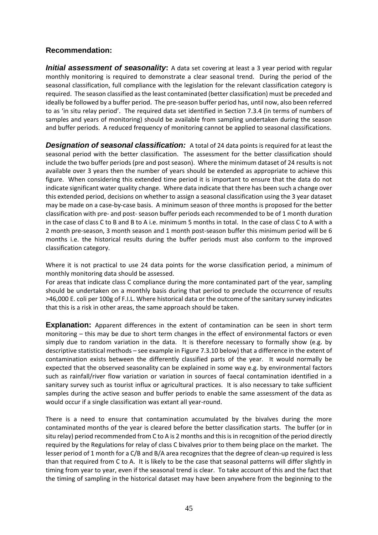# **Recommendation:**

**Initial assessment of seasonality:** A data set covering at least a 3 year period with regular monthly monitoring is required to demonstrate a clear seasonal trend. During the period of the seasonal classification, full compliance with the legislation for the relevant classification category is required. The season classified as the least contaminated (better classification) must be preceded and ideally be followed by a buffer period. The pre-season buffer period has, until now, also been referred to as 'in situ relay period'. The required data set identified in Section 7.3.4 (in terms of numbers of samples and years of monitoring) should be available from sampling undertaken during the season and buffer periods. A reduced frequency of monitoring cannot be applied to seasonal classifications.

**Designation of seasonal classification:** A total of 24 data points is required for at least the seasonal period with the better classification. The assessment for the better classification should include the two buffer periods (pre and post season). Where the minimum dataset of 24 results is not available over 3 years then the number of years should be extended as appropriate to achieve this figure. When considering this extended time period it is important to ensure that the data do not indicate significant water quality change. Where data indicate that there has been such a change over this extended period, decisions on whether to assign a seasonal classification using the 3 year dataset may be made on a case-by-case basis. A minimum season of three months is proposed for the better classification with pre- and post- season buffer periods each recommended to be of 1 month duration in the case of class C to B and B to A i.e. minimum 5 months in total. In the case of class C to A with a 2 month pre-season, 3 month season and 1 month post-season buffer this minimum period will be 6 months i.e. the historical results during the buffer periods must also conform to the improved classification category.

Where it is not practical to use 24 data points for the worse classification period, a minimum of monthly monitoring data should be assessed.

For areas that indicate class C compliance during the more contaminated part of the year, sampling should be undertaken on a monthly basis during that period to preclude the occurrence of results >46,000 E. coli per 100g of F.I.L. Where historical data or the outcome of the sanitary survey indicates that this is a risk in other areas, the same approach should be taken.

**Explanation:** Apparent differences in the extent of contamination can be seen in short term monitoring – this may be due to short term changes in the effect of environmental factors or even simply due to random variation in the data. It is therefore necessary to formally show (e.g. by descriptive statistical methods – see example in Figure 7.3.10 below) that a difference in the extent of contamination exists between the differently classified parts of the year. It would normally be expected that the observed seasonality can be explained in some way e.g. by environmental factors such as rainfall/river flow variation or variation in sources of faecal contamination identified in a sanitary survey such as tourist influx or agricultural practices. It is also necessary to take sufficient samples during the active season and buffer periods to enable the same assessment of the data as would occur if a single classification was extant all year-round.

There is a need to ensure that contamination accumulated by the bivalves during the more contaminated months of the year is cleared before the better classification starts. The buffer (or in situ relay) period recommended from C to A is 2 months and this is in recognition of the period directly required by the Regulations for relay of class C bivalves prior to them being place on the market. The lesser period of 1 month for a C/B and B/A area recognizes that the degree of clean-up required is less than that required from C to A. It is likely to be the case that seasonal patterns will differ slightly in timing from year to year, even if the seasonal trend is clear. To take account of this and the fact that the timing of sampling in the historical dataset may have been anywhere from the beginning to the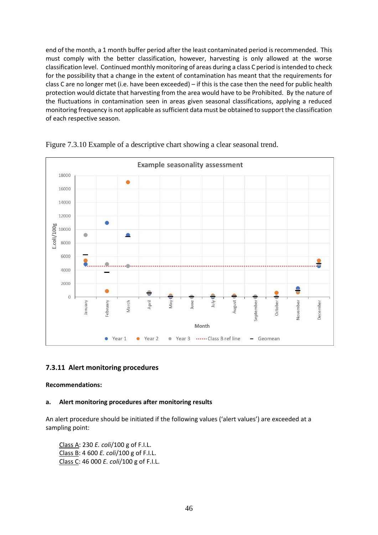end of the month, a 1 month buffer period after the least contaminated period is recommended. This must comply with the better classification, however, harvesting is only allowed at the worse classification level. Continued monthly monitoring of areas during a class C period is intended to check for the possibility that a change in the extent of contamination has meant that the requirements for class C are no longer met (i.e. have been exceeded) – if this is the case then the need for public health protection would dictate that harvesting from the area would have to be Prohibited. By the nature of the fluctuations in contamination seen in areas given seasonal classifications, applying a reduced monitoring frequency is not applicable as sufficient data must be obtained to support the classification of each respective season.



Figure 7.3.10 Example of a descriptive chart showing a clear seasonal trend.

## **7.3.11 Alert monitoring procedures**

#### **Recommendations:**

#### **a. Alert monitoring procedures after monitoring results**

An alert procedure should be initiated if the following values ('alert values') are exceeded at a sampling point:

Class A: 230 *E. coli*/100 g of F.I.L. Class B: 4 600 *E. coli*/100 g of F.I.L. Class C: 46 000 *E. coli*/100 g of F.I.L.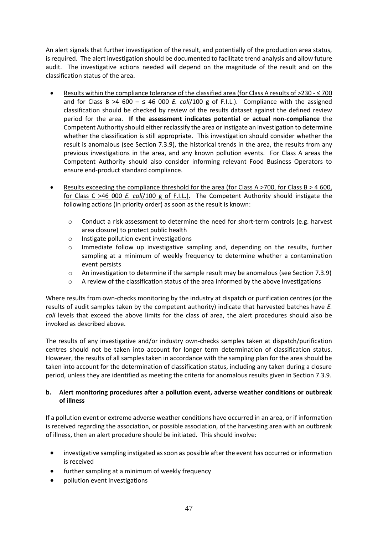An alert signals that further investigation of the result, and potentially of the production area status, is required. The alert investigation should be documented to facilitate trend analysis and allow future audit. The investigative actions needed will depend on the magnitude of the result and on the classification status of the area.

- Results within the compliance tolerance of the classified area (for Class A results of >230 ≤ 700 and for Class B >4 600 –  $\leq$  46 000 *E. coli*/100 g of F.I.L.). Compliance with the assigned classification should be checked by review of the results dataset against the defined review period for the area. **If the assessment indicates potential or actual non-compliance** the Competent Authority should either reclassify the area or instigate an investigation to determine whether the classification is still appropriate. This investigation should consider whether the result is anomalous (see Section 7.3.9), the historical trends in the area, the results from any previous investigations in the area, and any known pollution events. For Class A areas the Competent Authority should also consider informing relevant Food Business Operators to ensure end-product standard compliance.
- Results exceeding the compliance threshold for the area (for Class A >700, for Class B > 4 600, for Class C >46 000 *E. coli*/100 g of F.I.L.). The Competent Authority should instigate the following actions (in priority order) as soon as the result is known:
	- $\circ$  Conduct a risk assessment to determine the need for short-term controls (e.g. harvest area closure) to protect public health
	- o Instigate pollution event investigations
	- o Immediate follow up investigative sampling and, depending on the results, further sampling at a minimum of weekly frequency to determine whether a contamination event persists
	- o An investigation to determine if the sample result may be anomalous (see Section 7.3.9)
	- o A review of the classification status of the area informed by the above investigations

Where results from own-checks monitoring by the industry at dispatch or purification centres (or the results of audit samples taken by the competent authority) indicate that harvested batches have *E. coli* levels that exceed the above limits for the class of area, the alert procedures should also be invoked as described above.

The results of any investigative and/or industry own-checks samples taken at dispatch/purification centres should not be taken into account for longer term determination of classification status. However, the results of all samples taken in accordance with the sampling plan for the area should be taken into account for the determination of classification status, including any taken during a closure period, unless they are identified as meeting the criteria for anomalous results given in Section 7.3.9.

#### **b. Alert monitoring procedures after a pollution event, adverse weather conditions or outbreak of illness**

If a pollution event or extreme adverse weather conditions have occurred in an area, or if information is received regarding the association, or possible association, of the harvesting area with an outbreak of illness, then an alert procedure should be initiated. This should involve:

- investigative sampling instigated as soon as possible after the event has occurred or information is received
- further sampling at a minimum of weekly frequency
- pollution event investigations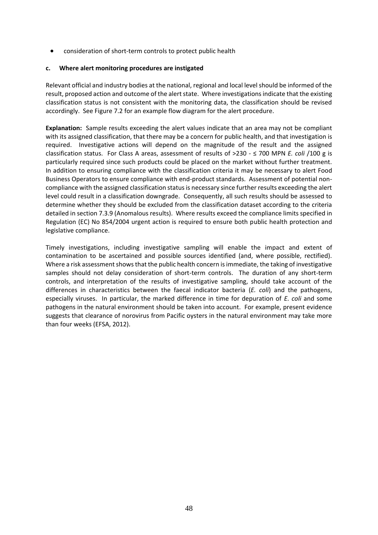• consideration of short-term controls to protect public health

#### **c. Where alert monitoring procedures are instigated**

Relevant official and industry bodies at the national, regional and local level should be informed of the result, proposed action and outcome of the alert state. Where investigations indicate that the existing classification status is not consistent with the monitoring data, the classification should be revised accordingly. See Figure 7.2 for an example flow diagram for the alert procedure.

**Explanation:** Sample results exceeding the alert values indicate that an area may not be compliant with its assigned classification, that there may be a concern for public health, and that investigation is required. Investigative actions will depend on the magnitude of the result and the assigned classification status. For Class A areas, assessment of results of >230 - ≤ 700 MPN *E. coli* /100 g is particularly required since such products could be placed on the market without further treatment. In addition to ensuring compliance with the classification criteria it may be necessary to alert Food Business Operators to ensure compliance with end-product standards. Assessment of potential noncompliance with the assigned classification status is necessary since further results exceeding the alert level could result in a classification downgrade. Consequently, all such results should be assessed to determine whether they should be excluded from the classification dataset according to the criteria detailed in section 7.3.9 (Anomalous results). Where results exceed the compliance limits specified in Regulation (EC) No 854/2004 urgent action is required to ensure both public health protection and legislative compliance.

Timely investigations, including investigative sampling will enable the impact and extent of contamination to be ascertained and possible sources identified (and, where possible, rectified). Where a risk assessment shows that the public health concern is immediate, the taking of investigative samples should not delay consideration of short-term controls. The duration of any short-term controls, and interpretation of the results of investigative sampling, should take account of the differences in characteristics between the faecal indicator bacteria (*E. coli*) and the pathogens, especially viruses. In particular, the marked difference in time for depuration of *E. coli* and some pathogens in the natural environment should be taken into account. For example, present evidence suggests that clearance of norovirus from Pacific oysters in the natural environment may take more than four weeks (EFSA, 2012).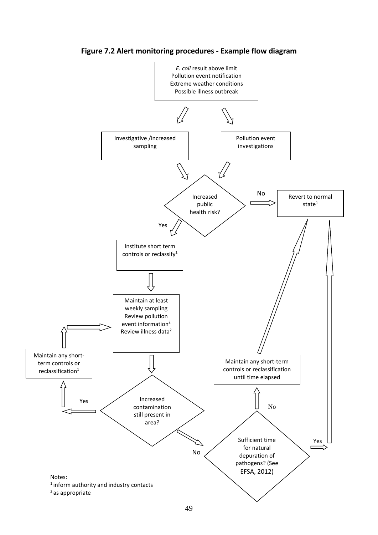

**Figure 7.2 Alert monitoring procedures - Example flow diagram**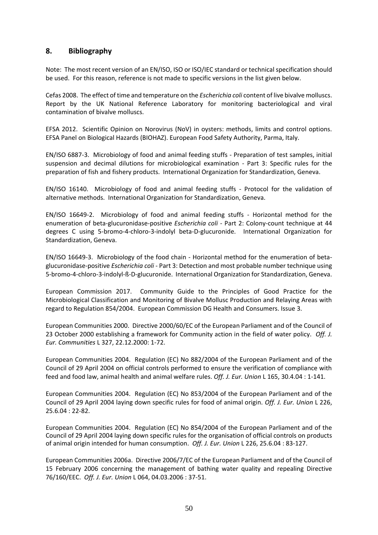## **8. Bibliography**

Note: The most recent version of an EN/ISO, ISO or ISO/IEC standard or technical specification should be used. For this reason, reference is not made to specific versions in the list given below.

Cefas 2008. The effect of time and temperature on the *Escherichia coli* content of live bivalve molluscs. Report by the UK National Reference Laboratory for monitoring bacteriological and viral contamination of bivalve molluscs.

EFSA 2012. Scientific Opinion on Norovirus (NoV) in oysters: methods, limits and control options. EFSA Panel on Biological Hazards (BIOHAZ). European Food Safety Authority, Parma, Italy.

EN/ISO 6887-3. Microbiology of food and animal feeding stuffs - Preparation of test samples, initial suspension and decimal dilutions for microbiological examination - Part 3: Specific rules for the preparation of fish and fishery products. International Organization for Standardization, Geneva.

EN/ISO 16140. Microbiology of food and animal feeding stuffs - Protocol for the validation of alternative methods. International Organization for Standardization, Geneva.

EN/ISO 16649-2. Microbiology of food and animal feeding stuffs - Horizontal method for the enumeration of beta-glucuronidase-positive *Escherichia coli* - Part 2: Colony-count technique at 44 degrees C using 5-bromo-4-chloro-3-indolyl beta-D-glucuronide. International Organization for Standardization, Geneva.

EN/ISO 16649-3. Microbiology of the food chain - Horizontal method for the enumeration of betaglucuronidase-positive *Escherichia coli* - Part 3: Detection and most probable number technique using 5-bromo-4-chloro-3-indolyl-ß-D-glucuronide. International Organization for Standardization, Geneva.

European Commission 2017. Community Guide to the Principles of Good Practice for the Microbiological Classification and Monitoring of Bivalve Mollusc Production and Relaying Areas with regard to Regulation 854/2004. European Commission DG Health and Consumers. Issue 3.

European Communities 2000. Directive 2000/60/EC of the European Parliament and of the Council of 23 October 2000 establishing a framework for Community action in the field of water policy. *Off. J. Eur. Communities* L 327, 22.12.2000: 1-72.

European Communities 2004. Regulation (EC) No 882/2004 of the European Parliament and of the Council of 29 April 2004 on official controls performed to ensure the verification of compliance with feed and food law, animal health and animal welfare rules. *Off. J. Eur. Union* L 165, 30.4.04 : 1-141.

European Communities 2004. Regulation (EC) No 853/2004 of the European Parliament and of the Council of 29 April 2004 laying down specific rules for food of animal origin. *Off. J. Eur. Union* L 226, 25.6.04 : 22-82.

European Communities 2004. Regulation (EC) No 854/2004 of the European Parliament and of the Council of 29 April 2004 laying down specific rules for the organisation of official controls on products of animal origin intended for human consumption. *Off. J. Eur. Union* L 226, 25.6.04 : 83-127.

European Communities 2006a. Directive 2006/7/EC of the European Parliament and of the Council of 15 February 2006 concerning the management of bathing water quality and repealing Directive 76/160/EEC. *Off. J. Eur. Union* L 064, 04.03.2006 : 37-51.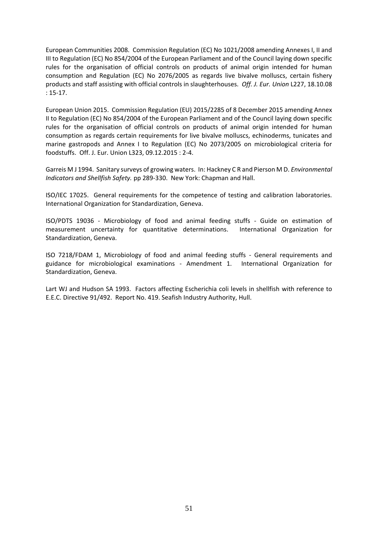European Communities 2008. Commission Regulation (EC) No 1021/2008 amending Annexes I, II and III to Regulation (EC) No 854/2004 of the European Parliament and of the Council laying down specific rules for the organisation of official controls on products of animal origin intended for human consumption and Regulation (EC) No 2076/2005 as regards live bivalve molluscs, certain fishery products and staff assisting with official controls in slaughterhouses. *Off. J. Eur. Union* L227, 18.10.08 : 15-17.

European Union 2015. Commission Regulation (EU) 2015/2285 of 8 December 2015 amending Annex II to Regulation (EC) No 854/2004 of the European Parliament and of the Council laying down specific rules for the organisation of official controls on products of animal origin intended for human consumption as regards certain requirements for live bivalve molluscs, echinoderms, tunicates and marine gastropods and Annex I to Regulation (EC) No 2073/2005 on microbiological criteria for foodstuffs. Off. J. Eur. Union L323, 09.12.2015 : 2-4.

Garreis M J 1994. Sanitary surveys of growing waters. In: Hackney C R and Pierson M D. *Environmental Indicators and Shellfish Safety.* pp 289-330. New York: Chapman and Hall.

ISO/IEC 17025. General requirements for the competence of testing and calibration laboratories. International Organization for Standardization, Geneva.

ISO/PDTS 19036 - Microbiology of food and animal feeding stuffs - Guide on estimation of measurement uncertainty for quantitative determinations. International Organization for Standardization, Geneva.

ISO 7218/FDAM 1, Microbiology of food and animal feeding stuffs - General requirements and guidance for microbiological examinations - Amendment 1. International Organization for Standardization, Geneva.

Lart WJ and Hudson SA 1993. Factors affecting Escherichia coli levels in shellfish with reference to E.E.C. Directive 91/492. Report No. 419. Seafish Industry Authority, Hull.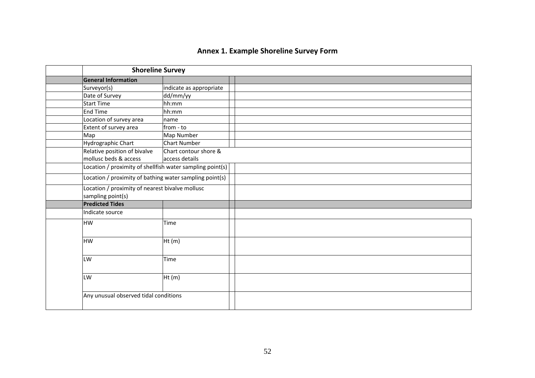| <b>Annex 1. Example Shoreline Survey Form</b> |  |  |  |  |
|-----------------------------------------------|--|--|--|--|
|-----------------------------------------------|--|--|--|--|

| <b>Shoreline Survey</b>                                   |                         |
|-----------------------------------------------------------|-------------------------|
| <b>General Information</b>                                |                         |
| Surveyor(s)                                               | indicate as appropriate |
| Date of Survey                                            | dd/mm/yy                |
| Start Time                                                | hh:mm                   |
| End Time                                                  | hh:mm                   |
| Location of survey area                                   | name                    |
| Extent of survey area                                     | from - to               |
| Map                                                       | Map Number              |
| Hydrographic Chart                                        | <b>Chart Number</b>     |
| Relative position of bivalve                              | Chart contour shore &   |
| mollusc beds & access                                     | access details          |
| Location / proximity of shellfish water sampling point(s) |                         |
| Location / proximity of bathing water sampling point(s)   |                         |
| Location / proximity of nearest bivalve mollusc           |                         |
| sampling point(s)                                         |                         |
| <b>Predicted Tides</b>                                    |                         |
| Indicate source                                           |                         |
| <b>HW</b>                                                 | Time                    |
|                                                           |                         |
| <b>HW</b>                                                 | Ht(m)                   |
|                                                           |                         |
| LW                                                        | Time                    |
|                                                           |                         |
| LW                                                        | Ht(m)                   |
|                                                           |                         |
| Any unusual observed tidal conditions                     |                         |
|                                                           |                         |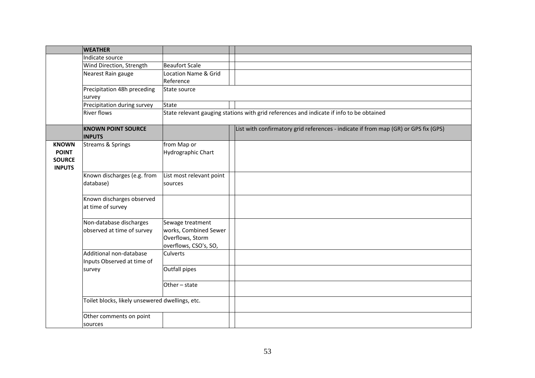|               | <b>WEATHER</b>                                  |                          |                                                                                          |
|---------------|-------------------------------------------------|--------------------------|------------------------------------------------------------------------------------------|
|               | Indicate source                                 |                          |                                                                                          |
|               | Wind Direction, Strength                        | <b>Beaufort Scale</b>    |                                                                                          |
|               | Nearest Rain gauge                              | Location Name & Grid     |                                                                                          |
|               |                                                 | Reference                |                                                                                          |
|               | Precipitation 48h preceding<br>survey           | State source             |                                                                                          |
|               | Precipitation during survey                     | <b>State</b>             |                                                                                          |
|               | <b>River flows</b>                              |                          | State relevant gauging stations with grid references and indicate if info to be obtained |
|               | <b>KNOWN POINT SOURCE</b><br><b>INPUTS</b>      |                          | List with confirmatory grid references - indicate if from map (GR) or GPS fix (GPS)      |
| <b>KNOWN</b>  | Streams & Springs                               | from Map or              |                                                                                          |
| <b>POINT</b>  |                                                 | Hydrographic Chart       |                                                                                          |
| <b>SOURCE</b> |                                                 |                          |                                                                                          |
| <b>INPUTS</b> |                                                 |                          |                                                                                          |
|               | Known discharges (e.g. from                     | List most relevant point |                                                                                          |
|               | database)                                       | sources                  |                                                                                          |
|               | Known discharges observed                       |                          |                                                                                          |
|               | at time of survey                               |                          |                                                                                          |
|               |                                                 |                          |                                                                                          |
|               | Non-database discharges                         | Sewage treatment         |                                                                                          |
|               | observed at time of survey                      | works, Combined Sewer    |                                                                                          |
|               |                                                 | Overflows, Storm         |                                                                                          |
|               |                                                 | overflows, CSO's, SO,    |                                                                                          |
|               | Additional non-database                         | Culverts                 |                                                                                          |
|               | Inputs Observed at time of                      |                          |                                                                                          |
|               | survey                                          | Outfall pipes            |                                                                                          |
|               |                                                 | Other - state            |                                                                                          |
|               |                                                 |                          |                                                                                          |
|               | Toilet blocks, likely unsewered dwellings, etc. |                          |                                                                                          |
|               | Other comments on point<br>sources              |                          |                                                                                          |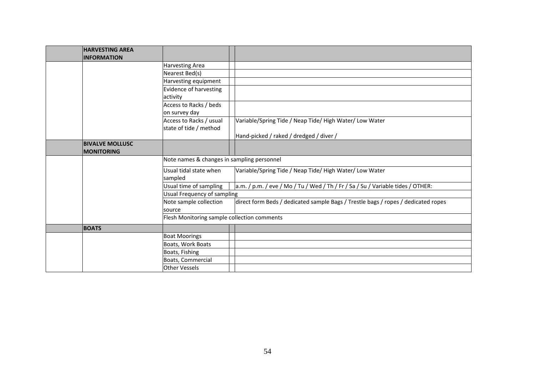| <b>HARVESTING AREA</b> |                                             |                                                                                   |
|------------------------|---------------------------------------------|-----------------------------------------------------------------------------------|
| <b>INFORMATION</b>     |                                             |                                                                                   |
|                        | Harvesting Area                             |                                                                                   |
|                        | Nearest Bed(s)                              |                                                                                   |
|                        | Harvesting equipment                        |                                                                                   |
|                        | <b>Evidence of harvesting</b>               |                                                                                   |
|                        | activity                                    |                                                                                   |
|                        | Access to Racks / beds                      |                                                                                   |
|                        | on survey day                               |                                                                                   |
|                        | Access to Racks / usual                     | Variable/Spring Tide / Neap Tide/ High Water/ Low Water                           |
|                        | state of tide / method                      |                                                                                   |
|                        |                                             | Hand-picked / raked / dredged / diver /                                           |
| <b>BIVALVE MOLLUSC</b> |                                             |                                                                                   |
| <b>MONITORING</b>      |                                             |                                                                                   |
|                        | Note names & changes in sampling personnel  |                                                                                   |
|                        | Usual tidal state when                      | Variable/Spring Tide / Neap Tide/ High Water/ Low Water                           |
|                        | sampled                                     |                                                                                   |
|                        | Usual time of sampling                      | a.m. / p.m. / eve / Mo / Tu / Wed / Th / Fr / Sa / Su / Variable tides / OTHER:   |
|                        | Usual Frequency of sampling                 |                                                                                   |
|                        | Note sample collection                      | direct form Beds / dedicated sample Bags / Trestle bags / ropes / dedicated ropes |
|                        | source                                      |                                                                                   |
|                        | Flesh Monitoring sample collection comments |                                                                                   |
| <b>BOATS</b>           |                                             |                                                                                   |
|                        | <b>Boat Moorings</b>                        |                                                                                   |
|                        | Boats, Work Boats                           |                                                                                   |
|                        | Boats, Fishing                              |                                                                                   |
|                        | Boats, Commercial                           |                                                                                   |
|                        | <b>Other Vessels</b>                        |                                                                                   |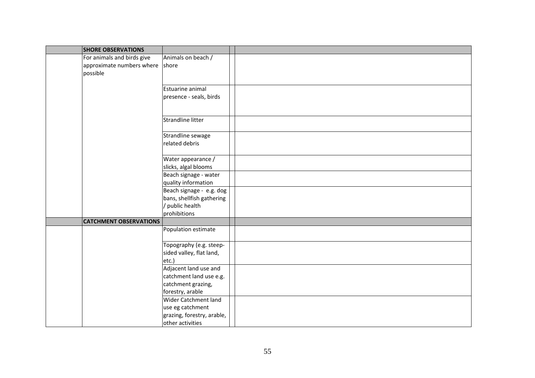| <b>SHORE OBSERVATIONS</b>       |                                              |  |
|---------------------------------|----------------------------------------------|--|
| For animals and birds give      | Animals on beach /                           |  |
| approximate numbers where shore |                                              |  |
| possible                        |                                              |  |
|                                 |                                              |  |
|                                 | Estuarine animal                             |  |
|                                 | presence - seals, birds                      |  |
|                                 |                                              |  |
|                                 |                                              |  |
|                                 | Strandline litter                            |  |
|                                 |                                              |  |
|                                 | Strandline sewage                            |  |
|                                 | related debris                               |  |
|                                 |                                              |  |
|                                 | Water appearance /                           |  |
|                                 | slicks, algal blooms                         |  |
|                                 | Beach signage - water                        |  |
|                                 | quality information                          |  |
|                                 | Beach signage - e.g. dog                     |  |
|                                 | bans, shellfish gathering<br>/ public health |  |
|                                 | prohibitions                                 |  |
| <b>CATCHMENT OBSERVATIONS</b>   |                                              |  |
|                                 | Population estimate                          |  |
|                                 |                                              |  |
|                                 | Topography (e.g. steep-                      |  |
|                                 | sided valley, flat land,                     |  |
|                                 | etc.)                                        |  |
|                                 | Adjacent land use and                        |  |
|                                 | catchment land use e.g.                      |  |
|                                 | catchment grazing,                           |  |
|                                 | forestry, arable                             |  |
|                                 | <b>Wider Catchment land</b>                  |  |
|                                 | use eg catchment                             |  |
|                                 | grazing, forestry, arable,                   |  |
|                                 | other activities                             |  |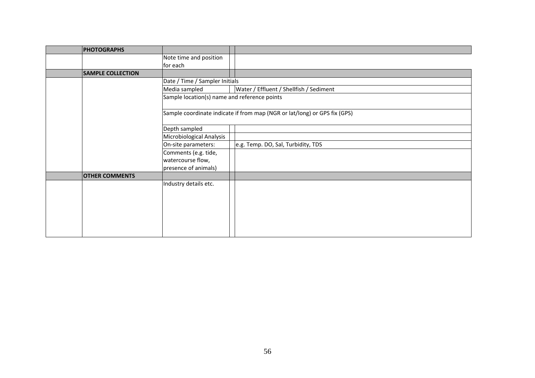| <b>PHOTOGRAPHS</b>       |                                                                           |                                         |
|--------------------------|---------------------------------------------------------------------------|-----------------------------------------|
|                          | Note time and position                                                    |                                         |
|                          | for each                                                                  |                                         |
| <b>SAMPLE COLLECTION</b> |                                                                           |                                         |
|                          | Date / Time / Sampler Initials                                            |                                         |
|                          | Media sampled                                                             | Water / Effluent / Shellfish / Sediment |
|                          | Sample location(s) name and reference points                              |                                         |
|                          | Sample coordinate indicate if from map (NGR or lat/long) or GPS fix (GPS) |                                         |
|                          | Depth sampled                                                             |                                         |
|                          | Microbiological Analysis                                                  |                                         |
|                          | On-site parameters:                                                       | e.g. Temp. DO, Sal, Turbidity, TDS      |
|                          | Comments (e.g. tide,                                                      |                                         |
|                          | watercourse flow,                                                         |                                         |
|                          | presence of animals)                                                      |                                         |
| <b>OTHER COMMENTS</b>    |                                                                           |                                         |
|                          | Industry details etc.                                                     |                                         |
|                          |                                                                           |                                         |
|                          |                                                                           |                                         |
|                          |                                                                           |                                         |
|                          |                                                                           |                                         |
|                          |                                                                           |                                         |
|                          |                                                                           |                                         |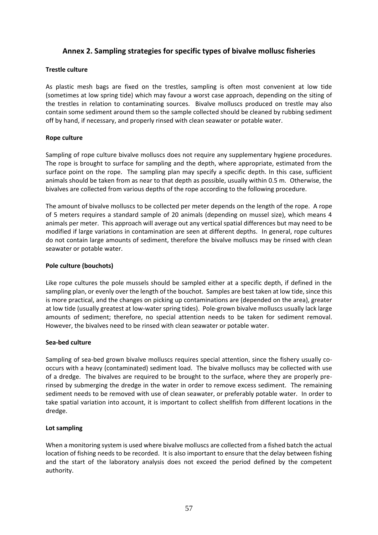## **Annex 2. Sampling strategies for specific types of bivalve mollusc fisheries**

#### **Trestle culture**

As plastic mesh bags are fixed on the trestles, sampling is often most convenient at low tide (sometimes at low spring tide) which may favour a worst case approach, depending on the siting of the trestles in relation to contaminating sources. Bivalve molluscs produced on trestle may also contain some sediment around them so the sample collected should be cleaned by rubbing sediment off by hand, if necessary, and properly rinsed with clean seawater or potable water.

#### **Rope culture**

Sampling of rope culture bivalve molluscs does not require any supplementary hygiene procedures. The rope is brought to surface for sampling and the depth, where appropriate, estimated from the surface point on the rope. The sampling plan may specify a specific depth. In this case, sufficient animals should be taken from as near to that depth as possible, usually within 0.5 m. Otherwise, the bivalves are collected from various depths of the rope according to the following procedure.

The amount of bivalve molluscs to be collected per meter depends on the length of the rope. A rope of 5 meters requires a standard sample of 20 animals (depending on mussel size), which means 4 animals per meter. This approach will average out any vertical spatial differences but may need to be modified if large variations in contamination are seen at different depths. In general, rope cultures do not contain large amounts of sediment, therefore the bivalve molluscs may be rinsed with clean seawater or potable water.

#### **Pole culture (bouchots)**

Like rope cultures the pole mussels should be sampled either at a specific depth, if defined in the sampling plan, or evenly over the length of the bouchot. Samples are best taken at low tide, since this is more practical, and the changes on picking up contaminations are (depended on the area), greater at low tide (usually greatest at low-water spring tides). Pole-grown bivalve molluscs usually lack large amounts of sediment; therefore, no special attention needs to be taken for sediment removal. However, the bivalves need to be rinsed with clean seawater or potable water.

#### **Sea-bed culture**

Sampling of sea-bed grown bivalve molluscs requires special attention, since the fishery usually cooccurs with a heavy (contaminated) sediment load. The bivalve molluscs may be collected with use of a dredge. The bivalves are required to be brought to the surface, where they are properly prerinsed by submerging the dredge in the water in order to remove excess sediment. The remaining sediment needs to be removed with use of clean seawater, or preferably potable water. In order to take spatial variation into account, it is important to collect shellfish from different locations in the dredge.

#### **Lot sampling**

When a monitoring system is used where bivalve molluscs are collected from a fished batch the actual location of fishing needs to be recorded. It is also important to ensure that the delay between fishing and the start of the laboratory analysis does not exceed the period defined by the competent authority.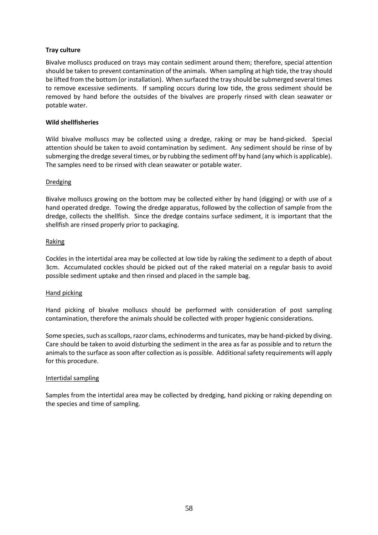#### **Tray culture**

Bivalve molluscs produced on trays may contain sediment around them; therefore, special attention should be taken to prevent contamination of the animals. When sampling at high tide, the tray should be lifted from the bottom (or installation). When surfaced the tray should be submerged several times to remove excessive sediments. If sampling occurs during low tide, the gross sediment should be removed by hand before the outsides of the bivalves are properly rinsed with clean seawater or potable water.

#### **Wild shellfisheries**

Wild bivalve molluscs may be collected using a dredge, raking or may be hand-picked. Special attention should be taken to avoid contamination by sediment. Any sediment should be rinse of by submerging the dredge several times, or by rubbing the sediment off by hand (any which is applicable). The samples need to be rinsed with clean seawater or potable water.

#### Dredging

Bivalve molluscs growing on the bottom may be collected either by hand (digging) or with use of a hand operated dredge. Towing the dredge apparatus, followed by the collection of sample from the dredge, collects the shellfish. Since the dredge contains surface sediment, it is important that the shellfish are rinsed properly prior to packaging.

#### Raking

Cockles in the intertidal area may be collected at low tide by raking the sediment to a depth of about 3cm. Accumulated cockles should be picked out of the raked material on a regular basis to avoid possible sediment uptake and then rinsed and placed in the sample bag.

#### Hand picking

Hand picking of bivalve molluscs should be performed with consideration of post sampling contamination, therefore the animals should be collected with proper hygienic considerations.

Some species, such as scallops, razor clams, echinoderms and tunicates, may be hand-picked by diving. Care should be taken to avoid disturbing the sediment in the area as far as possible and to return the animals to the surface as soon after collection as is possible. Additional safety requirements will apply for this procedure.

#### Intertidal sampling

Samples from the intertidal area may be collected by dredging, hand picking or raking depending on the species and time of sampling.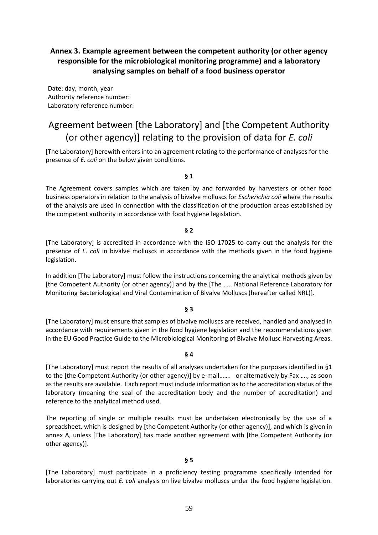# **Annex 3. Example agreement between the competent authority (or other agency responsible for the microbiological monitoring programme) and a laboratory analysing samples on behalf of a food business operator**

Date: day, month, year Authority reference number: Laboratory reference number:

# Agreement between [the Laboratory] and [the Competent Authority (or other agency)] relating to the provision of data for *E. coli*

[The Laboratory] herewith enters into an agreement relating to the performance of analyses for the presence of *E. coli* on the below given conditions.

#### **§ 1**

The Agreement covers samples which are taken by and forwarded by harvesters or other food business operators in relation to the analysis of bivalve molluscs for *Escherichia coli* where the results of the analysis are used in connection with the classification of the production areas established by the competent authority in accordance with food hygiene legislation.

#### **§ 2**

[The Laboratory] is accredited in accordance with the ISO 17025 to carry out the analysis for the presence of *E. coli* in bivalve molluscs in accordance with the methods given in the food hygiene legislation.

In addition [The Laboratory] must follow the instructions concerning the analytical methods given by [the Competent Authority (or other agency)] and by the [The ….. National Reference Laboratory for Monitoring Bacteriological and Viral Contamination of Bivalve Molluscs (hereafter called NRL)].

#### **§ 3**

[The Laboratory] must ensure that samples of bivalve molluscs are received, handled and analysed in accordance with requirements given in the food hygiene legislation and the recommendations given in the EU Good Practice Guide to the Microbiological Monitoring of Bivalve Mollusc Harvesting Areas.

#### **§ 4**

[The Laboratory] must report the results of all analyses undertaken for the purposes identified in §1 to the [the Competent Authority (or other agency)] by e-mail……. or alternatively by Fax …., as soon as the results are available. Each report must include information as to the accreditation status of the laboratory (meaning the seal of the accreditation body and the number of accreditation) and reference to the analytical method used.

The reporting of single or multiple results must be undertaken electronically by the use of a spreadsheet, which is designed by [the Competent Authority (or other agency)], and which is given in annex A, unless [The Laboratory] has made another agreement with [the Competent Authority (or other agency)].

#### **§ 5**

[The Laboratory] must participate in a proficiency testing programme specifically intended for laboratories carrying out *E. coli* analysis on live bivalve molluscs under the food hygiene legislation.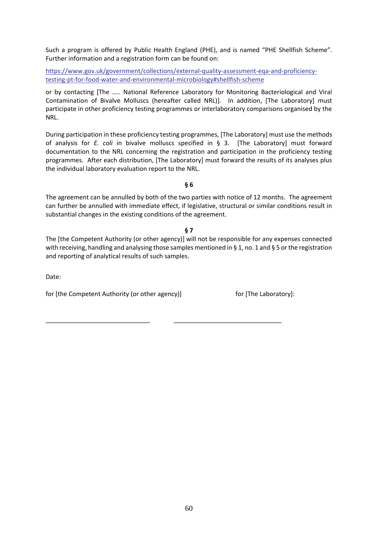Such a program is offered by Public Health England (PHE), and is named "PHE Shellfish Scheme". Further information and a registration form can be found on:

[https://www.gov.uk/government/collections/external-quality-assessment-eqa-and-proficiency](https://www.gov.uk/government/collections/external-quality-assessment-eqa-and-proficiency-testing-pt-for-food-water-and-environmental-microbiology#shellfish-scheme)[testing-pt-for-food-water-and-environmental-microbiology#shellfish-scheme](https://www.gov.uk/government/collections/external-quality-assessment-eqa-and-proficiency-testing-pt-for-food-water-and-environmental-microbiology#shellfish-scheme)

or by contacting [The ….. National Reference Laboratory for Monitoring Bacteriological and Viral Contamination of Bivalve Molluscs (hereafter called NRL)]. In addition, [The Laboratory] must participate in other proficiency testing programmes or interlaboratory comparisons organised by the NRL.

During participation in these proficiency testing programmes, [The Laboratory] must use the methods of analysis for *E. coli* in bivalve molluscs specified in § 3. [The Laboratory] must forward documentation to the NRL concerning the registration and participation in the proficiency testing programmes. After each distribution, [The Laboratory] must forward the results of its analyses plus the individual laboratory evaluation report to the NRL.

**§ 6**

The agreement can be annulled by both of the two parties with notice of 12 months. The agreement can further be annulled with immediate effect, if legislative, structural or similar conditions result in substantial changes in the existing conditions of the agreement.

#### **§ 7**

The [the Competent Authority (or other agency)] will not be responsible for any expenses connected with receiving, handling and analysing those samples mentioned in § 1, no. 1 and § 5 or the registration and reporting of analytical results of such samples.

\_\_\_\_\_\_\_\_\_\_\_\_\_\_\_\_\_\_\_\_\_\_\_\_\_\_\_\_\_\_ \_\_\_\_\_\_\_\_\_\_\_\_\_\_\_\_\_\_\_\_\_\_\_\_\_\_\_\_\_\_\_

Date:

for [the Competent Authority (or other agency)] for [The Laboratory]: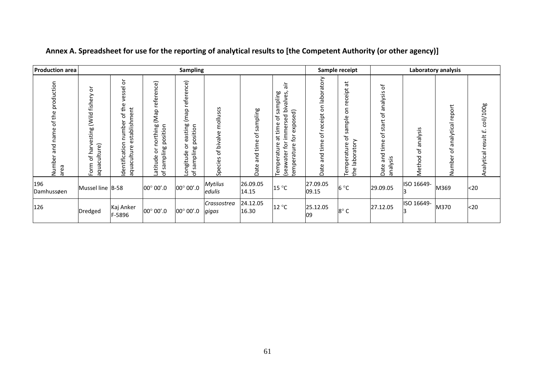| <b>Production area</b>                                 | <b>Sampling</b>                                                    |                                                                                                                |                                                                                                            |                                                                                 |                                                                                          |                                   |                                                                                                                                                                                     | Sample receipt                                                                 |                                                                                 | Laboratory analysis                                                                  |                             |                                             |                                   |
|--------------------------------------------------------|--------------------------------------------------------------------|----------------------------------------------------------------------------------------------------------------|------------------------------------------------------------------------------------------------------------|---------------------------------------------------------------------------------|------------------------------------------------------------------------------------------|-----------------------------------|-------------------------------------------------------------------------------------------------------------------------------------------------------------------------------------|--------------------------------------------------------------------------------|---------------------------------------------------------------------------------|--------------------------------------------------------------------------------------|-----------------------------|---------------------------------------------|-----------------------------------|
| production<br>the<br>đ<br>name<br>and<br>Numbe<br>area | ă<br>fishery<br>ild.<br>esting<br>aquaculture)<br>Ney<br>Ⴆ<br>Form | $\overleftarrow{\sigma}$<br>vessel<br>the<br>stablishment<br>Ⴆ<br>number<br>Φ<br>Identification<br>aquaculture | rence)<br>refer<br>$\Omega$<br>σ<br>ξ<br>thing<br>position<br>ē<br>sampling<br>$\circ$<br>titude<br>Ⴆ<br>ō | reference)<br>qew)<br>easting<br>position<br>ŏ<br>sampling<br>ngitude<br>으<br>Ⴆ | S<br>ؾ<br>Ξ<br>틍<br>E<br>Φ<br>츪<br>≤.<br>¤<br>$\mathcal{P}$<br>ق∶<br>$\mathbf{d}$<br>င္တ | sampling<br>đ<br>and time<br>Date | ăέ<br>sampling<br>bivalves<br>ਰ<br>S<br>pas.<br>ω<br>Ⴆ<br>Ō<br>$\circ$<br>time<br>immer<br>exp<br>$\vec{a}$<br>ٯ<br>Temperature<br>€<br>ၑ<br>(seawater<br>ى<br>ίØ<br>ھَ<br>Ō<br>tem | vote<br>ŏ<br><u>층</u><br>δ<br>eceipt<br>£<br>$\mathcal{P}$<br>and time<br>Date | $\vec{a}$<br>receipt<br>5<br>sample<br>ъ<br>aboratory<br>emperature<br>—<br>the | Ⴆ<br>analysis<br>Ⴆ<br>start<br>Ⴆ<br>time<br>and<br>Sis<br>$\frac{1}{6}$<br>Date<br>π | nalysis<br>σ<br>đ<br>Method | report<br>lalytical<br>ã<br>Ⴆ<br>هٔ<br>Numb | coli/100g<br>Analytical result E. |
| 196<br>Damhussøen                                      | Mussel line B-58                                                   |                                                                                                                | $00^{\circ} 00^{\prime}.0$                                                                                 | $00^{\circ} 00^{\prime}.0$                                                      | <b>Mytilus</b><br>edulis                                                                 | 26.09.05<br>14.15                 | 15 °C                                                                                                                                                                               | 27.09.05<br>09.15                                                              | $6^{\circ}$ C                                                                   | 29.09.05                                                                             | ISO 16649-                  | M369                                        | <20                               |
| 126                                                    | Dredged                                                            | Kaj Anker<br>F-5896                                                                                            | $00^{\circ}$ 00'.0                                                                                         | $00^{\circ} 00^{\prime}.0$                                                      | Crassostrea<br>gigas                                                                     | 24.12.05<br>16.30                 | $12^{\circ}$ C                                                                                                                                                                      | 25.12.05<br>09                                                                 | 8°C                                                                             | 27.12.05                                                                             | ISO 16649-                  | M370                                        | <sub>20</sub>                     |

# **Annex A. Spreadsheet for use for the reporting of analytical results to [the Competent Authority (or other agency)]**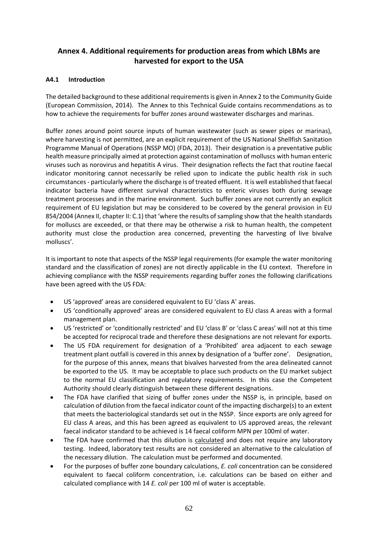## **Annex 4. Additional requirements for production areas from which LBMs are harvested for export to the USA**

## **A4.1 Introduction**

The detailed background to these additional requirements is given in Annex 2 to the Community Guide (European Commission, 2014). The Annex to this Technical Guide contains recommendations as to how to achieve the requirements for buffer zones around wastewater discharges and marinas.

Buffer zones around point source inputs of human wastewater (such as sewer pipes or marinas), where harvesting is not permitted, are an explicit requirement of the US National Shellfish Sanitation Programme Manual of Operations (NSSP MO) (FDA, 2013). Their designation is a preventative public health measure principally aimed at protection against contamination of molluscs with human enteric viruses such as norovirus and hepatitis A virus. Their designation reflects the fact that routine faecal indicator monitoring cannot necessarily be relied upon to indicate the public health risk in such circumstances - particularly where the discharge is of treated effluent. It is well established that faecal indicator bacteria have different survival characteristics to enteric viruses both during sewage treatment processes and in the marine environment. Such buffer zones are not currently an explicit requirement of EU legislation but may be considered to be covered by the general provision in EU 854/2004 (Annex II, chapter II: C.1) that 'where the results of sampling show that the health standards for molluscs are exceeded, or that there may be otherwise a risk to human health, the competent authority must close the production area concerned, preventing the harvesting of live bivalve molluscs'.

It is important to note that aspects of the NSSP legal requirements (for example the water monitoring standard and the classification of zones) are not directly applicable in the EU context. Therefore in achieving compliance with the NSSP requirements regarding buffer zones the following clarifications have been agreed with the US FDA:

- US 'approved' areas are considered equivalent to EU 'class A' areas.
- US 'conditionally approved' areas are considered equivalent to EU class A areas with a formal management plan.
- US 'restricted' or 'conditionally restricted' and EU 'class B' or 'class C areas' will not at this time be accepted for reciprocal trade and therefore these designations are not relevant for exports.
- The US FDA requirement for designation of a 'Prohibited' area adjacent to each sewage treatment plant outfall is covered in this annex by designation of a 'buffer zone'. Designation, for the purpose of this annex, means that bivalves harvested from the area delineated cannot be exported to the US. It may be acceptable to place such products on the EU market subject to the normal EU classification and regulatory requirements. In this case the Competent Authority should clearly distinguish between these different designations.
- The FDA have clarified that sizing of buffer zones under the NSSP is, in principle, based on calculation of dilution from the faecal indicator count of the impacting discharge(s) to an extent that meets the bacteriological standards set out in the NSSP. Since exports are only agreed for EU class A areas, and this has been agreed as equivalent to US approved areas, the relevant faecal indicator standard to be achieved is 14 faecal coliform MPN per 100ml of water.
- The FDA have confirmed that this dilution is calculated and does not require any laboratory testing. Indeed, laboratory test results are not considered an alternative to the calculation of the necessary dilution. The calculation must be performed and documented.
- For the purposes of buffer zone boundary calculations, *E. coli* concentration can be considered equivalent to faecal coliform concentration, i.e. calculations can be based on either and calculated compliance with 14 *E. coli* per 100 ml of water is acceptable.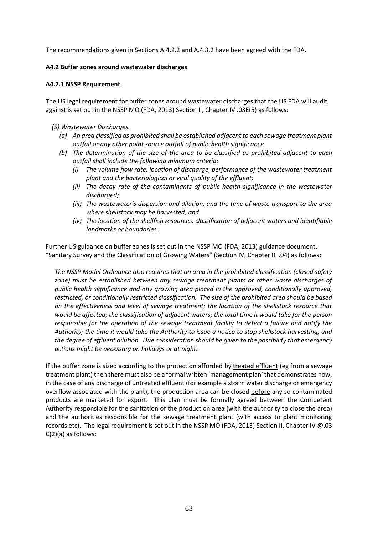The recommendations given in Sections A.4.2.2 and A.4.3.2 have been agreed with the FDA.

#### **A4.2 Buffer zones around wastewater discharges**

#### **A4.2.1 NSSP Requirement**

The US legal requirement for buffer zones around wastewater discharges that the US FDA will audit against is set out in the NSSP MO (FDA, 2013) Section II, Chapter IV .03E(5) as follows:

- *(5) Wastewater Discharges.* 
	- *(a) An area classified as prohibited shall be established adjacent to each sewage treatment plant outfall or any other point source outfall of public health significance.*
	- *(b) The determination of the size of the area to be classified as prohibited adjacent to each outfall shall include the following minimum criteria:* 
		- *(i) The volume flow rate, location of discharge, performance of the wastewater treatment plant and the bacteriological or viral quality of the effluent;*
		- *(ii) The decay rate of the contaminants of public health significance in the wastewater discharged;*
		- *(iii) The wastewater's dispersion and dilution, and the time of waste transport to the area where shellstock may be harvested; and*
		- *(iv) The location of the shellfish resources, classification of adjacent waters and identifiable landmarks or boundaries.*

Further US guidance on buffer zones is set out in the NSSP MO (FDA, 2013) guidance document, "Sanitary Survey and the Classification of Growing Waters" (Section IV, Chapter II, .04) as follows:

*The NSSP Model Ordinance also requires that an area in the prohibited classification (closed safety zone) must be established between any sewage treatment plants or other waste discharges of public health significance and any growing area placed in the approved, conditionally approved, restricted, or conditionally restricted classification. The size of the prohibited area should be based on the effectiveness and level of sewage treatment; the location of the shellstock resource that would be affected; the classification of adjacent waters; the total time it would take for the person responsible for the operation of the sewage treatment facility to detect a failure and notify the Authority; the time it would take the Authority to issue a notice to stop shellstock harvesting; and the degree of effluent dilution. Due consideration should be given to the possibility that emergency actions might be necessary on holidays or at night.*

If the buffer zone is sized according to the protection afforded by treated effluent (eg from a sewage treatment plant) then there must also be a formal written 'management plan' that demonstrates how, in the case of any discharge of untreated effluent (for example a storm water discharge or emergency overflow associated with the plant), the production area can be closed before any so contaminated products are marketed for export. This plan must be formally agreed between the Competent Authority responsible for the sanitation of the production area (with the authority to close the area) and the authorities responsible for the sewage treatment plant (with access to plant monitoring records etc). The legal requirement is set out in the NSSP MO (FDA, 2013) Section II, Chapter IV @.03 C(2)(a) as follows: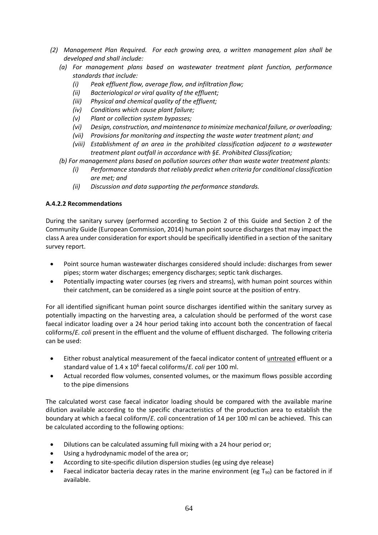- *(2) Management Plan Required. For each growing area, a written management plan shall be developed and shall include:*
	- *(a) For management plans based on wastewater treatment plant function, performance standards that include:*
		- *(i) Peak effluent flow, average flow, and infiltration flow;*
		- *(ii) Bacteriological or viral quality of the effluent;*
		- *(iii) Physical and chemical quality of the effluent;*
		- *(iv) Conditions which cause plant failure;*
		- *(v) Plant or collection system bypasses;*
		- *(vi) Design, construction, and maintenance to minimize mechanical failure, or overloading;*
		- *(vii) Provisions for monitoring and inspecting the waste water treatment plant; and*
		- *(viii) Establishment of an area in the prohibited classification adjacent to a wastewater treatment plant outfall in accordance with §E. Prohibited Classification;*
	- *(b) For management plans based on pollution sources other than waste water treatment plants:*
		- *(i) Performance standards that reliably predict when criteria for conditional classification are met; and*
		- *(ii) Discussion and data supporting the performance standards.*

## **A.4.2.2 Recommendations**

During the sanitary survey (performed according to Section 2 of this Guide and Section 2 of the Community Guide (European Commission, 2014) human point source discharges that may impact the class A area under consideration for export should be specifically identified in a section of the sanitary survey report.

- Point source human wastewater discharges considered should include: discharges from sewer pipes; storm water discharges; emergency discharges; septic tank discharges.
- Potentially impacting water courses (eg rivers and streams), with human point sources within their catchment, can be considered as a single point source at the position of entry.

For all identified significant human point source discharges identified within the sanitary survey as potentially impacting on the harvesting area, a calculation should be performed of the worst case faecal indicator loading over a 24 hour period taking into account both the concentration of faecal coliforms/*E. coli* present in the effluent and the volume of effluent discharged. The following criteria can be used:

- Either robust analytical measurement of the faecal indicator content of untreated effluent or a standard value of 1.4 x 10<sup>6</sup> faecal coliforms/*E. coli* per 100 ml.
- Actual recorded flow volumes, consented volumes, or the maximum flows possible according to the pipe dimensions

The calculated worst case faecal indicator loading should be compared with the available marine dilution available according to the specific characteristics of the production area to establish the boundary at which a faecal coliform/*E. coli* concentration of 14 per 100 ml can be achieved. This can be calculated according to the following options:

- Dilutions can be calculated assuming full mixing with a 24 hour period or;
- Using a hydrodynamic model of the area or;
- According to site-specific dilution dispersion studies (eg using dye release)
- Faecal indicator bacteria decay rates in the marine environment (eg  $T_{90}$ ) can be factored in if available.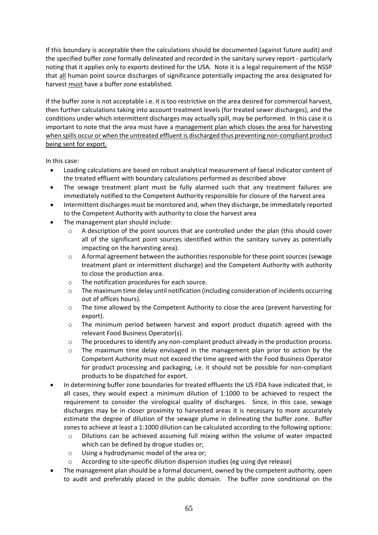If this boundary is acceptable then the calculations should be documented (against future audit) and the specified buffer zone formally delineated and recorded in the sanitary survey report - particularly noting that it applies only to exports destined for the USA. Note it is a legal requirement of the NSSP that all human point source discharges of significance potentially impacting the area designated for harvest must have a buffer zone established.

If the buffer zone is not acceptable i.e. it is too restrictive on the area desired for commercial harvest, then further calculations taking into account treatment levels (for treated sewer discharges), and the conditions under which intermittent discharges may actually spill, may be performed. In this case it is important to note that the area must have a management plan which closes the area for harvesting when spills occur or when the untreated effluent is discharged thus preventing non-compliant product being sent for export.

In this case:

- Loading calculations are based on robust analytical measurement of faecal indicator content of the treated effluent with boundary calculations performed as described above
- The sewage treatment plant must be fully alarmed such that any treatment failures are immediately notified to the Competent Authority responsible for closure of the harvest area
- Intermittent discharges must be monitored and, when they discharge, be immediately reported to the Competent Authority with authority to close the harvest area
- The management plan should include:
	- $\circ$  A description of the point sources that are controlled under the plan (this should cover all of the significant point sources identified within the sanitary survey as potentially impacting on the harvesting area).
	- $\circ$  A formal agreement between the authorities responsible for these point sources (sewage treatment plant or intermittent discharge) and the Competent Authority with authority to close the production area.
	- o The notification procedures for each source.
	- o The maximum time delay until notification (including consideration of incidents occurring out of offices hours).
	- $\circ$  The time allowed by the Competent Authority to close the area (prevent harvesting for export).
	- $\circ$  The minimum period between harvest and export product dispatch agreed with the relevant Food Business Operator(s).
	- $\circ$  The procedures to identify any non-complaint product already in the production process.
	- o The maximum time delay envisaged in the management plan prior to action by the Competent Authority must not exceed the time agreed with the Food Business Operator for product processing and packaging, i.e. it should not be possible for non-compliant products to be dispatched for export.
- In determining buffer zone boundaries for treated effluents the US FDA have indicated that, in all cases, they would expect a minimum dilution of 1:1000 to be achieved to respect the requirement to consider the virological quality of discharges. Since, in this case, sewage discharges may be in closer proximity to harvested areas it is necessary to more accurately estimate the degree of dilution of the sewage plume in delineating the buffer zone. Buffer zones to achieve at least a 1:1000 dilution can be calculated according to the following options:
	- o Dilutions can be achieved assuming full mixing within the volume of water impacted which can be defined by drogue studies or;
	- o Using a hydrodynamic model of the area or;
	- o According to site-specific dilution dispersion studies (eg using dye release)
- The management plan should be a formal document, owned by the competent authority, open to audit and preferably placed in the public domain. The buffer zone conditional on the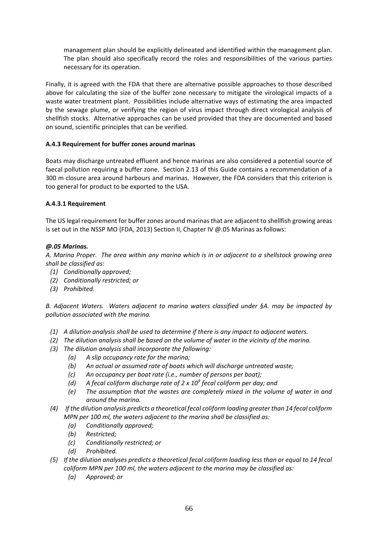management plan should be explicitly delineated and identified within the management plan. The plan should also specifically record the roles and responsibilities of the various parties necessary for its operation.

Finally, it is agreed with the FDA that there are alternative possible approaches to those described above for calculating the size of the buffer zone necessary to mitigate the virological impacts of a waste water treatment plant. Possibilities include alternative ways of estimating the area impacted by the sewage plume, or verifying the region of virus impact through direct virological analysis of shellfish stocks. Alternative approaches can be used provided that they are documented and based on sound, scientific principles that can be verified.

## **A.4.3 Requirement for buffer zones around marinas**

Boats may discharge untreated effluent and hence marinas are also considered a potential source of faecal pollution requiring a buffer zone. Section 2.13 of this Guide contains a recommendation of a 300 m closure area around harbours and marinas. However, the FDA considers that this criterion is too general for product to be exported to the USA.

## **A.4.3.1 Requirement**

The US legal requirement for buffer zones around marinas that are adjacent to shellfish growing areas is set out in the NSSP MO (FDA, 2013) Section II, Chapter IV @.05 Marinas as follows:

## *@.05 Marinas.*

*A. Marina Proper. The area within any marina which is in or adjacent to a shellstock growing area shall be classified as:*

- *(1) Conditionally approved;*
- *(2) Conditionally restricted; or*
- *(3) Prohibited.*

*B. Adjacent Waters. Waters adjacent to marina waters classified under §A. may be impacted by pollution associated with the marina.*

- *(1) A dilution analysis shall be used to determine if there is any impact to adjacent waters.*
- *(2) The dilution analysis shall be based on the volume of water in the vicinity of the marina.*
- *(3) The dilution analysis shall incorporate the following:*
	- *(a) A slip occupancy rate for the marina;*
	- *(b) An actual or assumed rate of boats which will discharge untreated waste;*
	- *(c) An occupancy per boat rate (i.e., number of persons per boat);*
	- *(d) A fecal coliform discharge rate of 2 x 10<sup>9</sup> fecal coliform per day; and*
	- *(e) The assumption that the wastes are completely mixed in the volume of water in and around the marina.*
- *(4) If the dilution analysis predicts a theoretical fecal coliform loading greater than 14 fecal coliform MPN per 100 ml, the waters adjacent to the marina shall be classified as:*
	- *(a) Conditionally approved;*
	- *(b) Restricted;*
	- *(c) Conditionally restricted; or*
	- *(d) Prohibited.*
- *(5) If the dilution analyses predicts a theoretical fecal coliform loading less than or equal to 14 fecal coliform MPN per 100 ml, the waters adjacent to the marina may be classified as:*
	- *(a) Approved; or*